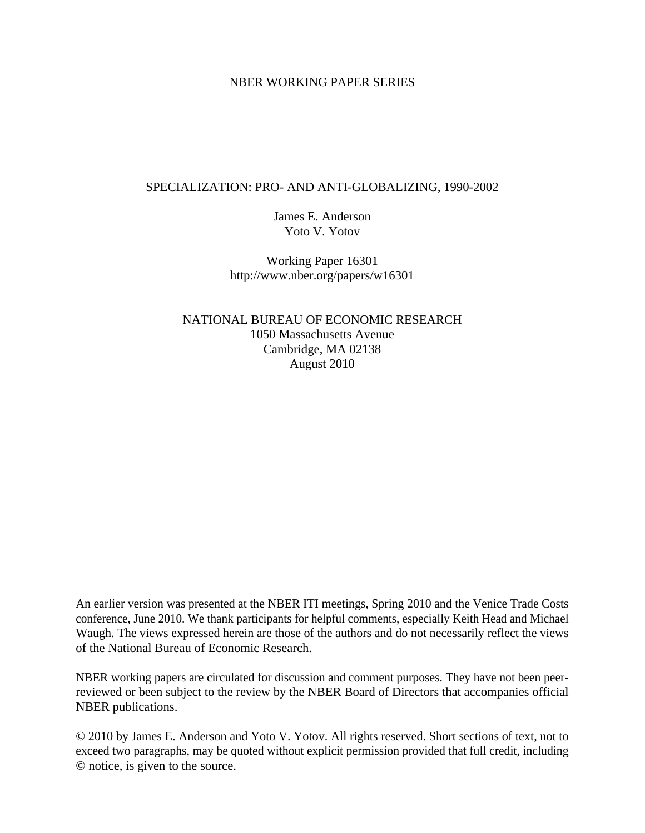#### NBER WORKING PAPER SERIES

#### SPECIALIZATION: PRO- AND ANTI-GLOBALIZING, 1990-2002

James E. Anderson Yoto V. Yotov

Working Paper 16301 http://www.nber.org/papers/w16301

NATIONAL BUREAU OF ECONOMIC RESEARCH 1050 Massachusetts Avenue Cambridge, MA 02138 August 2010

An earlier version was presented at the NBER ITI meetings, Spring 2010 and the Venice Trade Costs conference, June 2010. We thank participants for helpful comments, especially Keith Head and Michael Waugh. The views expressed herein are those of the authors and do not necessarily reflect the views of the National Bureau of Economic Research.

NBER working papers are circulated for discussion and comment purposes. They have not been peerreviewed or been subject to the review by the NBER Board of Directors that accompanies official NBER publications.

© 2010 by James E. Anderson and Yoto V. Yotov. All rights reserved. Short sections of text, not to exceed two paragraphs, may be quoted without explicit permission provided that full credit, including © notice, is given to the source.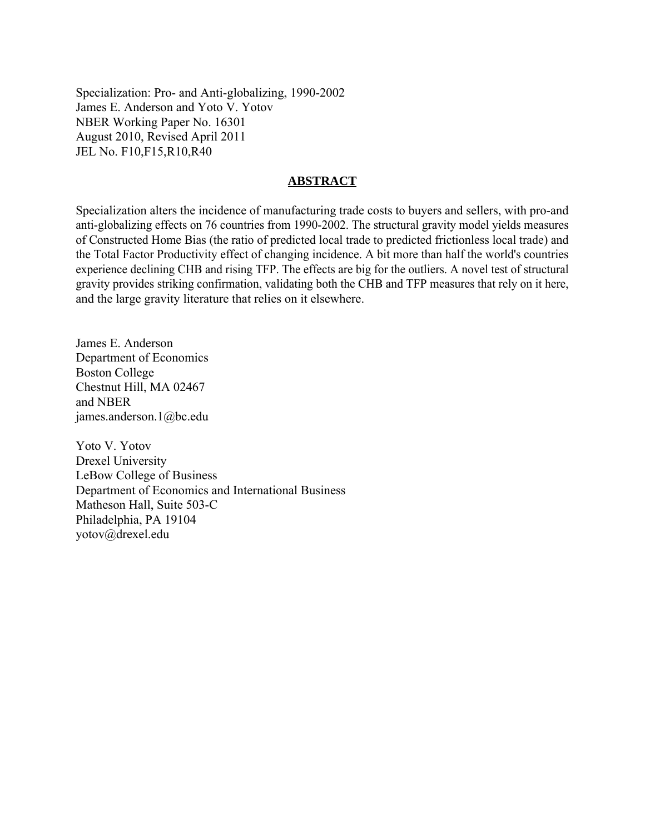Specialization: Pro- and Anti-globalizing, 1990-2002 James E. Anderson and Yoto V. Yotov NBER Working Paper No. 16301 August 2010, Revised April 2011 JEL No. F10,F15,R10,R40

#### **ABSTRACT**

Specialization alters the incidence of manufacturing trade costs to buyers and sellers, with pro-and anti-globalizing effects on 76 countries from 1990-2002. The structural gravity model yields measures of Constructed Home Bias (the ratio of predicted local trade to predicted frictionless local trade) and the Total Factor Productivity effect of changing incidence. A bit more than half the world's countries experience declining CHB and rising TFP. The effects are big for the outliers. A novel test of structural gravity provides striking confirmation, validating both the CHB and TFP measures that rely on it here, and the large gravity literature that relies on it elsewhere.

James E. Anderson Department of Economics Boston College Chestnut Hill, MA 02467 and NBER james.anderson.1@bc.edu

Yoto V. Yotov Drexel University LeBow College of Business Department of Economics and International Business Matheson Hall, Suite 503-C Philadelphia, PA 19104 yotov@drexel.edu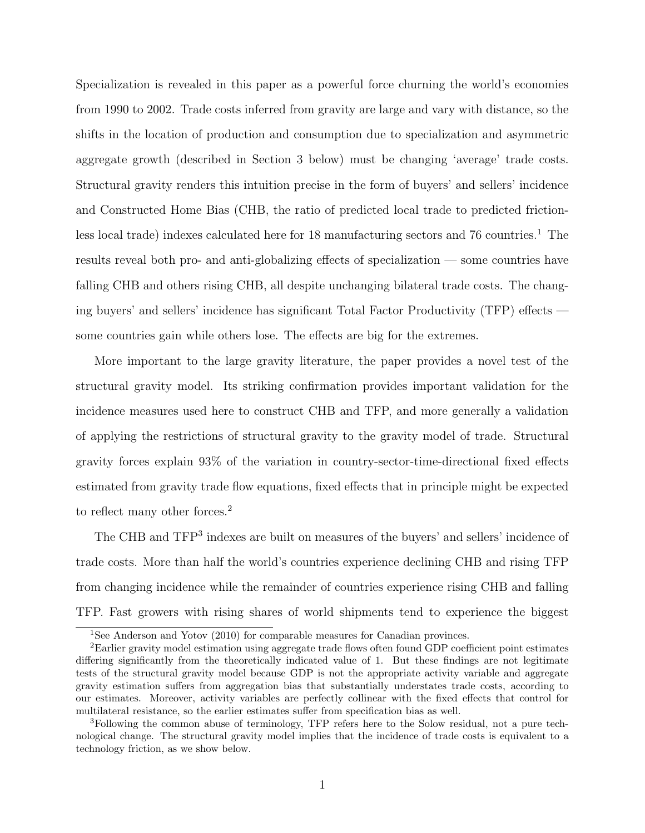Specialization is revealed in this paper as a powerful force churning the world's economies from 1990 to 2002. Trade costs inferred from gravity are large and vary with distance, so the shifts in the location of production and consumption due to specialization and asymmetric aggregate growth (described in Section 3 below) must be changing 'average' trade costs. Structural gravity renders this intuition precise in the form of buyers' and sellers' incidence and Constructed Home Bias (CHB, the ratio of predicted local trade to predicted frictionless local trade) indexes calculated here for  $18$  manufacturing sectors and  $76$  countries.<sup>1</sup> The results reveal both pro- and anti-globalizing effects of specialization — some countries have falling CHB and others rising CHB, all despite unchanging bilateral trade costs. The changing buyers' and sellers' incidence has significant Total Factor Productivity (TFP) effects some countries gain while others lose. The effects are big for the extremes.

More important to the large gravity literature, the paper provides a novel test of the structural gravity model. Its striking confirmation provides important validation for the incidence measures used here to construct CHB and TFP, and more generally a validation of applying the restrictions of structural gravity to the gravity model of trade. Structural gravity forces explain 93% of the variation in country-sector-time-directional fixed effects estimated from gravity trade flow equations, fixed effects that in principle might be expected to reflect many other forces.<sup>2</sup>

The CHB and TFP<sup>3</sup> indexes are built on measures of the buyers' and sellers' incidence of trade costs. More than half the world's countries experience declining CHB and rising TFP from changing incidence while the remainder of countries experience rising CHB and falling TFP. Fast growers with rising shares of world shipments tend to experience the biggest

<sup>&</sup>lt;sup>1</sup>See Anderson and Yotov (2010) for comparable measures for Canadian provinces.

<sup>2</sup>Earlier gravity model estimation using aggregate trade flows often found GDP coefficient point estimates differing significantly from the theoretically indicated value of 1. But these findings are not legitimate tests of the structural gravity model because GDP is not the appropriate activity variable and aggregate gravity estimation suffers from aggregation bias that substantially understates trade costs, according to our estimates. Moreover, activity variables are perfectly collinear with the fixed effects that control for multilateral resistance, so the earlier estimates suffer from specification bias as well.

<sup>3</sup>Following the common abuse of terminology, TFP refers here to the Solow residual, not a pure technological change. The structural gravity model implies that the incidence of trade costs is equivalent to a technology friction, as we show below.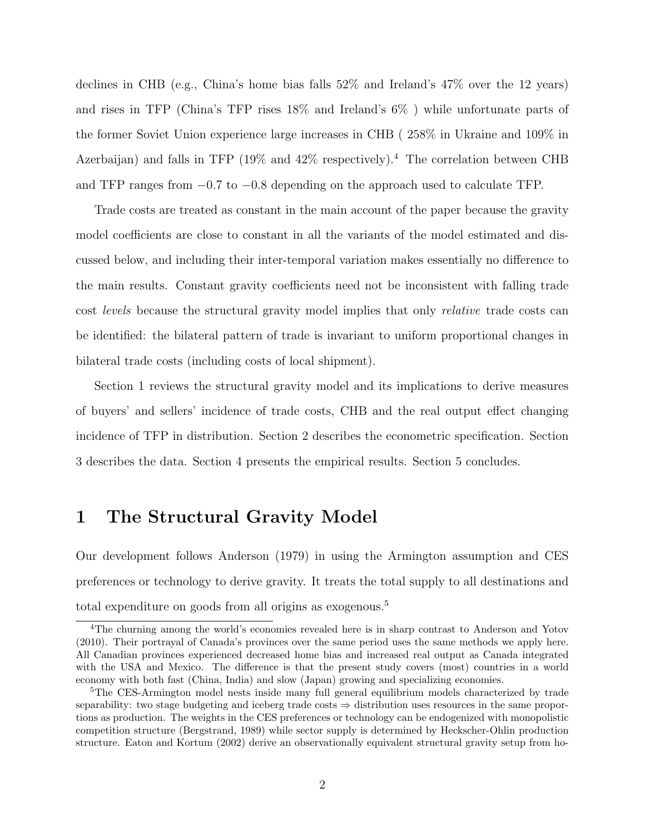declines in CHB (e.g., China's home bias falls 52% and Ireland's 47% over the 12 years) and rises in TFP (China's TFP rises 18% and Ireland's 6% ) while unfortunate parts of the former Soviet Union experience large increases in CHB ( 258% in Ukraine and 109% in Azerbaijan) and falls in TFP (19% and  $42\%$  respectively).<sup>4</sup> The correlation between CHB and TFP ranges from −0.7 to −0.8 depending on the approach used to calculate TFP.

Trade costs are treated as constant in the main account of the paper because the gravity model coefficients are close to constant in all the variants of the model estimated and discussed below, and including their inter-temporal variation makes essentially no difference to the main results. Constant gravity coefficients need not be inconsistent with falling trade cost levels because the structural gravity model implies that only relative trade costs can be identified: the bilateral pattern of trade is invariant to uniform proportional changes in bilateral trade costs (including costs of local shipment).

Section 1 reviews the structural gravity model and its implications to derive measures of buyers' and sellers' incidence of trade costs, CHB and the real output effect changing incidence of TFP in distribution. Section 2 describes the econometric specification. Section 3 describes the data. Section 4 presents the empirical results. Section 5 concludes.

# 1 The Structural Gravity Model

Our development follows Anderson (1979) in using the Armington assumption and CES preferences or technology to derive gravity. It treats the total supply to all destinations and total expenditure on goods from all origins as exogenous.<sup>5</sup>

<sup>4</sup>The churning among the world's economies revealed here is in sharp contrast to Anderson and Yotov (2010). Their portrayal of Canada's provinces over the same period uses the same methods we apply here. All Canadian provinces experienced decreased home bias and increased real output as Canada integrated with the USA and Mexico. The difference is that the present study covers (most) countries in a world economy with both fast (China, India) and slow (Japan) growing and specializing economies.

<sup>&</sup>lt;sup>5</sup>The CES-Armington model nests inside many full general equilibrium models characterized by trade separability: two stage budgeting and iceberg trade costs ⇒ distribution uses resources in the same proportions as production. The weights in the CES preferences or technology can be endogenized with monopolistic competition structure (Bergstrand, 1989) while sector supply is determined by Heckscher-Ohlin production structure. Eaton and Kortum (2002) derive an observationally equivalent structural gravity setup from ho-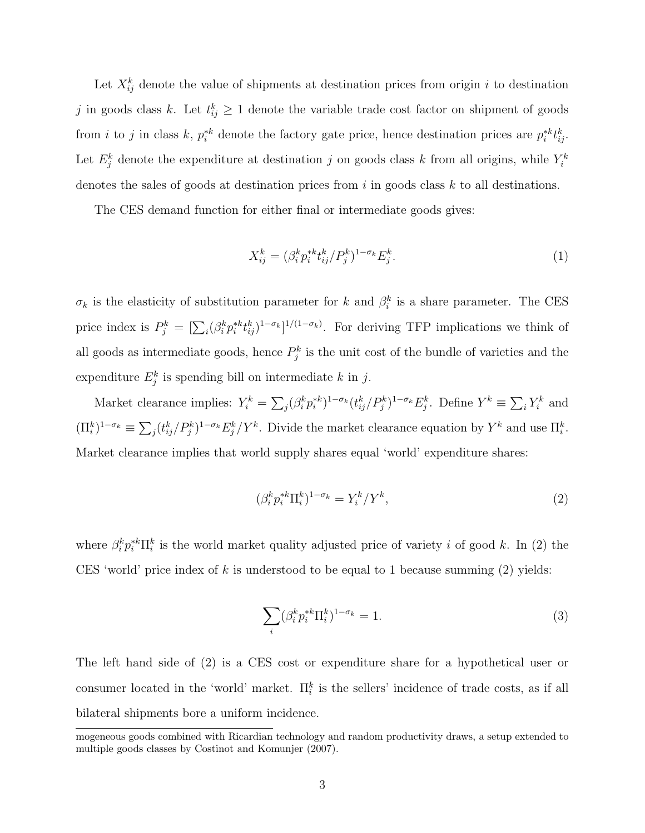Let  $X_{ij}^k$  denote the value of shipments at destination prices from origin i to destination j in goods class k. Let  $t_{ij}^k \geq 1$  denote the variable trade cost factor on shipment of goods from *i* to *j* in class k,  $p_i^{*k}$  denote the factory gate price, hence destination prices are  $p_i^{*k} t_{ij}^k$ . Let  $E_j^k$  denote the expenditure at destination j on goods class k from all origins, while  $Y_i^k$ denotes the sales of goods at destination prices from  $i$  in goods class  $k$  to all destinations.

The CES demand function for either final or intermediate goods gives:

$$
X_{ij}^k = (\beta_i^k p_i^{*k} t_{ij}^k / P_j^k)^{1 - \sigma_k} E_j^k.
$$
\n(1)

 $\sigma_k$  is the elasticity of substitution parameter for k and  $\beta_i^k$  is a share parameter. The CES price index is  $P_j^k = \left[\sum_i (\beta_i^k p_i^{*k} t_{ij}^k)^{1-\sigma_k}\right]^{1/(1-\sigma_k)}$ . For deriving TFP implications we think of all goods as intermediate goods, hence  $P_j^k$  is the unit cost of the bundle of varieties and the expenditure  $E_j^k$  is spending bill on intermediate k in j.

Market clearance implies:  $Y_i^k = \sum_j (\beta_i^k p_i^{*k})^{1-\sigma_k} (t_{ij}^k/P_j^k)^{1-\sigma_k} E_j^k$ . Define  $Y^k \equiv \sum_i Y_i^k$  and  $(\Pi_i^k)^{1-\sigma_k} \equiv \sum_j (t_{ij}^k / P_j^k)^{1-\sigma_k} E_j^k / Y^k$ . Divide the market clearance equation by  $Y^k$  and use  $\Pi_i^k$ . Market clearance implies that world supply shares equal 'world' expenditure shares:

$$
(\beta_i^k p_i^{*k} \Pi_i^k)^{1-\sigma_k} = Y_i^k / Y^k,\tag{2}
$$

where  $\beta_i^k p_i^{*k} \Pi_i^k$  is the world market quality adjusted price of variety i of good k. In (2) the CES 'world' price index of k is understood to be equal to 1 because summing  $(2)$  yields:

$$
\sum_{i} (\beta_i^k p_i^{*k} \Pi_i^k)^{1-\sigma_k} = 1. \tag{3}
$$

The left hand side of (2) is a CES cost or expenditure share for a hypothetical user or consumer located in the 'world' market.  $\prod_{i=1}^{k}$  is the sellers' incidence of trade costs, as if all bilateral shipments bore a uniform incidence.

mogeneous goods combined with Ricardian technology and random productivity draws, a setup extended to multiple goods classes by Costinot and Komunjer (2007).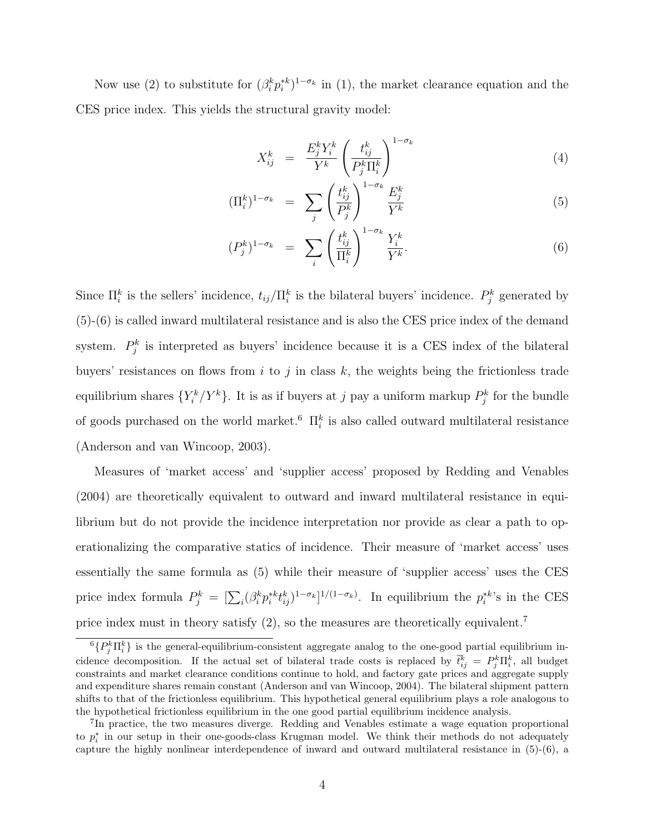Now use (2) to substitute for  $(\beta_i^k p_i^{*k})^{1-\sigma_k}$  in (1), the market clearance equation and the CES price index. This yields the structural gravity model:

$$
X_{ij}^k = \frac{E_j^k Y_i^k}{Y^k} \left(\frac{t_{ij}^k}{P_j^k \Pi_i^k}\right)^{1-\sigma_k} \tag{4}
$$

$$
(\Pi_i^k)^{1-\sigma_k} = \sum_j \left(\frac{t_{ij}^k}{P_j^k}\right)^{1-\sigma_k} \frac{E_j^k}{Y^k}
$$
\n
$$
(5)
$$

$$
(P_j^k)^{1-\sigma_k} = \sum_i \left(\frac{t_{ij}^k}{\Pi_i^k}\right)^{1-\sigma_k} \frac{Y_i^k}{Y^k}.
$$
\n
$$
(6)
$$

Since  $\Pi_i^k$  is the sellers' incidence,  $t_{ij}/\Pi_i^k$  is the bilateral buyers' incidence.  $P_j^k$  generated by (5)-(6) is called inward multilateral resistance and is also the CES price index of the demand system.  $P_j^k$  is interpreted as buyers' incidence because it is a CES index of the bilateral buyers' resistances on flows from  $i$  to  $j$  in class  $k$ , the weights being the frictionless trade equilibrium shares  ${Y_i^k/Y^k}$ . It is as if buyers at j pay a uniform markup  $P_j^k$  for the bundle of goods purchased on the world market.<sup>6</sup>  $\prod_{i=1}^{k}$  is also called outward multilateral resistance (Anderson and van Wincoop, 2003).

Measures of 'market access' and 'supplier access' proposed by Redding and Venables (2004) are theoretically equivalent to outward and inward multilateral resistance in equilibrium but do not provide the incidence interpretation nor provide as clear a path to operationalizing the comparative statics of incidence. Their measure of 'market access' uses essentially the same formula as (5) while their measure of 'supplier access' uses the CES price index formula  $P_j^k = [\sum_i (\beta_i^k p_i^{*k} t_{ij}^k)^{1-\sigma_k}]^{1/(1-\sigma_k)}$ . In equilibrium the  $p_i^{*k}$ 's in the CES price index must in theory satisfy (2), so the measures are theoretically equivalent.<sup>7</sup>

 ${}^6\{P_j^k\Pi_i^k\}$  is the general-equilibrium-consistent aggregate analog to the one-good partial equilibrium incidence decomposition. If the actual set of bilateral trade costs is replaced by  $\tilde{t}_{ij}^k = P_j^k \Pi_i^k$ , all budget constraints and market clearance conditions continue to hold, and factory gate prices and aggregate supply and expenditure shares remain constant (Anderson and van Wincoop, 2004). The bilateral shipment pattern shifts to that of the frictionless equilibrium. This hypothetical general equilibrium plays a role analogous to the hypothetical frictionless equilibrium in the one good partial equilibrium incidence analysis.

<sup>&</sup>lt;sup>7</sup>In practice, the two measures diverge. Redding and Venables estimate a wage equation proportional to  $p_i^*$  in our setup in their one-goods-class Krugman model. We think their methods do not adequately capture the highly nonlinear interdependence of inward and outward multilateral resistance in (5)-(6), a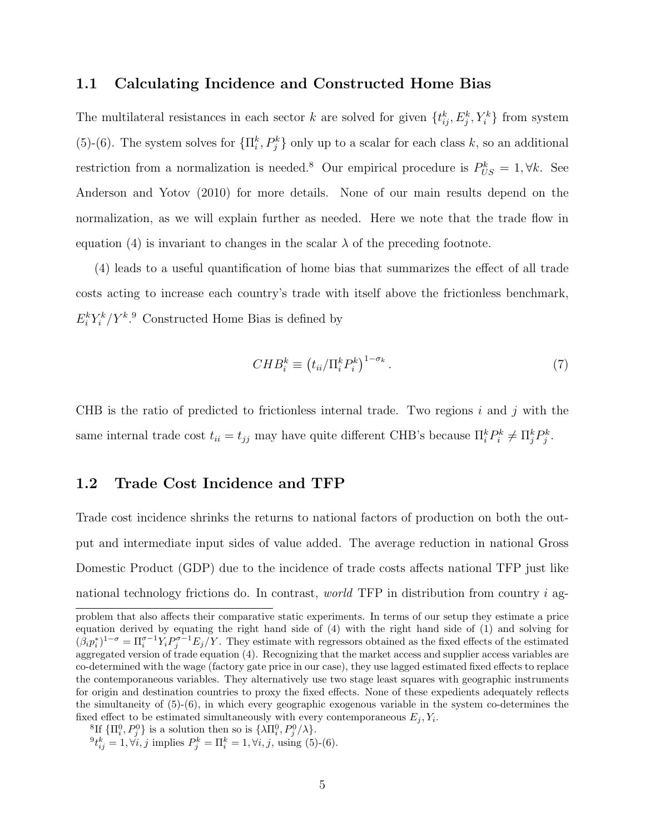### 1.1 Calculating Incidence and Constructed Home Bias

The multilateral resistances in each sector k are solved for given  $\{t_{ij}^k, E_j^k, Y_i^k\}$  from system (5)-(6). The system solves for  $\{\Pi_i^k, P_j^k\}$  only up to a scalar for each class k, so an additional restriction from a normalization is needed.<sup>8</sup> Our empirical procedure is  $P_{US}^k = 1, \forall k$ . See Anderson and Yotov (2010) for more details. None of our main results depend on the normalization, as we will explain further as needed. Here we note that the trade flow in equation (4) is invariant to changes in the scalar  $\lambda$  of the preceding footnote.

(4) leads to a useful quantification of home bias that summarizes the effect of all trade costs acting to increase each country's trade with itself above the frictionless benchmark,  $E_i^k Y_i^k/Y_k^k$ . Constructed Home Bias is defined by

$$
CHB_i^k \equiv \left(t_{ii}/\Pi_i^k P_i^k\right)^{1-\sigma_k}.\tag{7}
$$

CHB is the ratio of predicted to frictionless internal trade. Two regions i and j with the same internal trade cost  $t_{ii} = t_{jj}$  may have quite different CHB's because  $\prod_{i}^{k} P_{i}^{k} \neq \prod_{j}^{k} P_{j}^{k}$ .

#### 1.2 Trade Cost Incidence and TFP

Trade cost incidence shrinks the returns to national factors of production on both the output and intermediate input sides of value added. The average reduction in national Gross Domestic Product (GDP) due to the incidence of trade costs affects national TFP just like national technology frictions do. In contrast, *world* TFP in distribution from country i ag-

<sup>8</sup>If  ${\{\Pi_i^0, P_j^0\}}$  is a solution then so is  ${\{\lambda \Pi_i^0, P_j^0/\lambda\}}$ .

 ${}^{9}t_{ij}^{k} = 1, \forall i, j$  implies  $P_{j}^{k} = \Pi_{i}^{k} = 1, \forall i, j$ , using (5)-(6).

problem that also affects their comparative static experiments. In terms of our setup they estimate a price equation derived by equating the right hand side of (4) with the right hand side of (1) and solving for  $(\beta_i p_i^*)^{1-\sigma} = \prod_i^{\sigma-1} Y_i P_j^{\sigma-1} E_j/Y$ . They estimate with regressors obtained as the fixed effects of the estimated aggregated version of trade equation (4). Recognizing that the market access and supplier access variables are co-determined with the wage (factory gate price in our case), they use lagged estimated fixed effects to replace the contemporaneous variables. They alternatively use two stage least squares with geographic instruments for origin and destination countries to proxy the fixed effects. None of these expedients adequately reflects the simultaneity of  $(5)-(6)$ , in which every geographic exogenous variable in the system co-determines the fixed effect to be estimated simultaneously with every contemporaneous  $E_j$ ,  $Y_i$ .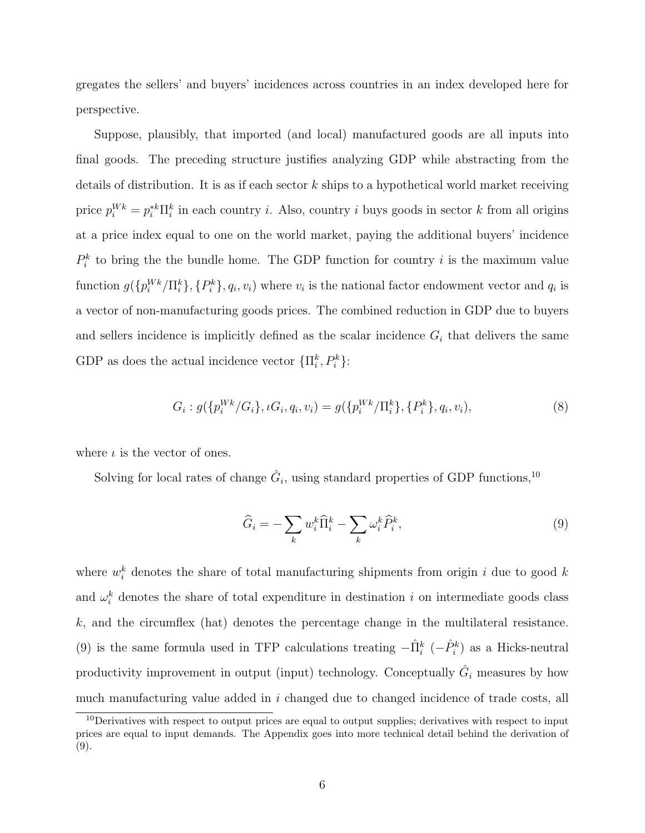gregates the sellers' and buyers' incidences across countries in an index developed here for perspective.

Suppose, plausibly, that imported (and local) manufactured goods are all inputs into final goods. The preceding structure justifies analyzing GDP while abstracting from the details of distribution. It is as if each sector  $k$  ships to a hypothetical world market receiving price  $p_i^{Wk} = p_i^{*k} \Pi_i^k$  in each country *i*. Also, country *i* buys goods in sector *k* from all origins at a price index equal to one on the world market, paying the additional buyers' incidence  $P_i^k$  to bring the the bundle home. The GDP function for country i is the maximum value function  $g(\{p_i^{Wk}/\Pi_i^k\}, \{P_i^k\}, q_i, v_i)$  where  $v_i$  is the national factor endowment vector and  $q_i$  is a vector of non-manufacturing goods prices. The combined reduction in GDP due to buyers and sellers incidence is implicitly defined as the scalar incidence  $G_i$  that delivers the same GDP as does the actual incidence vector  $\{\Pi_i^k, P_i^k\}$ :

$$
G_i: g(\{p_i^{Wk}/G_i\}, \iota G_i, q_i, v_i) = g(\{p_i^{Wk}/\Pi_i^k\}, \{P_i^k\}, q_i, v_i),
$$
\n(8)

where  $\iota$  is the vector of ones.

Solving for local rates of change  $\hat{G}_i$ , using standard properties of GDP functions,<sup>10</sup>

$$
\widehat{G}_i = -\sum_k w_i^k \widehat{\Pi}_i^k - \sum_k \omega_i^k \widehat{P}_i^k, \tag{9}
$$

where  $w_i^k$  denotes the share of total manufacturing shipments from origin i due to good k and  $\omega_i^k$  denotes the share of total expenditure in destination i on intermediate goods class k, and the circumflex (hat) denotes the percentage change in the multilateral resistance. (9) is the same formula used in TFP calculations treating  $-\hat{\Pi}_{i}^{k}$  ( $-\hat{P}_{i}^{k}$ ) as a Hicks-neutral productivity improvement in output (input) technology. Conceptually  $\hat{G}_i$  measures by how much manufacturing value added in i changed due to changed incidence of trade costs, all

<sup>&</sup>lt;sup>10</sup>Derivatives with respect to output prices are equal to output supplies; derivatives with respect to input prices are equal to input demands. The Appendix goes into more technical detail behind the derivation of (9).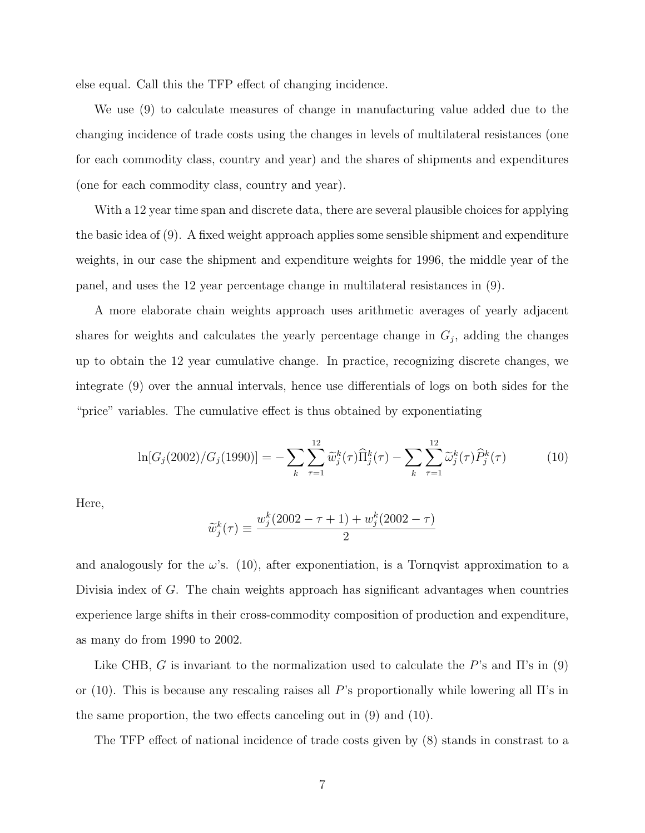else equal. Call this the TFP effect of changing incidence.

We use (9) to calculate measures of change in manufacturing value added due to the changing incidence of trade costs using the changes in levels of multilateral resistances (one for each commodity class, country and year) and the shares of shipments and expenditures (one for each commodity class, country and year).

With a 12 year time span and discrete data, there are several plausible choices for applying the basic idea of (9). A fixed weight approach applies some sensible shipment and expenditure weights, in our case the shipment and expenditure weights for 1996, the middle year of the panel, and uses the 12 year percentage change in multilateral resistances in (9).

A more elaborate chain weights approach uses arithmetic averages of yearly adjacent shares for weights and calculates the yearly percentage change in  $G_j$ , adding the changes up to obtain the 12 year cumulative change. In practice, recognizing discrete changes, we integrate (9) over the annual intervals, hence use differentials of logs on both sides for the "price" variables. The cumulative effect is thus obtained by exponentiating

$$
\ln[G_j(2002)/G_j(1990)] = -\sum_k \sum_{\tau=1}^{12} \widetilde{w}_j^k(\tau) \widehat{\Pi}_j^k(\tau) - \sum_k \sum_{\tau=1}^{12} \widetilde{\omega}_j^k(\tau) \widehat{P}_j^k(\tau)
$$
(10)

Here,

$$
\widetilde{w}_j^k(\tau) \equiv \frac{w_j^k (2002 - \tau + 1) + w_j^k (2002 - \tau)}{2}
$$

and analogously for the  $\omega$ 's. (10), after exponentiation, is a Tornqvist approximation to a Divisia index of G. The chain weights approach has significant advantages when countries experience large shifts in their cross-commodity composition of production and expenditure, as many do from 1990 to 2002.

Like CHB, G is invariant to the normalization used to calculate the P's and  $\Pi$ 's in (9) or (10). This is because any rescaling raises all P's proportionally while lowering all  $\Pi$ 's in the same proportion, the two effects canceling out in (9) and (10).

The TFP effect of national incidence of trade costs given by (8) stands in constrast to a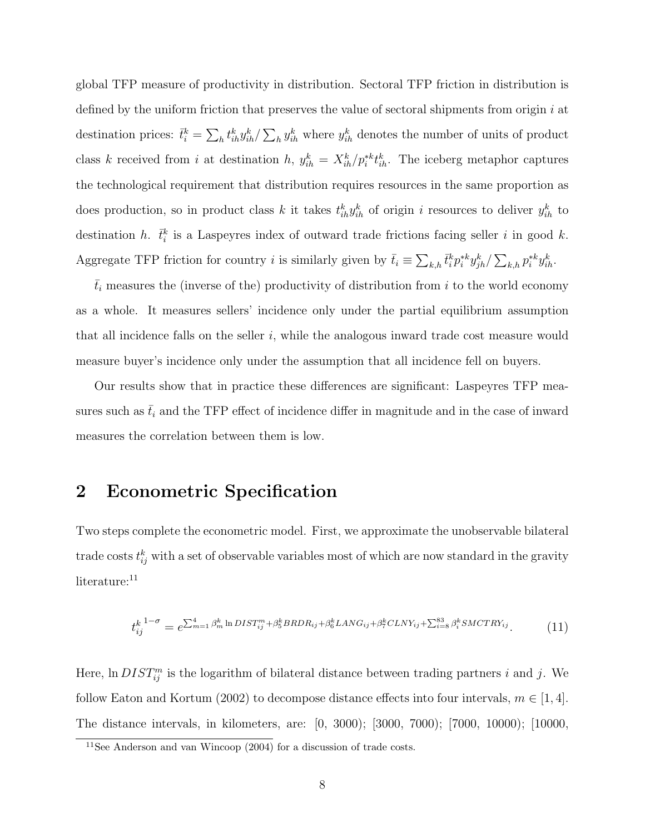global TFP measure of productivity in distribution. Sectoral TFP friction in distribution is defined by the uniform friction that preserves the value of sectoral shipments from origin  $i$  at destination prices:  $\bar{t}_i^k = \sum_h t_{ih}^k y_{ih}^k / \sum_h y_{ih}^k$  where  $y_{ih}^k$  denotes the number of units of product class k received from i at destination h,  $y_{ih}^k = X_{ih}^k / p_i^{*k} t_{ih}^k$ . The iceberg metaphor captures the technological requirement that distribution requires resources in the same proportion as does production, so in product class k it takes  $t_{ih}^k y_{ih}^k$  of origin i resources to deliver  $y_{ih}^k$  to destination h.  $\bar{t}_i^k$  is a Laspeyres index of outward trade frictions facing seller i in good k. Aggregate TFP friction for country *i* is similarly given by  $\bar{t}_i \equiv \sum_{k,h} \bar{t}_i^k p_i^{*k} y_{jh}^k / \sum_{k,h} p_i^{*k} y_{ih}^k$ .

 $\bar{t}_i$  measures the (inverse of the) productivity of distribution from i to the world economy as a whole. It measures sellers' incidence only under the partial equilibrium assumption that all incidence falls on the seller i, while the analogous inward trade cost measure would measure buyer's incidence only under the assumption that all incidence fell on buyers.

Our results show that in practice these differences are significant: Laspeyres TFP measures such as  $\bar{t}_i$  and the TFP effect of incidence differ in magnitude and in the case of inward measures the correlation between them is low.

# 2 Econometric Specification

Two steps complete the econometric model. First, we approximate the unobservable bilateral trade costs  $t_{ij}^k$  with a set of observable variables most of which are now standard in the gravity literature:<sup>11</sup>

$$
t_{ij}^{k^{1-\sigma}} = e^{\sum_{m=1}^{4} \beta_m^k \ln DIST_{ij}^m + \beta_5^k BRDR_{ij} + \beta_6^k LANG_{ij} + \beta_7^k CLNY_{ij} + \sum_{i=8}^{83} \beta_i^k SMCTR_{ij}^k}.
$$
 (11)

Here,  $\ln DIST_{ij}^m$  is the logarithm of bilateral distance between trading partners i and j. We follow Eaton and Kortum (2002) to decompose distance effects into four intervals,  $m \in [1, 4]$ . The distance intervals, in kilometers, are: [0, 3000); [3000, 7000); [7000, 10000); [10000,

<sup>&</sup>lt;sup>11</sup>See Anderson and van Wincoop  $(2004)$  for a discussion of trade costs.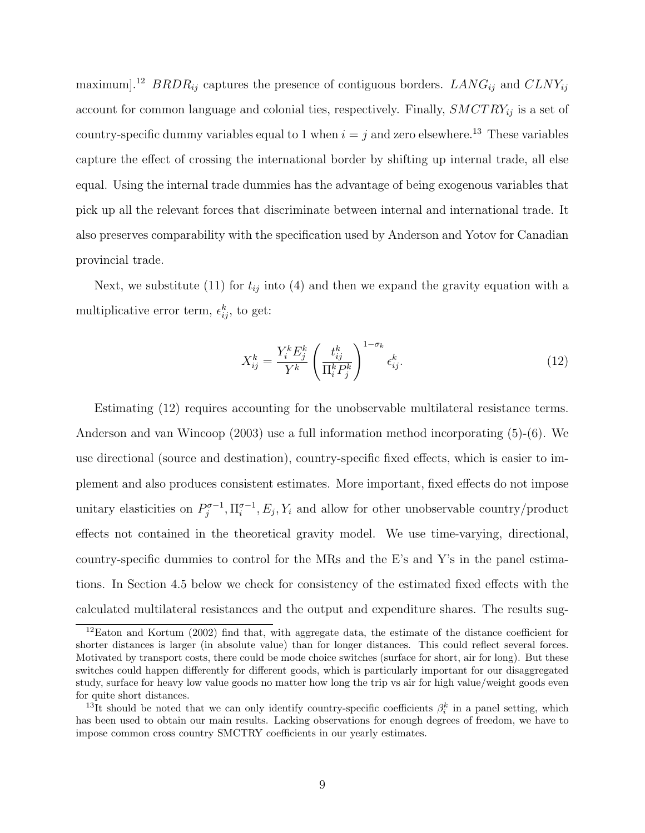maximum].<sup>12</sup> BRDR<sub>ij</sub> captures the presence of contiguous borders.  $LMNG_{ij}$  and  $CLNY_{ij}$ account for common language and colonial ties, respectively. Finally,  $SMCTRY_{ij}$  is a set of country-specific dummy variables equal to 1 when  $i = j$  and zero elsewhere.<sup>13</sup> These variables capture the effect of crossing the international border by shifting up internal trade, all else equal. Using the internal trade dummies has the advantage of being exogenous variables that pick up all the relevant forces that discriminate between internal and international trade. It also preserves comparability with the specification used by Anderson and Yotov for Canadian provincial trade.

Next, we substitute (11) for  $t_{ij}$  into (4) and then we expand the gravity equation with a multiplicative error term,  $\epsilon_{ij}^k$ , to get:

$$
X_{ij}^k = \frac{Y_i^k E_j^k}{Y^k} \left(\frac{t_{ij}^k}{\Pi_i^k P_j^k}\right)^{1-\sigma_k} \epsilon_{ij}^k.
$$
\n(12)

Estimating (12) requires accounting for the unobservable multilateral resistance terms. Anderson and van Wincoop (2003) use a full information method incorporating (5)-(6). We use directional (source and destination), country-specific fixed effects, which is easier to implement and also produces consistent estimates. More important, fixed effects do not impose unitary elasticities on  $P_i^{\sigma-1}$  $j^{\sigma-1}, \Pi_i^{\sigma-1}$  $e^{-1}$ ,  $E_j$ ,  $Y_i$  and allow for other unobservable country/product effects not contained in the theoretical gravity model. We use time-varying, directional, country-specific dummies to control for the MRs and the E's and Y's in the panel estimations. In Section 4.5 below we check for consistency of the estimated fixed effects with the calculated multilateral resistances and the output and expenditure shares. The results sug-

<sup>12</sup>Eaton and Kortum (2002) find that, with aggregate data, the estimate of the distance coefficient for shorter distances is larger (in absolute value) than for longer distances. This could reflect several forces. Motivated by transport costs, there could be mode choice switches (surface for short, air for long). But these switches could happen differently for different goods, which is particularly important for our disaggregated study, surface for heavy low value goods no matter how long the trip vs air for high value/weight goods even for quite short distances.

<sup>&</sup>lt;sup>13</sup>It should be noted that we can only identify country-specific coefficients  $\beta_i^k$  in a panel setting, which has been used to obtain our main results. Lacking observations for enough degrees of freedom, we have to impose common cross country SMCTRY coefficients in our yearly estimates.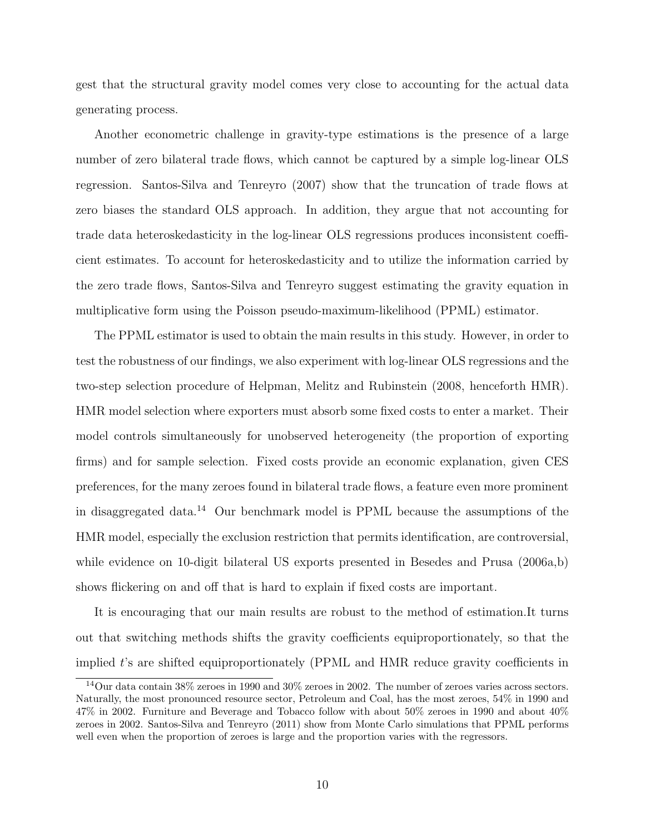gest that the structural gravity model comes very close to accounting for the actual data generating process.

Another econometric challenge in gravity-type estimations is the presence of a large number of zero bilateral trade flows, which cannot be captured by a simple log-linear OLS regression. Santos-Silva and Tenreyro (2007) show that the truncation of trade flows at zero biases the standard OLS approach. In addition, they argue that not accounting for trade data heteroskedasticity in the log-linear OLS regressions produces inconsistent coefficient estimates. To account for heteroskedasticity and to utilize the information carried by the zero trade flows, Santos-Silva and Tenreyro suggest estimating the gravity equation in multiplicative form using the Poisson pseudo-maximum-likelihood (PPML) estimator.

The PPML estimator is used to obtain the main results in this study. However, in order to test the robustness of our findings, we also experiment with log-linear OLS regressions and the two-step selection procedure of Helpman, Melitz and Rubinstein (2008, henceforth HMR). HMR model selection where exporters must absorb some fixed costs to enter a market. Their model controls simultaneously for unobserved heterogeneity (the proportion of exporting firms) and for sample selection. Fixed costs provide an economic explanation, given CES preferences, for the many zeroes found in bilateral trade flows, a feature even more prominent in disaggregated data.<sup>14</sup> Our benchmark model is PPML because the assumptions of the HMR model, especially the exclusion restriction that permits identification, are controversial, while evidence on 10-digit bilateral US exports presented in Besedes and Prusa (2006a,b) shows flickering on and off that is hard to explain if fixed costs are important.

It is encouraging that our main results are robust to the method of estimation.It turns out that switching methods shifts the gravity coefficients equiproportionately, so that the implied t's are shifted equiproportionately (PPML and HMR reduce gravity coefficients in

<sup>14</sup>Our data contain 38% zeroes in 1990 and 30% zeroes in 2002. The number of zeroes varies across sectors. Naturally, the most pronounced resource sector, Petroleum and Coal, has the most zeroes, 54% in 1990 and 47% in 2002. Furniture and Beverage and Tobacco follow with about 50% zeroes in 1990 and about 40% zeroes in 2002. Santos-Silva and Tenreyro (2011) show from Monte Carlo simulations that PPML performs well even when the proportion of zeroes is large and the proportion varies with the regressors.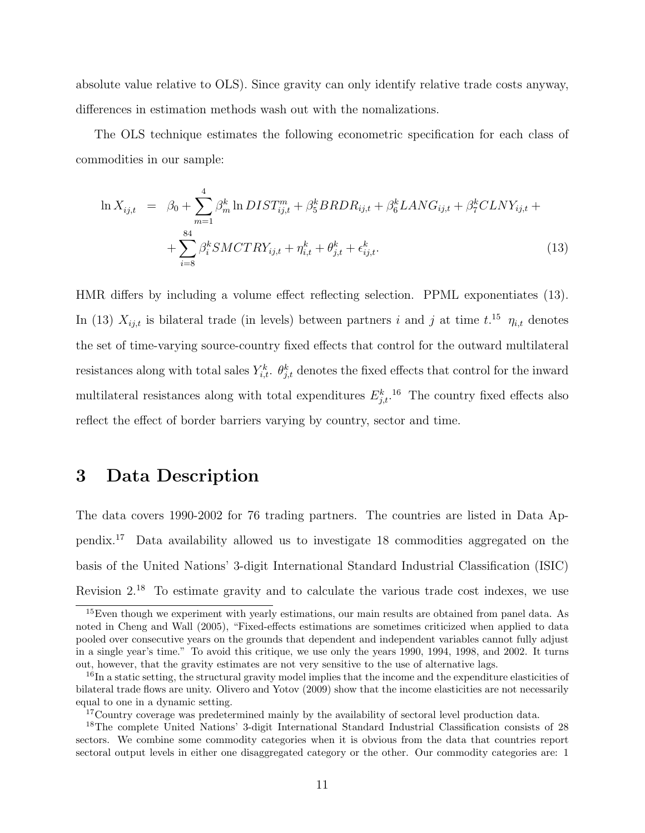absolute value relative to OLS). Since gravity can only identify relative trade costs anyway, differences in estimation methods wash out with the nomalizations.

The OLS technique estimates the following econometric specification for each class of commodities in our sample:

$$
\ln X_{ij,t} = \beta_0 + \sum_{m=1}^4 \beta_m^k \ln DIST_{ij,t}^m + \beta_5^k BRDR_{ij,t} + \beta_6^k LANG_{ij,t} + \beta_7^k CLNY_{ij,t} + \sum_{i=8}^{84} \beta_i^k SMCTR_{ij,t} + \eta_{i,t}^k + \theta_{j,t}^k + \epsilon_{ij,t}^k.
$$
\n(13)

HMR differs by including a volume effect reflecting selection. PPML exponentiates (13). In (13)  $X_{ij,t}$  is bilateral trade (in levels) between partners i and j at time t.<sup>15</sup>  $\eta_{i,t}$  denotes the set of time-varying source-country fixed effects that control for the outward multilateral resistances along with total sales  $Y_{i,t}^k$ .  $\theta_{j,t}^k$  denotes the fixed effects that control for the inward multilateral resistances along with total expenditures  $E_{j,t}^k$ .<sup>16</sup> The country fixed effects also reflect the effect of border barriers varying by country, sector and time.

# 3 Data Description

The data covers 1990-2002 for 76 trading partners. The countries are listed in Data Appendix.<sup>17</sup> Data availability allowed us to investigate 18 commodities aggregated on the basis of the United Nations' 3-digit International Standard Industrial Classification (ISIC) Revision 2.<sup>18</sup> To estimate gravity and to calculate the various trade cost indexes, we use

<sup>&</sup>lt;sup>15</sup>Even though we experiment with yearly estimations, our main results are obtained from panel data. As noted in Cheng and Wall (2005), "Fixed-effects estimations are sometimes criticized when applied to data pooled over consecutive years on the grounds that dependent and independent variables cannot fully adjust in a single year's time." To avoid this critique, we use only the years 1990, 1994, 1998, and 2002. It turns out, however, that the gravity estimates are not very sensitive to the use of alternative lags.

<sup>&</sup>lt;sup>16</sup>In a static setting, the structural gravity model implies that the income and the expenditure elasticities of bilateral trade flows are unity. Olivero and Yotov (2009) show that the income elasticities are not necessarily equal to one in a dynamic setting.

<sup>&</sup>lt;sup>17</sup>Country coverage was predetermined mainly by the availability of sectoral level production data.

<sup>18</sup>The complete United Nations' 3-digit International Standard Industrial Classification consists of 28 sectors. We combine some commodity categories when it is obvious from the data that countries report sectoral output levels in either one disaggregated category or the other. Our commodity categories are: 1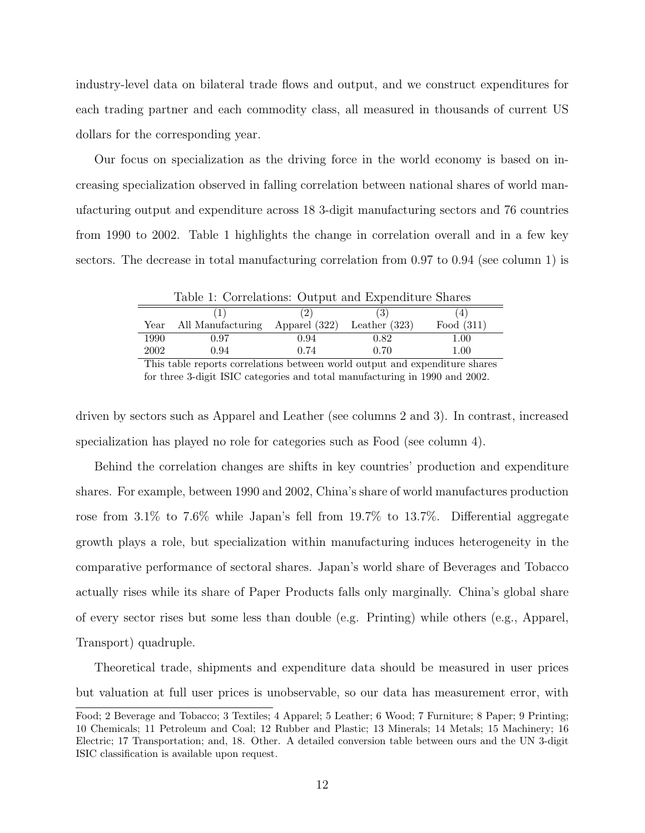industry-level data on bilateral trade flows and output, and we construct expenditures for each trading partner and each commodity class, all measured in thousands of current US dollars for the corresponding year.

Our focus on specialization as the driving force in the world economy is based on increasing specialization observed in falling correlation between national shares of world manufacturing output and expenditure across 18 3-digit manufacturing sectors and 76 countries from 1990 to 2002. Table 1 highlights the change in correlation overall and in a few key sectors. The decrease in total manufacturing correlation from 0.97 to 0.94 (see column 1) is

| Table 1: Correlations: Output and Expenditure Shares |                   |                 |                 |              |  |  |  |  |
|------------------------------------------------------|-------------------|-----------------|-----------------|--------------|--|--|--|--|
|                                                      |                   |                 | (3)             | [4]          |  |  |  |  |
| Year                                                 | All Manufacturing | Apparel $(322)$ | Leather $(323)$ | Food $(311)$ |  |  |  |  |
| 1990                                                 | 0.97              | 0.94            | 0.82            | 1.00         |  |  |  |  |
| 2002                                                 | 0.94              | 0.74            | 0.70            | 1.00         |  |  |  |  |

This table reports correlations between world output and expenditure shares for three 3-digit ISIC categories and total manufacturing in 1990 and 2002.

driven by sectors such as Apparel and Leather (see columns 2 and 3). In contrast, increased specialization has played no role for categories such as Food (see column 4).

Behind the correlation changes are shifts in key countries' production and expenditure shares. For example, between 1990 and 2002, China's share of world manufactures production rose from 3.1% to 7.6% while Japan's fell from 19.7% to 13.7%. Differential aggregate growth plays a role, but specialization within manufacturing induces heterogeneity in the comparative performance of sectoral shares. Japan's world share of Beverages and Tobacco actually rises while its share of Paper Products falls only marginally. China's global share of every sector rises but some less than double (e.g. Printing) while others (e.g., Apparel, Transport) quadruple.

Theoretical trade, shipments and expenditure data should be measured in user prices but valuation at full user prices is unobservable, so our data has measurement error, with

Food; 2 Beverage and Tobacco; 3 Textiles; 4 Apparel; 5 Leather; 6 Wood; 7 Furniture; 8 Paper; 9 Printing; 10 Chemicals; 11 Petroleum and Coal; 12 Rubber and Plastic; 13 Minerals; 14 Metals; 15 Machinery; 16 Electric; 17 Transportation; and, 18. Other. A detailed conversion table between ours and the UN 3-digit ISIC classification is available upon request.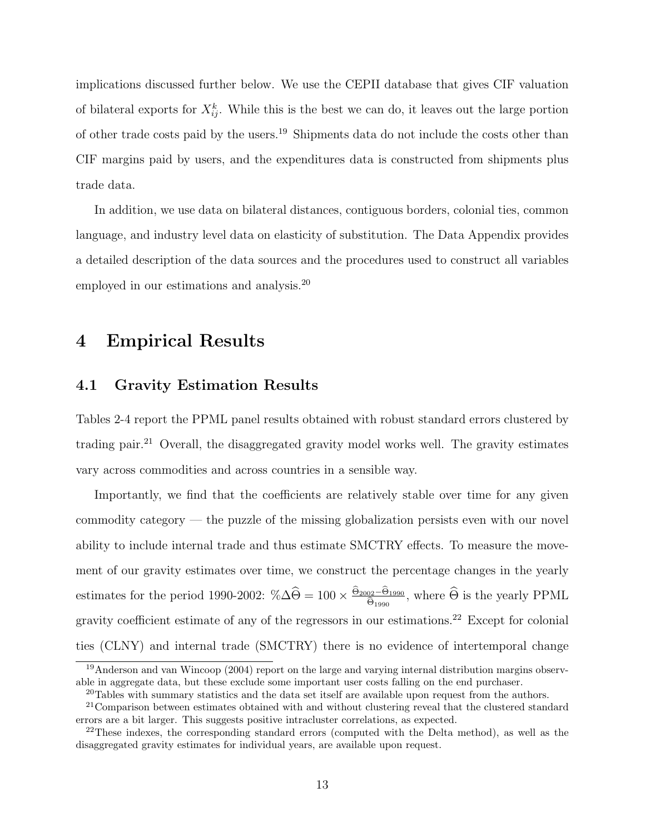implications discussed further below. We use the CEPII database that gives CIF valuation of bilateral exports for  $X_{ij}^k$ . While this is the best we can do, it leaves out the large portion of other trade costs paid by the users.<sup>19</sup> Shipments data do not include the costs other than CIF margins paid by users, and the expenditures data is constructed from shipments plus trade data.

In addition, we use data on bilateral distances, contiguous borders, colonial ties, common language, and industry level data on elasticity of substitution. The Data Appendix provides a detailed description of the data sources and the procedures used to construct all variables employed in our estimations and analysis.<sup>20</sup>

# 4 Empirical Results

#### 4.1 Gravity Estimation Results

Tables 2-4 report the PPML panel results obtained with robust standard errors clustered by trading pair.<sup>21</sup> Overall, the disaggregated gravity model works well. The gravity estimates vary across commodities and across countries in a sensible way.

Importantly, we find that the coefficients are relatively stable over time for any given commodity category — the puzzle of the missing globalization persists even with our novel ability to include internal trade and thus estimate SMCTRY effects. To measure the movement of our gravity estimates over time, we construct the percentage changes in the yearly estimates for the period 1990-2002:  $\%\Delta\widehat{\Theta} = 100 \times \frac{\Theta_{2002} - \Theta_{1990}}{\widehat{\Theta}_{1990}}$  $\frac{\partial 2 - \Theta_{1990}}{\Theta_{1990}}$ , where  $\Theta$  is the yearly PPML gravity coefficient estimate of any of the regressors in our estimations.<sup>22</sup> Except for colonial ties (CLNY) and internal trade (SMCTRY) there is no evidence of intertemporal change

<sup>19</sup>Anderson and van Wincoop (2004) report on the large and varying internal distribution margins observable in aggregate data, but these exclude some important user costs falling on the end purchaser.

 $20$ Tables with summary statistics and the data set itself are available upon request from the authors.

<sup>21</sup>Comparison between estimates obtained with and without clustering reveal that the clustered standard errors are a bit larger. This suggests positive intracluster correlations, as expected.

 $22$ These indexes, the corresponding standard errors (computed with the Delta method), as well as the disaggregated gravity estimates for individual years, are available upon request.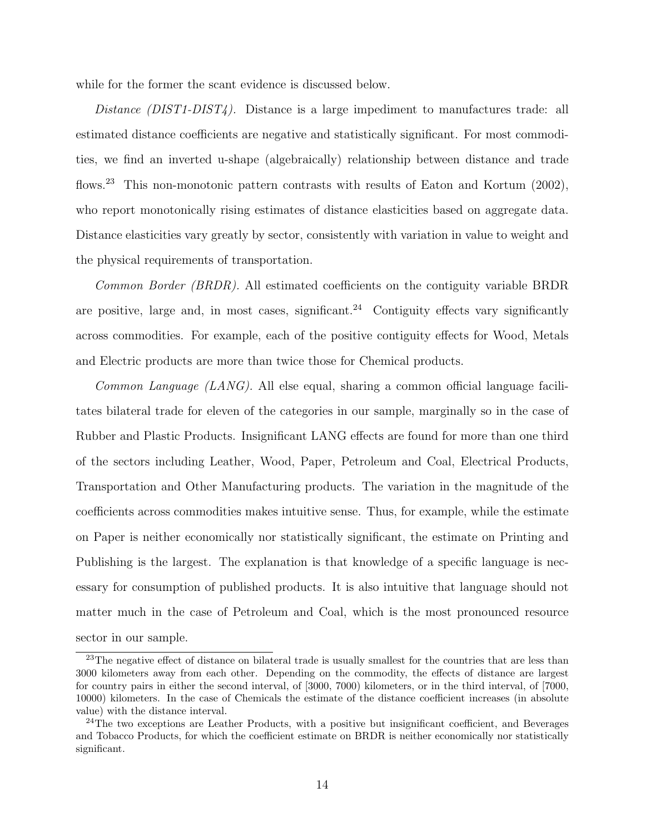while for the former the scant evidence is discussed below.

Distance  $(DIST1-DIST4)$ . Distance is a large impediment to manufactures trade: all estimated distance coefficients are negative and statistically significant. For most commodities, we find an inverted u-shape (algebraically) relationship between distance and trade flows.<sup>23</sup> This non-monotonic pattern contrasts with results of Eaton and Kortum (2002), who report monotonically rising estimates of distance elasticities based on aggregate data. Distance elasticities vary greatly by sector, consistently with variation in value to weight and the physical requirements of transportation.

Common Border (BRDR). All estimated coefficients on the contiguity variable BRDR are positive, large and, in most cases, significant.<sup>24</sup> Contiguity effects vary significantly across commodities. For example, each of the positive contiguity effects for Wood, Metals and Electric products are more than twice those for Chemical products.

Common Language (LANG). All else equal, sharing a common official language facilitates bilateral trade for eleven of the categories in our sample, marginally so in the case of Rubber and Plastic Products. Insignificant LANG effects are found for more than one third of the sectors including Leather, Wood, Paper, Petroleum and Coal, Electrical Products, Transportation and Other Manufacturing products. The variation in the magnitude of the coefficients across commodities makes intuitive sense. Thus, for example, while the estimate on Paper is neither economically nor statistically significant, the estimate on Printing and Publishing is the largest. The explanation is that knowledge of a specific language is necessary for consumption of published products. It is also intuitive that language should not matter much in the case of Petroleum and Coal, which is the most pronounced resource sector in our sample.

<sup>&</sup>lt;sup>23</sup>The negative effect of distance on bilateral trade is usually smallest for the countries that are less than 3000 kilometers away from each other. Depending on the commodity, the effects of distance are largest for country pairs in either the second interval, of [3000, 7000) kilometers, or in the third interval, of [7000, 10000) kilometers. In the case of Chemicals the estimate of the distance coefficient increases (in absolute value) with the distance interval.

 $24$ The two exceptions are Leather Products, with a positive but insignificant coefficient, and Beverages and Tobacco Products, for which the coefficient estimate on BRDR is neither economically nor statistically significant.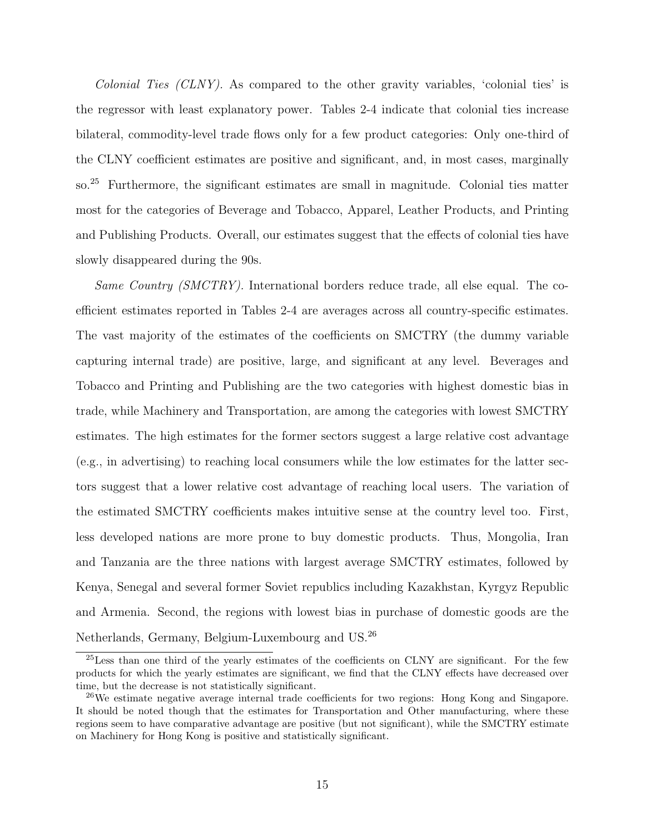Colonial Ties (CLNY). As compared to the other gravity variables, 'colonial ties' is the regressor with least explanatory power. Tables 2-4 indicate that colonial ties increase bilateral, commodity-level trade flows only for a few product categories: Only one-third of the CLNY coefficient estimates are positive and significant, and, in most cases, marginally so.<sup>25</sup> Furthermore, the significant estimates are small in magnitude. Colonial ties matter most for the categories of Beverage and Tobacco, Apparel, Leather Products, and Printing and Publishing Products. Overall, our estimates suggest that the effects of colonial ties have slowly disappeared during the 90s.

Same Country (SMCTRY). International borders reduce trade, all else equal. The coefficient estimates reported in Tables 2-4 are averages across all country-specific estimates. The vast majority of the estimates of the coefficients on SMCTRY (the dummy variable capturing internal trade) are positive, large, and significant at any level. Beverages and Tobacco and Printing and Publishing are the two categories with highest domestic bias in trade, while Machinery and Transportation, are among the categories with lowest SMCTRY estimates. The high estimates for the former sectors suggest a large relative cost advantage (e.g., in advertising) to reaching local consumers while the low estimates for the latter sectors suggest that a lower relative cost advantage of reaching local users. The variation of the estimated SMCTRY coefficients makes intuitive sense at the country level too. First, less developed nations are more prone to buy domestic products. Thus, Mongolia, Iran and Tanzania are the three nations with largest average SMCTRY estimates, followed by Kenya, Senegal and several former Soviet republics including Kazakhstan, Kyrgyz Republic and Armenia. Second, the regions with lowest bias in purchase of domestic goods are the Netherlands, Germany, Belgium-Luxembourg and US.<sup>26</sup>

<sup>&</sup>lt;sup>25</sup>Less than one third of the yearly estimates of the coefficients on CLNY are significant. For the few products for which the yearly estimates are significant, we find that the CLNY effects have decreased over time, but the decrease is not statistically significant.

<sup>26</sup>We estimate negative average internal trade coefficients for two regions: Hong Kong and Singapore. It should be noted though that the estimates for Transportation and Other manufacturing, where these regions seem to have comparative advantage are positive (but not significant), while the SMCTRY estimate on Machinery for Hong Kong is positive and statistically significant.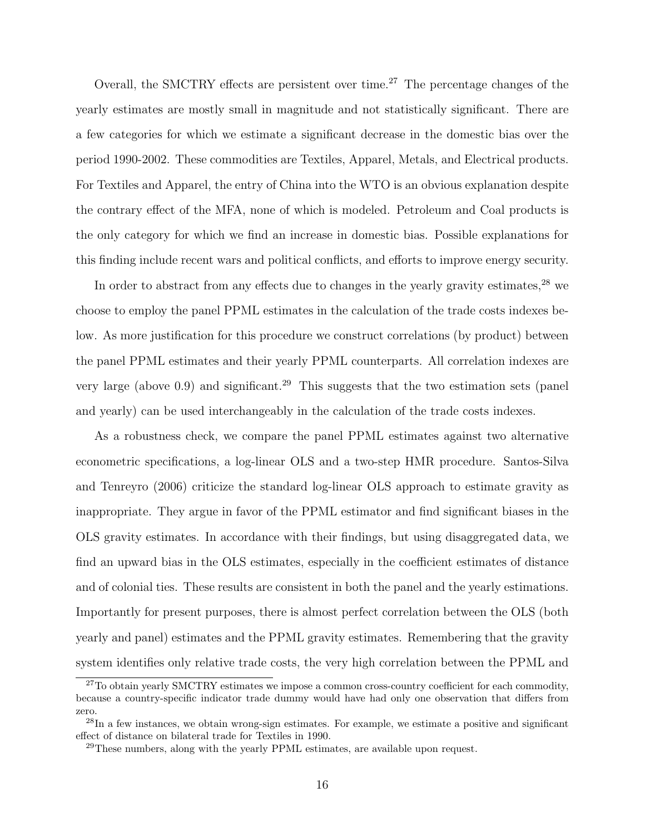Overall, the SMCTRY effects are persistent over time.<sup>27</sup> The percentage changes of the yearly estimates are mostly small in magnitude and not statistically significant. There are a few categories for which we estimate a significant decrease in the domestic bias over the period 1990-2002. These commodities are Textiles, Apparel, Metals, and Electrical products. For Textiles and Apparel, the entry of China into the WTO is an obvious explanation despite the contrary effect of the MFA, none of which is modeled. Petroleum and Coal products is the only category for which we find an increase in domestic bias. Possible explanations for this finding include recent wars and political conflicts, and efforts to improve energy security.

In order to abstract from any effects due to changes in the yearly gravity estimates,  $28$  we choose to employ the panel PPML estimates in the calculation of the trade costs indexes below. As more justification for this procedure we construct correlations (by product) between the panel PPML estimates and their yearly PPML counterparts. All correlation indexes are very large (above 0.9) and significant.<sup>29</sup> This suggests that the two estimation sets (panel and yearly) can be used interchangeably in the calculation of the trade costs indexes.

As a robustness check, we compare the panel PPML estimates against two alternative econometric specifications, a log-linear OLS and a two-step HMR procedure. Santos-Silva and Tenreyro (2006) criticize the standard log-linear OLS approach to estimate gravity as inappropriate. They argue in favor of the PPML estimator and find significant biases in the OLS gravity estimates. In accordance with their findings, but using disaggregated data, we find an upward bias in the OLS estimates, especially in the coefficient estimates of distance and of colonial ties. These results are consistent in both the panel and the yearly estimations. Importantly for present purposes, there is almost perfect correlation between the OLS (both yearly and panel) estimates and the PPML gravity estimates. Remembering that the gravity system identifies only relative trade costs, the very high correlation between the PPML and

<sup>&</sup>lt;sup>27</sup>To obtain yearly SMCTRY estimates we impose a common cross-country coefficient for each commodity, because a country-specific indicator trade dummy would have had only one observation that differs from zero.

 $^{28}$ In a few instances, we obtain wrong-sign estimates. For example, we estimate a positive and significant effect of distance on bilateral trade for Textiles in 1990.

 $^{29}$ These numbers, along with the yearly PPML estimates, are available upon request.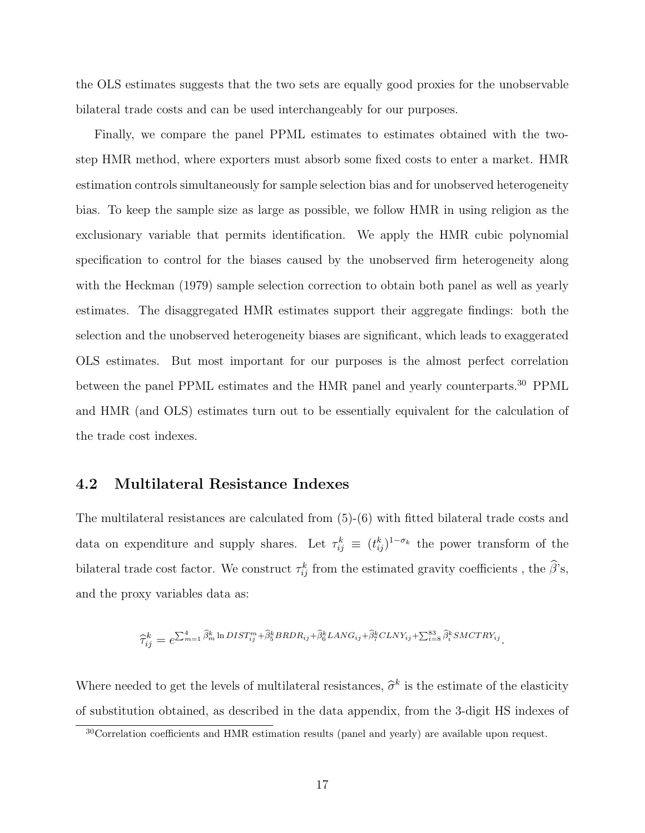the OLS estimates suggests that the two sets are equally good proxies for the unobservable bilateral trade costs and can be used interchangeably for our purposes.

Finally, we compare the panel PPML estimates to estimates obtained with the twostep HMR method, where exporters must absorb some fixed costs to enter a market. HMR estimation controls simultaneously for sample selection bias and for unobserved heterogeneity bias. To keep the sample size as large as possible, we follow HMR in using religion as the exclusionary variable that permits identification. We apply the HMR cubic polynomial specification to control for the biases caused by the unobserved firm heterogeneity along with the Heckman (1979) sample selection correction to obtain both panel as well as yearly estimates. The disaggregated HMR estimates support their aggregate findings: both the selection and the unobserved heterogeneity biases are significant, which leads to exaggerated OLS estimates. But most important for our purposes is the almost perfect correlation between the panel PPML estimates and the HMR panel and yearly counterparts.<sup>30</sup> PPML and HMR (and OLS) estimates turn out to be essentially equivalent for the calculation of the trade cost indexes.

#### 4.2 Multilateral Resistance Indexes

The multilateral resistances are calculated from (5)-(6) with fitted bilateral trade costs and data on expenditure and supply shares. Let  $\tau_{ij}^k \equiv (t_{ij}^k)^{1-\sigma_k}$  the power transform of the bilateral trade cost factor. We construct  $\tau_{ij}^k$  from the estimated gravity coefficients, the  $\hat{\beta}$ 's, and the proxy variables data as:

$$
\widehat{\tau}_{ij}^k = e^{\sum_{m=1}^4 \widehat{\beta}_m^k \ln DIST_{ij}^m + \widehat{\beta}_5^k BRDR_{ij} + \widehat{\beta}_6^k LANG_{ij} + \widehat{\beta}_7^k CLNY_{ij} + \sum_{i=8}^{83} \widehat{\beta}_i^k SMCTR_{ij}^k}.
$$

Where needed to get the levels of multilateral resistances,  $\hat{\sigma}^k$  is the estimate of the elasticity of substitution obtained, as described in the data appendix, from the 3-digit HS indexes of

<sup>&</sup>lt;sup>30</sup>Correlation coefficients and HMR estimation results (panel and yearly) are available upon request.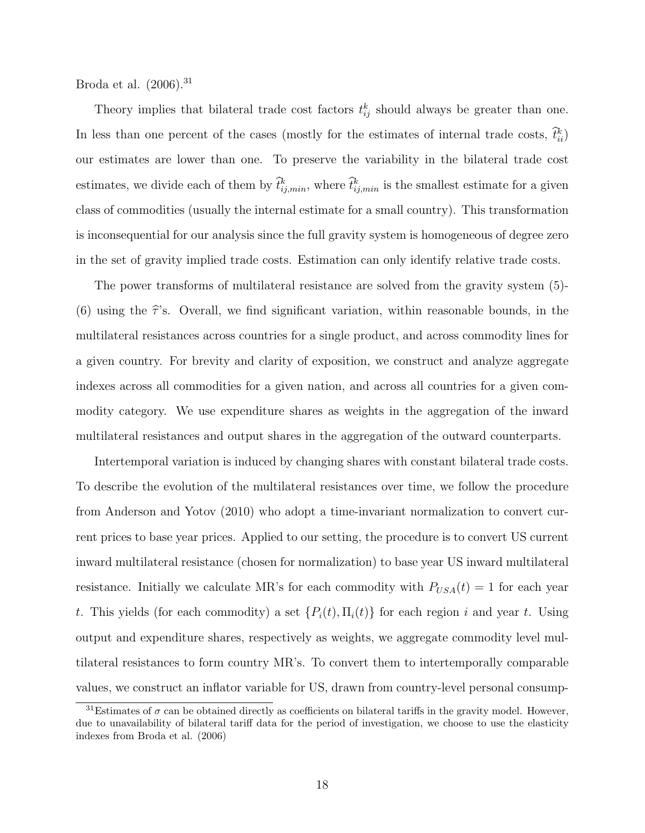Broda et al.  $(2006).^{31}$ 

Theory implies that bilateral trade cost factors  $t_{ij}^k$  should always be greater than one. In less than one percent of the cases (mostly for the estimates of internal trade costs,  $\hat{t}_{ii}^k$ ) our estimates are lower than one. To preserve the variability in the bilateral trade cost estimates, we divide each of them by  $\hat{t}_{ij,min}^k$ , where  $\hat{t}_{ij,min}^k$  is the smallest estimate for a given class of commodities (usually the internal estimate for a small country). This transformation is inconsequential for our analysis since the full gravity system is homogeneous of degree zero in the set of gravity implied trade costs. Estimation can only identify relative trade costs.

The power transforms of multilateral resistance are solved from the gravity system (5)- (6) using the  $\hat{\tau}$ 's. Overall, we find significant variation, within reasonable bounds, in the multilateral resistances across countries for a single product, and across commodity lines for a given country. For brevity and clarity of exposition, we construct and analyze aggregate indexes across all commodities for a given nation, and across all countries for a given commodity category. We use expenditure shares as weights in the aggregation of the inward multilateral resistances and output shares in the aggregation of the outward counterparts.

Intertemporal variation is induced by changing shares with constant bilateral trade costs. To describe the evolution of the multilateral resistances over time, we follow the procedure from Anderson and Yotov (2010) who adopt a time-invariant normalization to convert current prices to base year prices. Applied to our setting, the procedure is to convert US current inward multilateral resistance (chosen for normalization) to base year US inward multilateral resistance. Initially we calculate MR's for each commodity with  $P_{USA}(t) = 1$  for each year t. This yields (for each commodity) a set  $\{P_i(t), \Pi_i(t)\}\$ for each region i and year t. Using output and expenditure shares, respectively as weights, we aggregate commodity level multilateral resistances to form country MR's. To convert them to intertemporally comparable values, we construct an inflator variable for US, drawn from country-level personal consump-

<sup>&</sup>lt;sup>31</sup>Estimates of  $\sigma$  can be obtained directly as coefficients on bilateral tariffs in the gravity model. However, due to unavailability of bilateral tariff data for the period of investigation, we choose to use the elasticity indexes from Broda et al. (2006)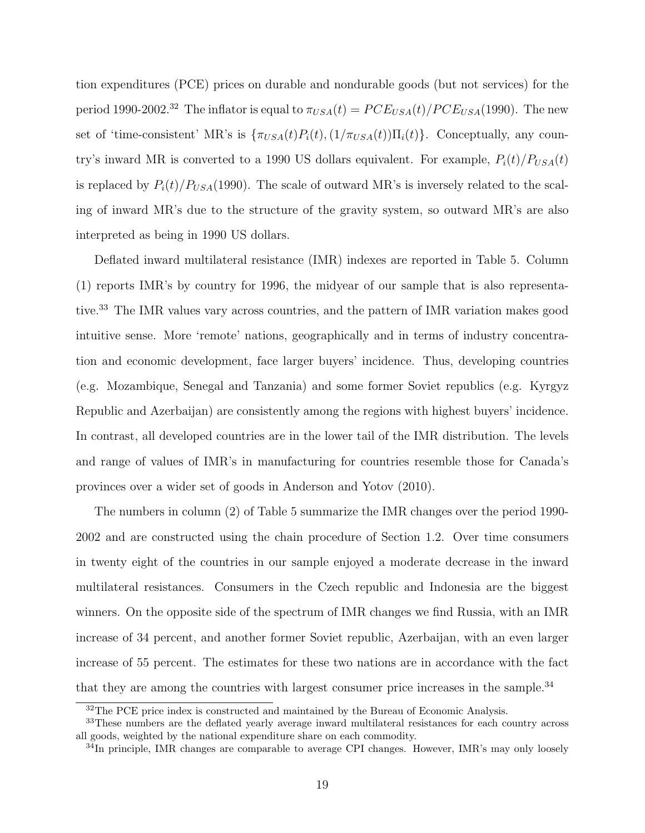tion expenditures (PCE) prices on durable and nondurable goods (but not services) for the period 1990-2002.<sup>32</sup> The inflator is equal to  $\pi_{USA}(t) = PCE_{USA}(t)/PCE_{USA}(1990)$ . The new set of 'time-consistent' MR's is  $\{\pi_{USA}(t)P_i(t), (1/\pi_{USA}(t))\Pi_i(t)\}\)$ . Conceptually, any country's inward MR is converted to a 1990 US dollars equivalent. For example,  $P_i(t)/P_{USA}(t)$ is replaced by  $P_i(t)/P_{USA}(1990)$ . The scale of outward MR's is inversely related to the scaling of inward MR's due to the structure of the gravity system, so outward MR's are also interpreted as being in 1990 US dollars.

Deflated inward multilateral resistance (IMR) indexes are reported in Table 5. Column (1) reports IMR's by country for 1996, the midyear of our sample that is also representative.<sup>33</sup> The IMR values vary across countries, and the pattern of IMR variation makes good intuitive sense. More 'remote' nations, geographically and in terms of industry concentration and economic development, face larger buyers' incidence. Thus, developing countries (e.g. Mozambique, Senegal and Tanzania) and some former Soviet republics (e.g. Kyrgyz Republic and Azerbaijan) are consistently among the regions with highest buyers' incidence. In contrast, all developed countries are in the lower tail of the IMR distribution. The levels and range of values of IMR's in manufacturing for countries resemble those for Canada's provinces over a wider set of goods in Anderson and Yotov (2010).

The numbers in column (2) of Table 5 summarize the IMR changes over the period 1990- 2002 and are constructed using the chain procedure of Section 1.2. Over time consumers in twenty eight of the countries in our sample enjoyed a moderate decrease in the inward multilateral resistances. Consumers in the Czech republic and Indonesia are the biggest winners. On the opposite side of the spectrum of IMR changes we find Russia, with an IMR increase of 34 percent, and another former Soviet republic, Azerbaijan, with an even larger increase of 55 percent. The estimates for these two nations are in accordance with the fact that they are among the countries with largest consumer price increases in the sample.<sup>34</sup>

<sup>&</sup>lt;sup>32</sup>The PCE price index is constructed and maintained by the Bureau of Economic Analysis.

<sup>&</sup>lt;sup>33</sup>These numbers are the deflated yearly average inward multilateral resistances for each country across all goods, weighted by the national expenditure share on each commodity.

 $34$ In principle, IMR changes are comparable to average CPI changes. However, IMR's may only loosely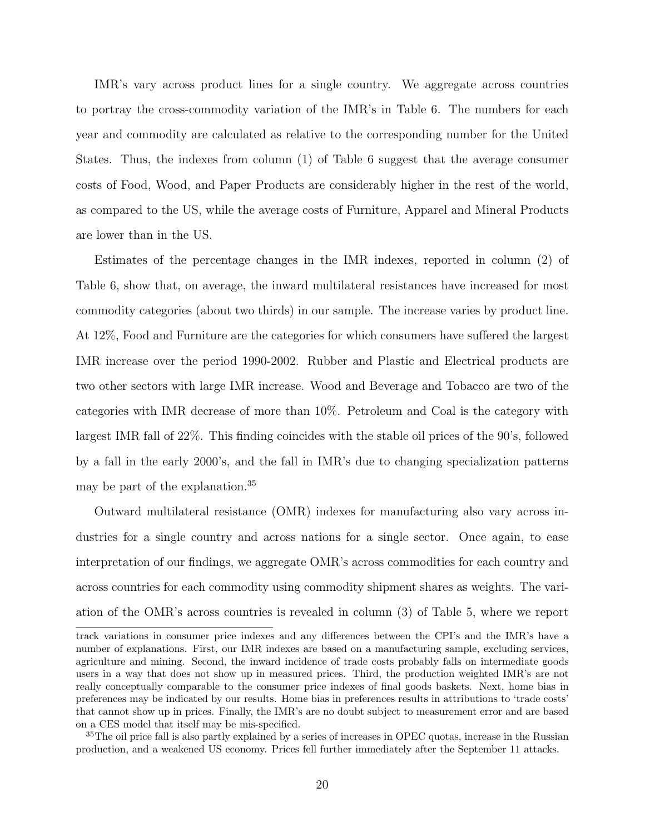IMR's vary across product lines for a single country. We aggregate across countries to portray the cross-commodity variation of the IMR's in Table 6. The numbers for each year and commodity are calculated as relative to the corresponding number for the United States. Thus, the indexes from column (1) of Table 6 suggest that the average consumer costs of Food, Wood, and Paper Products are considerably higher in the rest of the world, as compared to the US, while the average costs of Furniture, Apparel and Mineral Products are lower than in the US.

Estimates of the percentage changes in the IMR indexes, reported in column (2) of Table 6, show that, on average, the inward multilateral resistances have increased for most commodity categories (about two thirds) in our sample. The increase varies by product line. At 12%, Food and Furniture are the categories for which consumers have suffered the largest IMR increase over the period 1990-2002. Rubber and Plastic and Electrical products are two other sectors with large IMR increase. Wood and Beverage and Tobacco are two of the categories with IMR decrease of more than 10%. Petroleum and Coal is the category with largest IMR fall of 22%. This finding coincides with the stable oil prices of the 90's, followed by a fall in the early 2000's, and the fall in IMR's due to changing specialization patterns may be part of the explanation.<sup>35</sup>

Outward multilateral resistance (OMR) indexes for manufacturing also vary across industries for a single country and across nations for a single sector. Once again, to ease interpretation of our findings, we aggregate OMR's across commodities for each country and across countries for each commodity using commodity shipment shares as weights. The variation of the OMR's across countries is revealed in column (3) of Table 5, where we report

track variations in consumer price indexes and any differences between the CPI's and the IMR's have a number of explanations. First, our IMR indexes are based on a manufacturing sample, excluding services, agriculture and mining. Second, the inward incidence of trade costs probably falls on intermediate goods users in a way that does not show up in measured prices. Third, the production weighted IMR's are not really conceptually comparable to the consumer price indexes of final goods baskets. Next, home bias in preferences may be indicated by our results. Home bias in preferences results in attributions to 'trade costs' that cannot show up in prices. Finally, the IMR's are no doubt subject to measurement error and are based on a CES model that itself may be mis-specified.

<sup>&</sup>lt;sup>35</sup>The oil price fall is also partly explained by a series of increases in OPEC quotas, increase in the Russian production, and a weakened US economy. Prices fell further immediately after the September 11 attacks.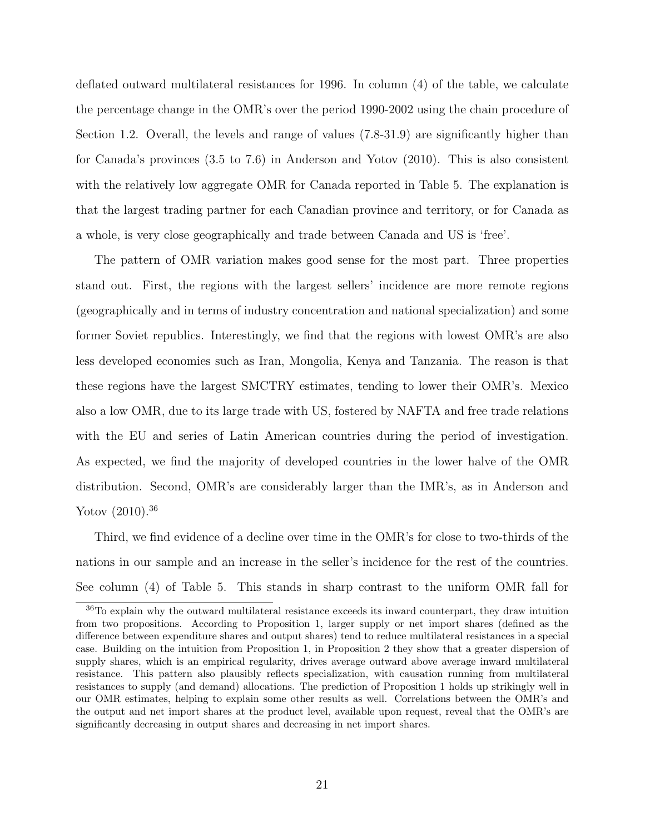deflated outward multilateral resistances for 1996. In column (4) of the table, we calculate the percentage change in the OMR's over the period 1990-2002 using the chain procedure of Section 1.2. Overall, the levels and range of values (7.8-31.9) are significantly higher than for Canada's provinces (3.5 to 7.6) in Anderson and Yotov (2010). This is also consistent with the relatively low aggregate OMR for Canada reported in Table 5. The explanation is that the largest trading partner for each Canadian province and territory, or for Canada as a whole, is very close geographically and trade between Canada and US is 'free'.

The pattern of OMR variation makes good sense for the most part. Three properties stand out. First, the regions with the largest sellers' incidence are more remote regions (geographically and in terms of industry concentration and national specialization) and some former Soviet republics. Interestingly, we find that the regions with lowest OMR's are also less developed economies such as Iran, Mongolia, Kenya and Tanzania. The reason is that these regions have the largest SMCTRY estimates, tending to lower their OMR's. Mexico also a low OMR, due to its large trade with US, fostered by NAFTA and free trade relations with the EU and series of Latin American countries during the period of investigation. As expected, we find the majority of developed countries in the lower halve of the OMR distribution. Second, OMR's are considerably larger than the IMR's, as in Anderson and Yotov  $(2010).^{36}$ 

Third, we find evidence of a decline over time in the OMR's for close to two-thirds of the nations in our sample and an increase in the seller's incidence for the rest of the countries. See column (4) of Table 5. This stands in sharp contrast to the uniform OMR fall for

<sup>36</sup>To explain why the outward multilateral resistance exceeds its inward counterpart, they draw intuition from two propositions. According to Proposition 1, larger supply or net import shares (defined as the difference between expenditure shares and output shares) tend to reduce multilateral resistances in a special case. Building on the intuition from Proposition 1, in Proposition 2 they show that a greater dispersion of supply shares, which is an empirical regularity, drives average outward above average inward multilateral resistance. This pattern also plausibly reflects specialization, with causation running from multilateral resistances to supply (and demand) allocations. The prediction of Proposition 1 holds up strikingly well in our OMR estimates, helping to explain some other results as well. Correlations between the OMR's and the output and net import shares at the product level, available upon request, reveal that the OMR's are significantly decreasing in output shares and decreasing in net import shares.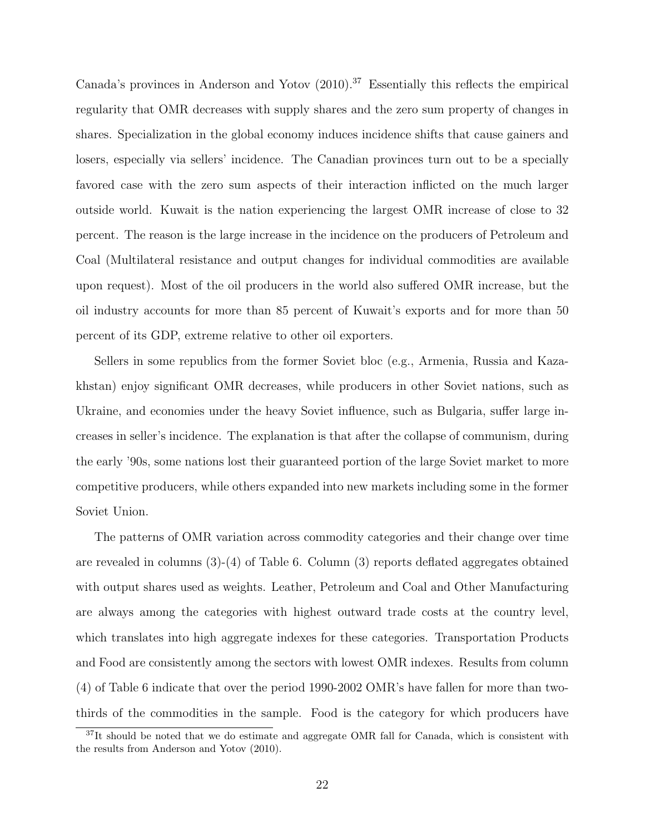Canada's provinces in Anderson and Yotov (2010).<sup>37</sup> Essentially this reflects the empirical regularity that OMR decreases with supply shares and the zero sum property of changes in shares. Specialization in the global economy induces incidence shifts that cause gainers and losers, especially via sellers' incidence. The Canadian provinces turn out to be a specially favored case with the zero sum aspects of their interaction inflicted on the much larger outside world. Kuwait is the nation experiencing the largest OMR increase of close to 32 percent. The reason is the large increase in the incidence on the producers of Petroleum and Coal (Multilateral resistance and output changes for individual commodities are available upon request). Most of the oil producers in the world also suffered OMR increase, but the oil industry accounts for more than 85 percent of Kuwait's exports and for more than 50 percent of its GDP, extreme relative to other oil exporters.

Sellers in some republics from the former Soviet bloc (e.g., Armenia, Russia and Kazakhstan) enjoy significant OMR decreases, while producers in other Soviet nations, such as Ukraine, and economies under the heavy Soviet influence, such as Bulgaria, suffer large increases in seller's incidence. The explanation is that after the collapse of communism, during the early '90s, some nations lost their guaranteed portion of the large Soviet market to more competitive producers, while others expanded into new markets including some in the former Soviet Union.

The patterns of OMR variation across commodity categories and their change over time are revealed in columns (3)-(4) of Table 6. Column (3) reports deflated aggregates obtained with output shares used as weights. Leather, Petroleum and Coal and Other Manufacturing are always among the categories with highest outward trade costs at the country level, which translates into high aggregate indexes for these categories. Transportation Products and Food are consistently among the sectors with lowest OMR indexes. Results from column (4) of Table 6 indicate that over the period 1990-2002 OMR's have fallen for more than twothirds of the commodities in the sample. Food is the category for which producers have

<sup>&</sup>lt;sup>37</sup>It should be noted that we do estimate and aggregate OMR fall for Canada, which is consistent with the results from Anderson and Yotov (2010).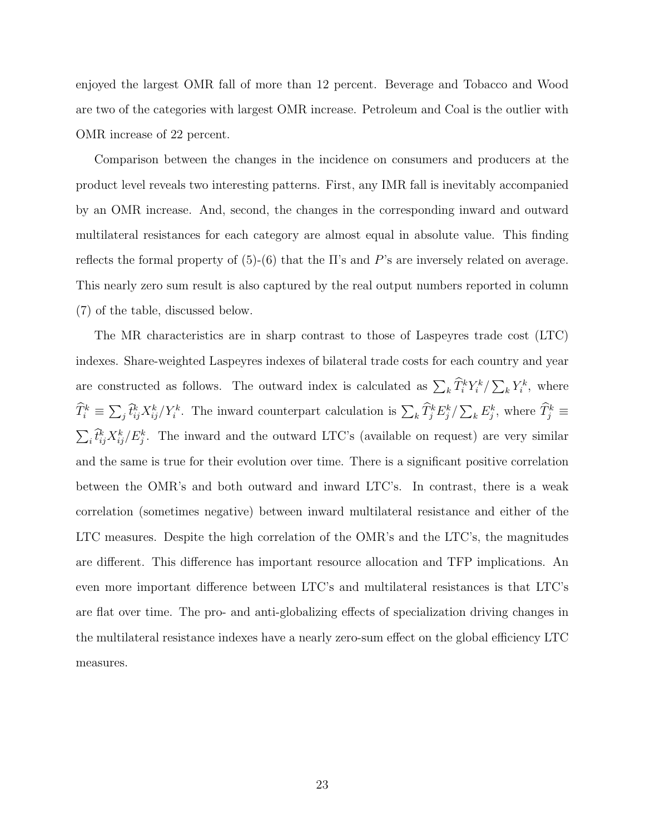enjoyed the largest OMR fall of more than 12 percent. Beverage and Tobacco and Wood are two of the categories with largest OMR increase. Petroleum and Coal is the outlier with OMR increase of 22 percent.

Comparison between the changes in the incidence on consumers and producers at the product level reveals two interesting patterns. First, any IMR fall is inevitably accompanied by an OMR increase. And, second, the changes in the corresponding inward and outward multilateral resistances for each category are almost equal in absolute value. This finding reflects the formal property of  $(5)-(6)$  that the II's and P's are inversely related on average. This nearly zero sum result is also captured by the real output numbers reported in column (7) of the table, discussed below.

The MR characteristics are in sharp contrast to those of Laspeyres trade cost (LTC) indexes. Share-weighted Laspeyres indexes of bilateral trade costs for each country and year are constructed as follows. The outward index is calculated as  $\sum_k \hat{T}_i^k Y_i^k / \sum_k Y_i^k$ , where  $\widehat{T}_i^k \equiv \sum_j \widehat{t}_{ij}^k X_{ij}^k / Y_i^k$ . The inward counterpart calculation is  $\sum_k \widehat{T}_j^k E_j^k / \sum_k E_j^k$ , where  $\widehat{T}_j^k \equiv$  $\sum_i \hat{t}_{ij}^k X_{ij}^k / E_j^k$ . The inward and the outward LTC's (available on request) are very similar and the same is true for their evolution over time. There is a significant positive correlation between the OMR's and both outward and inward LTC's. In contrast, there is a weak correlation (sometimes negative) between inward multilateral resistance and either of the LTC measures. Despite the high correlation of the OMR's and the LTC's, the magnitudes are different. This difference has important resource allocation and TFP implications. An even more important difference between LTC's and multilateral resistances is that LTC's are flat over time. The pro- and anti-globalizing effects of specialization driving changes in the multilateral resistance indexes have a nearly zero-sum effect on the global efficiency LTC measures.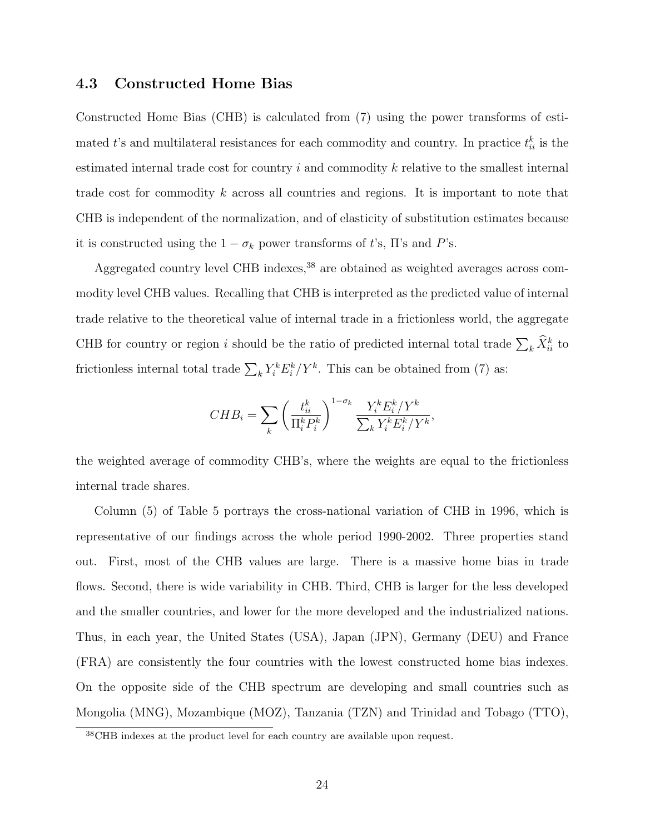### 4.3 Constructed Home Bias

Constructed Home Bias (CHB) is calculated from (7) using the power transforms of estimated t's and multilateral resistances for each commodity and country. In practice  $t_{ii}^k$  is the estimated internal trade cost for country  $i$  and commodity  $k$  relative to the smallest internal trade cost for commodity k across all countries and regions. It is important to note that CHB is independent of the normalization, and of elasticity of substitution estimates because it is constructed using the  $1 - \sigma_k$  power transforms of t's,  $\Pi$ 's and P's.

Aggregated country level CHB indexes, $38$  are obtained as weighted averages across commodity level CHB values. Recalling that CHB is interpreted as the predicted value of internal trade relative to the theoretical value of internal trade in a frictionless world, the aggregate CHB for country or region i should be the ratio of predicted internal total trade  $\sum_{k} \hat{X}_{ii}^{k}$  to frictionless internal total trade  $\sum_{k} Y_i^k E_i^k / Y^k$ . This can be obtained from (7) as:

$$
CHB_i = \sum_k \left(\frac{t_{ii}^k}{\Pi_i^k P_i^k}\right)^{1-\sigma_k} \frac{Y_i^k E_i^k / Y^k}{\sum_k Y_i^k E_i^k / Y^k},
$$

the weighted average of commodity CHB's, where the weights are equal to the frictionless internal trade shares.

Column (5) of Table 5 portrays the cross-national variation of CHB in 1996, which is representative of our findings across the whole period 1990-2002. Three properties stand out. First, most of the CHB values are large. There is a massive home bias in trade flows. Second, there is wide variability in CHB. Third, CHB is larger for the less developed and the smaller countries, and lower for the more developed and the industrialized nations. Thus, in each year, the United States (USA), Japan (JPN), Germany (DEU) and France (FRA) are consistently the four countries with the lowest constructed home bias indexes. On the opposite side of the CHB spectrum are developing and small countries such as Mongolia (MNG), Mozambique (MOZ), Tanzania (TZN) and Trinidad and Tobago (TTO),

<sup>38</sup>CHB indexes at the product level for each country are available upon request.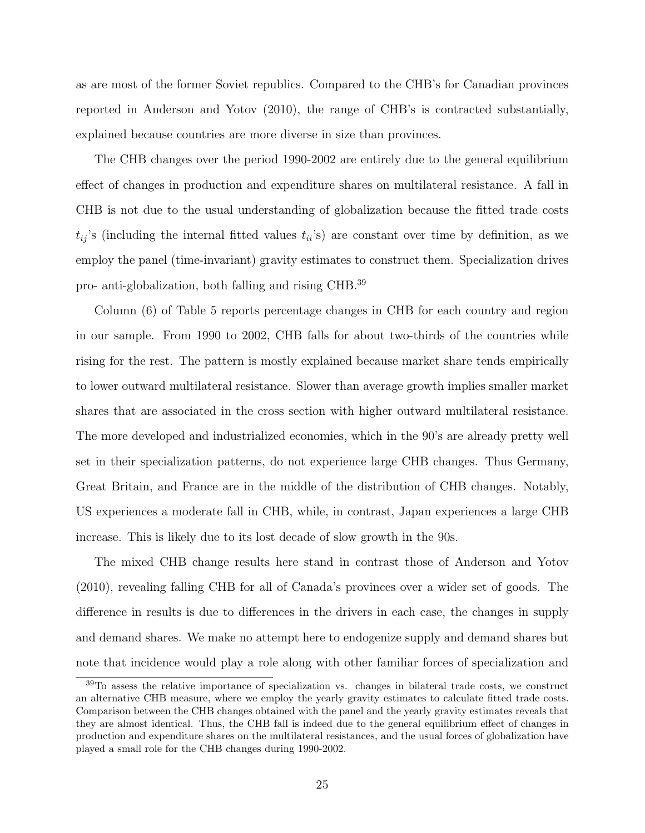as are most of the former Soviet republics. Compared to the CHB's for Canadian provinces reported in Anderson and Yotov (2010), the range of CHB's is contracted substantially, explained because countries are more diverse in size than provinces.

The CHB changes over the period 1990-2002 are entirely due to the general equilibrium effect of changes in production and expenditure shares on multilateral resistance. A fall in CHB is not due to the usual understanding of globalization because the fitted trade costs  $t_{ij}$ 's (including the internal fitted values  $t_{ii}$ 's) are constant over time by definition, as we employ the panel (time-invariant) gravity estimates to construct them. Specialization drives pro- anti-globalization, both falling and rising CHB.<sup>39</sup>

Column (6) of Table 5 reports percentage changes in CHB for each country and region in our sample. From 1990 to 2002, CHB falls for about two-thirds of the countries while rising for the rest. The pattern is mostly explained because market share tends empirically to lower outward multilateral resistance. Slower than average growth implies smaller market shares that are associated in the cross section with higher outward multilateral resistance. The more developed and industrialized economies, which in the 90's are already pretty well set in their specialization patterns, do not experience large CHB changes. Thus Germany, Great Britain, and France are in the middle of the distribution of CHB changes. Notably, US experiences a moderate fall in CHB, while, in contrast, Japan experiences a large CHB increase. This is likely due to its lost decade of slow growth in the 90s.

The mixed CHB change results here stand in contrast those of Anderson and Yotov (2010), revealing falling CHB for all of Canada's provinces over a wider set of goods. The difference in results is due to differences in the drivers in each case, the changes in supply and demand shares. We make no attempt here to endogenize supply and demand shares but note that incidence would play a role along with other familiar forces of specialization and

<sup>39</sup>To assess the relative importance of specialization vs. changes in bilateral trade costs, we construct an alternative CHB measure, where we employ the yearly gravity estimates to calculate fitted trade costs. Comparison between the CHB changes obtained with the panel and the yearly gravity estimates reveals that they are almost identical. Thus, the CHB fall is indeed due to the general equilibrium effect of changes in production and expenditure shares on the multilateral resistances, and the usual forces of globalization have played a small role for the CHB changes during 1990-2002.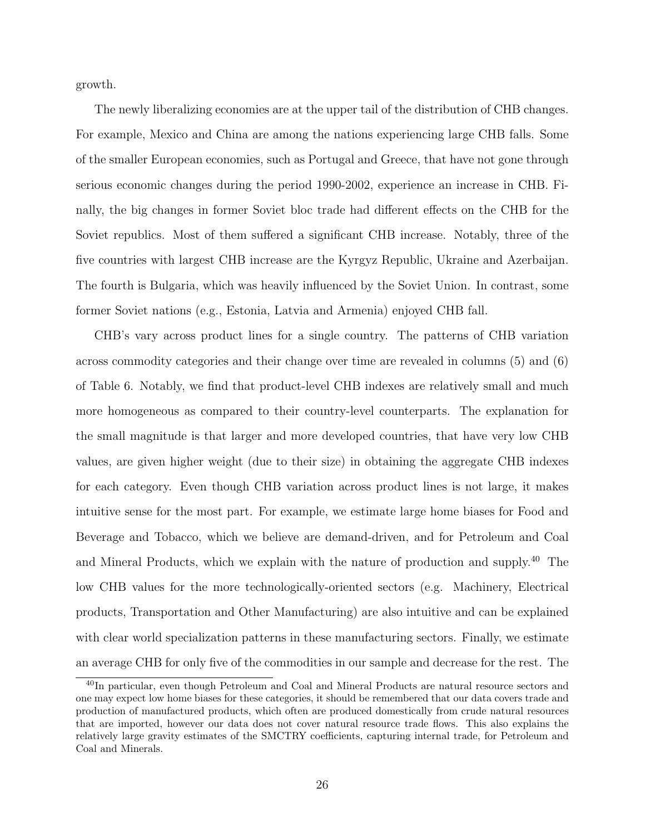growth.

The newly liberalizing economies are at the upper tail of the distribution of CHB changes. For example, Mexico and China are among the nations experiencing large CHB falls. Some of the smaller European economies, such as Portugal and Greece, that have not gone through serious economic changes during the period 1990-2002, experience an increase in CHB. Finally, the big changes in former Soviet bloc trade had different effects on the CHB for the Soviet republics. Most of them suffered a significant CHB increase. Notably, three of the five countries with largest CHB increase are the Kyrgyz Republic, Ukraine and Azerbaijan. The fourth is Bulgaria, which was heavily influenced by the Soviet Union. In contrast, some former Soviet nations (e.g., Estonia, Latvia and Armenia) enjoyed CHB fall.

CHB's vary across product lines for a single country. The patterns of CHB variation across commodity categories and their change over time are revealed in columns (5) and (6) of Table 6. Notably, we find that product-level CHB indexes are relatively small and much more homogeneous as compared to their country-level counterparts. The explanation for the small magnitude is that larger and more developed countries, that have very low CHB values, are given higher weight (due to their size) in obtaining the aggregate CHB indexes for each category. Even though CHB variation across product lines is not large, it makes intuitive sense for the most part. For example, we estimate large home biases for Food and Beverage and Tobacco, which we believe are demand-driven, and for Petroleum and Coal and Mineral Products, which we explain with the nature of production and supply.<sup>40</sup> The low CHB values for the more technologically-oriented sectors (e.g. Machinery, Electrical products, Transportation and Other Manufacturing) are also intuitive and can be explained with clear world specialization patterns in these manufacturing sectors. Finally, we estimate an average CHB for only five of the commodities in our sample and decrease for the rest. The

<sup>40</sup>In particular, even though Petroleum and Coal and Mineral Products are natural resource sectors and one may expect low home biases for these categories, it should be remembered that our data covers trade and production of manufactured products, which often are produced domestically from crude natural resources that are imported, however our data does not cover natural resource trade flows. This also explains the relatively large gravity estimates of the SMCTRY coefficients, capturing internal trade, for Petroleum and Coal and Minerals.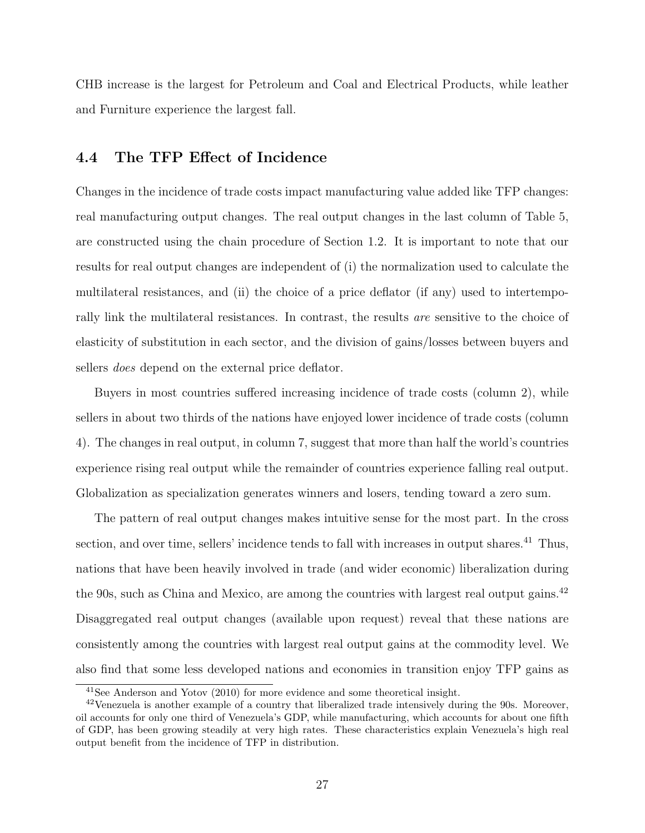CHB increase is the largest for Petroleum and Coal and Electrical Products, while leather and Furniture experience the largest fall.

## 4.4 The TFP Effect of Incidence

Changes in the incidence of trade costs impact manufacturing value added like TFP changes: real manufacturing output changes. The real output changes in the last column of Table 5, are constructed using the chain procedure of Section 1.2. It is important to note that our results for real output changes are independent of (i) the normalization used to calculate the multilateral resistances, and (ii) the choice of a price deflator (if any) used to intertemporally link the multilateral resistances. In contrast, the results are sensitive to the choice of elasticity of substitution in each sector, and the division of gains/losses between buyers and sellers does depend on the external price deflator.

Buyers in most countries suffered increasing incidence of trade costs (column 2), while sellers in about two thirds of the nations have enjoyed lower incidence of trade costs (column 4). The changes in real output, in column 7, suggest that more than half the world's countries experience rising real output while the remainder of countries experience falling real output. Globalization as specialization generates winners and losers, tending toward a zero sum.

The pattern of real output changes makes intuitive sense for the most part. In the cross section, and over time, sellers' incidence tends to fall with increases in output shares.<sup>41</sup> Thus, nations that have been heavily involved in trade (and wider economic) liberalization during the 90s, such as China and Mexico, are among the countries with largest real output gains.<sup>42</sup> Disaggregated real output changes (available upon request) reveal that these nations are consistently among the countries with largest real output gains at the commodity level. We also find that some less developed nations and economies in transition enjoy TFP gains as

<sup>41</sup>See Anderson and Yotov (2010) for more evidence and some theoretical insight.

 $42$ Venezuela is another example of a country that liberalized trade intensively during the 90s. Moreover, oil accounts for only one third of Venezuela's GDP, while manufacturing, which accounts for about one fifth of GDP, has been growing steadily at very high rates. These characteristics explain Venezuela's high real output benefit from the incidence of TFP in distribution.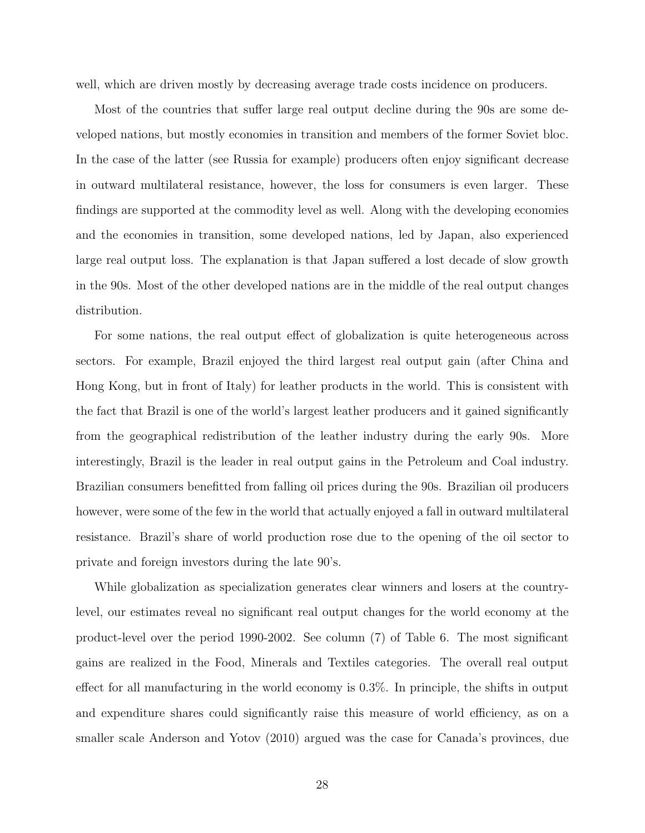well, which are driven mostly by decreasing average trade costs incidence on producers.

Most of the countries that suffer large real output decline during the 90s are some developed nations, but mostly economies in transition and members of the former Soviet bloc. In the case of the latter (see Russia for example) producers often enjoy significant decrease in outward multilateral resistance, however, the loss for consumers is even larger. These findings are supported at the commodity level as well. Along with the developing economies and the economies in transition, some developed nations, led by Japan, also experienced large real output loss. The explanation is that Japan suffered a lost decade of slow growth in the 90s. Most of the other developed nations are in the middle of the real output changes distribution.

For some nations, the real output effect of globalization is quite heterogeneous across sectors. For example, Brazil enjoyed the third largest real output gain (after China and Hong Kong, but in front of Italy) for leather products in the world. This is consistent with the fact that Brazil is one of the world's largest leather producers and it gained significantly from the geographical redistribution of the leather industry during the early 90s. More interestingly, Brazil is the leader in real output gains in the Petroleum and Coal industry. Brazilian consumers benefitted from falling oil prices during the 90s. Brazilian oil producers however, were some of the few in the world that actually enjoyed a fall in outward multilateral resistance. Brazil's share of world production rose due to the opening of the oil sector to private and foreign investors during the late 90's.

While globalization as specialization generates clear winners and losers at the countrylevel, our estimates reveal no significant real output changes for the world economy at the product-level over the period 1990-2002. See column (7) of Table 6. The most significant gains are realized in the Food, Minerals and Textiles categories. The overall real output effect for all manufacturing in the world economy is 0.3%. In principle, the shifts in output and expenditure shares could significantly raise this measure of world efficiency, as on a smaller scale Anderson and Yotov (2010) argued was the case for Canada's provinces, due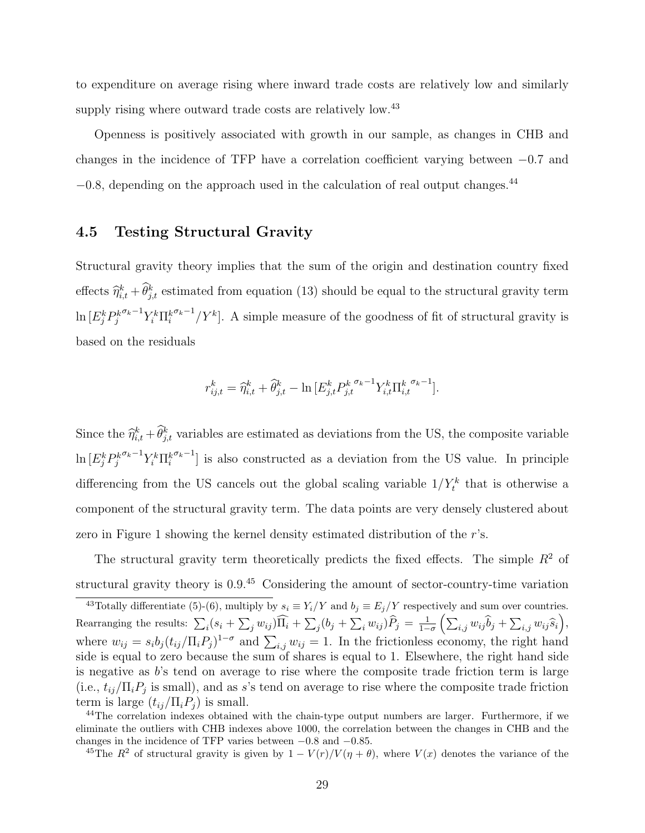to expenditure on average rising where inward trade costs are relatively low and similarly supply rising where outward trade costs are relatively low.<sup>43</sup>

Openness is positively associated with growth in our sample, as changes in CHB and changes in the incidence of TFP have a correlation coefficient varying between −0.7 and  $-0.8$ , depending on the approach used in the calculation of real output changes.<sup>44</sup>

### 4.5 Testing Structural Gravity

Structural gravity theory implies that the sum of the origin and destination country fixed effects  $\hat{\eta}_{i,t}^k + \hat{\theta}_{j,t}^k$  estimated from equation (13) should be equal to the structural gravity term  $\ln{[E_j^k P_j^k]}$  $\sigma_k-1 \gamma_i^k \prod_i^k$  $\sigma_k$ <sup>-1</sup>/Y<sup>k</sup>. A simple measure of the goodness of fit of structural gravity is based on the residuals

$$
r_{ij,t}^k = \hat{\eta}_{i,t}^k + \hat{\theta}_{j,t}^k - \ln \left[ E_{j,t}^k P_{j,t}^{k} \right]_{i,t}^{\sigma_k - 1} Y_{i,t}^k \Pi_{i,t}^{k} \right]_{i,t}^{\sigma_k - 1}.
$$

Since the  $\hat{\eta}_{i,t}^k + \hat{\theta}_{j,t}^k$  variables are estimated as deviations from the US, the composite variable  $\ln\left[E^k_j P^k_j\right]$  $^{\sigma_k-1}Y_i^k \Pi_i^k$  $\sigma_k$ <sup>-1</sup>] is also constructed as a deviation from the US value. In principle differencing from the US cancels out the global scaling variable  $1/Y_t^k$  that is otherwise a component of the structural gravity term. The data points are very densely clustered about zero in Figure 1 showing the kernel density estimated distribution of the r's.

The structural gravity term theoretically predicts the fixed effects. The simple  $R^2$  of structural gravity theory is 0.9.<sup>45</sup> Considering the amount of sector-country-time variation

<sup>&</sup>lt;sup>43</sup>Totally differentiate (5)-(6), multiply by  $s_i \equiv Y_i/Y$  and  $b_j \equiv E_j/Y$  respectively and sum over countries. Rearranging the results:  $\sum_i (s_i + \sum_j w_{ij}) \widehat{\Pi_i} + \sum_j (b_j + \sum_i w_{ij}) \widehat{P}_j = \frac{1}{1-\sigma} \left( \sum_{i,j} w_{ij} \widehat{b}_j + \sum_{i,j} w_{ij} \widehat{s}_i \right),$ where  $w_{ij} = s_i b_j (t_{ij}/\Pi_i P_j)^{1-\sigma}$  and  $\sum_{i,j} w_{ij} = 1$ . In the frictionless economy, the right hand side is equal to zero because the sum of shares is equal to 1. Elsewhere, the right hand side is negative as  $b$ 's tend on average to rise where the composite trade friction term is large (i.e.,  $t_{ij}/\Pi_i P_j$  is small), and as s's tend on average to rise where the composite trade friction term is large  $(t_{ij}/\Pi_i P_j)$  is small.

<sup>&</sup>lt;sup>44</sup>The correlation indexes obtained with the chain-type output numbers are larger. Furthermore, if we eliminate the outliers with CHB indexes above 1000, the correlation between the changes in CHB and the changes in the incidence of TFP varies between −0.8 and −0.85.

<sup>&</sup>lt;sup>45</sup>The  $R^2$  of structural gravity is given by  $1 - V(r)/V(\eta + \theta)$ , where  $V(x)$  denotes the variance of the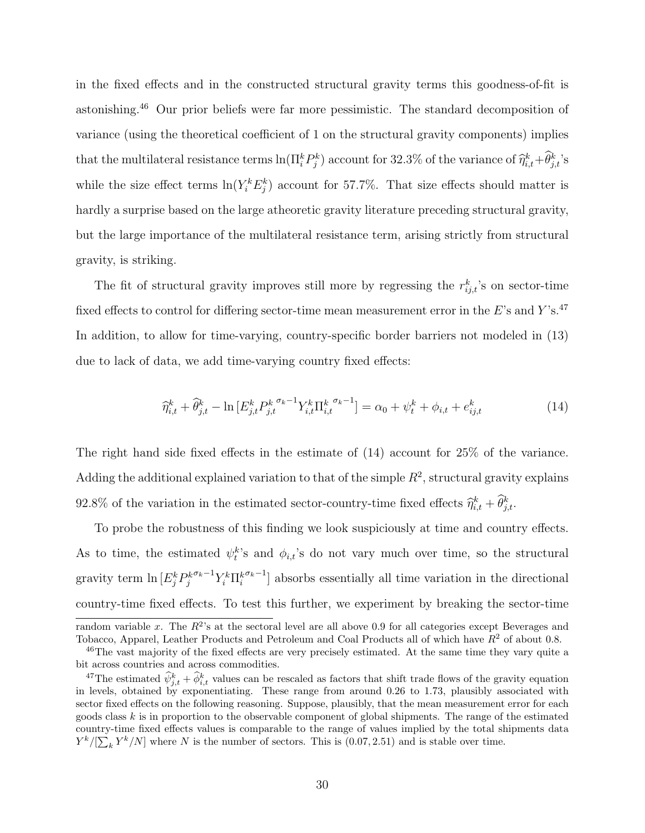in the fixed effects and in the constructed structural gravity terms this goodness-of-fit is astonishing.<sup>46</sup> Our prior beliefs were far more pessimistic. The standard decomposition of variance (using the theoretical coefficient of 1 on the structural gravity components) implies that the multilateral resistance terms  $\ln(\Pi_i^k P_j^k)$  account for 32.3% of the variance of  $\hat{\eta}_{i,t}^k + \hat{\theta}_{j,t}^k$ 's while the size effect terms  $\ln(Y_i^k E_j^k)$  account for 57.7%. That size effects should matter is hardly a surprise based on the large atheoretic gravity literature preceding structural gravity, but the large importance of the multilateral resistance term, arising strictly from structural gravity, is striking.

The fit of structural gravity improves still more by regressing the  $r_{ij,t}^k$ 's on sector-time fixed effects to control for differing sector-time mean measurement error in the  $E$ 's and Y's.<sup>47</sup> In addition, to allow for time-varying, country-specific border barriers not modeled in (13) due to lack of data, we add time-varying country fixed effects:

$$
\widehat{\eta}_{i,t}^k + \widehat{\theta}_{j,t}^k - \ln \left[ E_{j,t}^k P_{j,t}^{k \sigma_k - 1} Y_{i,t}^k \Pi_{i,t}^{k \sigma_k - 1} \right] = \alpha_0 + \psi_t^k + \phi_{i,t} + e_{ij,t}^k
$$
\n(14)

The right hand side fixed effects in the estimate of (14) account for 25% of the variance. Adding the additional explained variation to that of the simple  $R^2$ , structural gravity explains 92.8% of the variation in the estimated sector-country-time fixed effects  $\hat{\eta}_{i,t}^k + \hat{\theta}_{j,t}^k$ .

To probe the robustness of this finding we look suspiciously at time and country effects. As to time, the estimated  $\psi_t^k$ 's and  $\phi_{i,t}$ 's do not vary much over time, so the structural gravity term  $\ln \left[ E_j^k P_j^k \right]$  $^{\sigma_k-1}Y_i^k \Pi_i^k$  $\sigma_k-1$  absorbs essentially all time variation in the directional country-time fixed effects. To test this further, we experiment by breaking the sector-time

random variable x. The  $R^2$ 's at the sectoral level are all above 0.9 for all categories except Beverages and Tobacco, Apparel, Leather Products and Petroleum and Coal Products all of which have  $R^2$  of about 0.8.

<sup>&</sup>lt;sup>46</sup>The vast majority of the fixed effects are very precisely estimated. At the same time they vary quite a bit across countries and across commodities.

<sup>&</sup>lt;sup>47</sup>The estimated  $\psi_{j,t}^k + \phi_{i,t}^k$  values can be rescaled as factors that shift trade flows of the gravity equation in levels, obtained by exponentiating. These range from around 0.26 to 1.73, plausibly associated with sector fixed effects on the following reasoning. Suppose, plausibly, that the mean measurement error for each goods class  $k$  is in proportion to the observable component of global shipments. The range of the estimated country-time fixed effects values is comparable to the range of values implied by the total shipments data  $Y^{k}/[\sum_{k} Y^{k}/N]$  where N is the number of sectors. This is  $(0.07, 2.51)$  and is stable over time.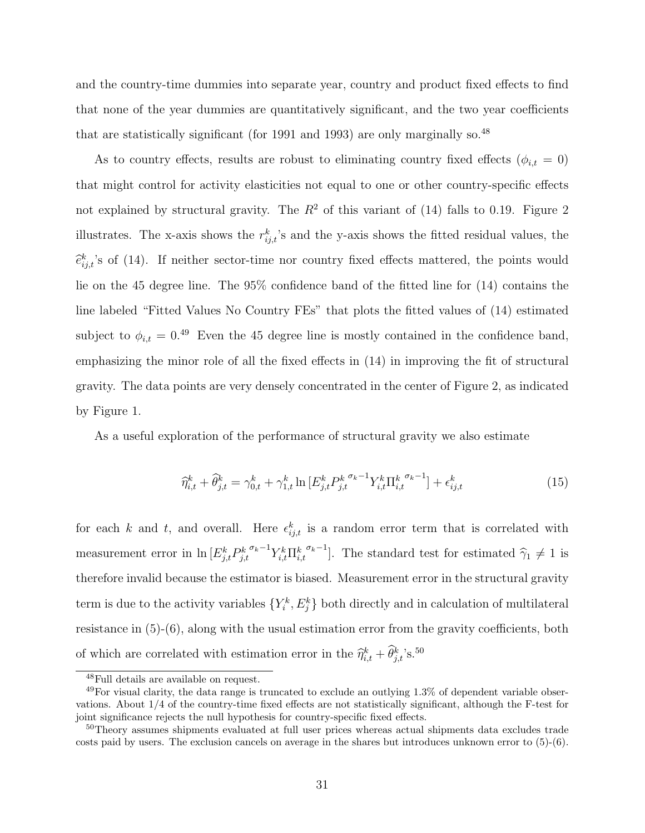and the country-time dummies into separate year, country and product fixed effects to find that none of the year dummies are quantitatively significant, and the two year coefficients that are statistically significant (for 1991 and 1993) are only marginally so.<sup>48</sup>

As to country effects, results are robust to eliminating country fixed effects ( $\phi_{i,t} = 0$ ) that might control for activity elasticities not equal to one or other country-specific effects not explained by structural gravity. The  $R^2$  of this variant of (14) falls to 0.19. Figure 2 illustrates. The x-axis shows the  $r_{ij,t}^k$ 's and the y-axis shows the fitted residual values, the  $\hat{e}_{ij,t}^k$ 's of (14). If neither sector-time nor country fixed effects mattered, the points would lie on the 45 degree line. The 95% confidence band of the fitted line for (14) contains the line labeled "Fitted Values No Country FEs" that plots the fitted values of (14) estimated subject to  $\phi_{i,t} = 0^{49}$  Even the 45 degree line is mostly contained in the confidence band, emphasizing the minor role of all the fixed effects in (14) in improving the fit of structural gravity. The data points are very densely concentrated in the center of Figure 2, as indicated by Figure 1.

As a useful exploration of the performance of structural gravity we also estimate

$$
\widehat{\eta}_{i,t}^k + \widehat{\theta}_{j,t}^k = \gamma_{0,t}^k + \gamma_{1,t}^k \ln \left[ E_{j,t}^k P_{j,t}^{k^{\sigma_k - 1}} Y_{i,t}^k \Pi_{i,t}^{k^{\sigma_k - 1}} \right] + \epsilon_{ij,t}^k \tag{15}
$$

for each k and t, and overall. Here  $\epsilon_{ij,t}^k$  is a random error term that is correlated with measurement error in  $\ln \left[ E_{j,t}^k P_{j,t}^k \right]$  $^{\sigma_k-1}Y_{i,t}^k \Pi_{i,t}^k$  $\sigma_k$ <sup>-1</sup>]. The standard test for estimated  $\hat{\gamma}_1 \neq 1$  is therefore invalid because the estimator is biased. Measurement error in the structural gravity term is due to the activity variables  $\{Y_i^k, E_j^k\}$  both directly and in calculation of multilateral resistance in (5)-(6), along with the usual estimation error from the gravity coefficients, both of which are correlated with estimation error in the  $\hat{\eta}_{i,t}^k + \hat{\theta}_{j,t}^k$ 's.<sup>50</sup>

<sup>48</sup>Full details are available on request.

 $^{49}$ For visual clarity, the data range is truncated to exclude an outlying 1.3% of dependent variable observations. About 1/4 of the country-time fixed effects are not statistically significant, although the F-test for joint significance rejects the null hypothesis for country-specific fixed effects.

<sup>&</sup>lt;sup>50</sup>Theory assumes shipments evaluated at full user prices whereas actual shipments data excludes trade costs paid by users. The exclusion cancels on average in the shares but introduces unknown error to (5)-(6).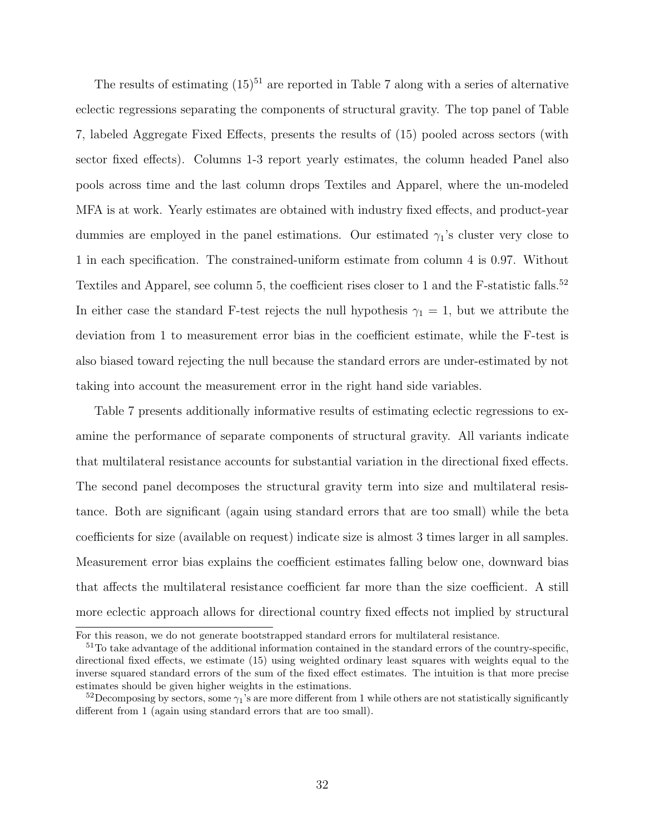The results of estimating  $(15)^{51}$  are reported in Table 7 along with a series of alternative eclectic regressions separating the components of structural gravity. The top panel of Table 7, labeled Aggregate Fixed Effects, presents the results of (15) pooled across sectors (with sector fixed effects). Columns 1-3 report yearly estimates, the column headed Panel also pools across time and the last column drops Textiles and Apparel, where the un-modeled MFA is at work. Yearly estimates are obtained with industry fixed effects, and product-year dummies are employed in the panel estimations. Our estimated  $\gamma_1$ 's cluster very close to 1 in each specification. The constrained-uniform estimate from column 4 is 0.97. Without Textiles and Apparel, see column 5, the coefficient rises closer to 1 and the F-statistic falls.<sup>52</sup> In either case the standard F-test rejects the null hypothesis  $\gamma_1 = 1$ , but we attribute the deviation from 1 to measurement error bias in the coefficient estimate, while the F-test is also biased toward rejecting the null because the standard errors are under-estimated by not taking into account the measurement error in the right hand side variables.

Table 7 presents additionally informative results of estimating eclectic regressions to examine the performance of separate components of structural gravity. All variants indicate that multilateral resistance accounts for substantial variation in the directional fixed effects. The second panel decomposes the structural gravity term into size and multilateral resistance. Both are significant (again using standard errors that are too small) while the beta coefficients for size (available on request) indicate size is almost 3 times larger in all samples. Measurement error bias explains the coefficient estimates falling below one, downward bias that affects the multilateral resistance coefficient far more than the size coefficient. A still more eclectic approach allows for directional country fixed effects not implied by structural

For this reason, we do not generate bootstrapped standard errors for multilateral resistance.

 $51$ To take advantage of the additional information contained in the standard errors of the country-specific, directional fixed effects, we estimate (15) using weighted ordinary least squares with weights equal to the inverse squared standard errors of the sum of the fixed effect estimates. The intuition is that more precise estimates should be given higher weights in the estimations.

<sup>&</sup>lt;sup>52</sup>Decomposing by sectors, some  $\gamma_1$ 's are more different from 1 while others are not statistically significantly different from 1 (again using standard errors that are too small).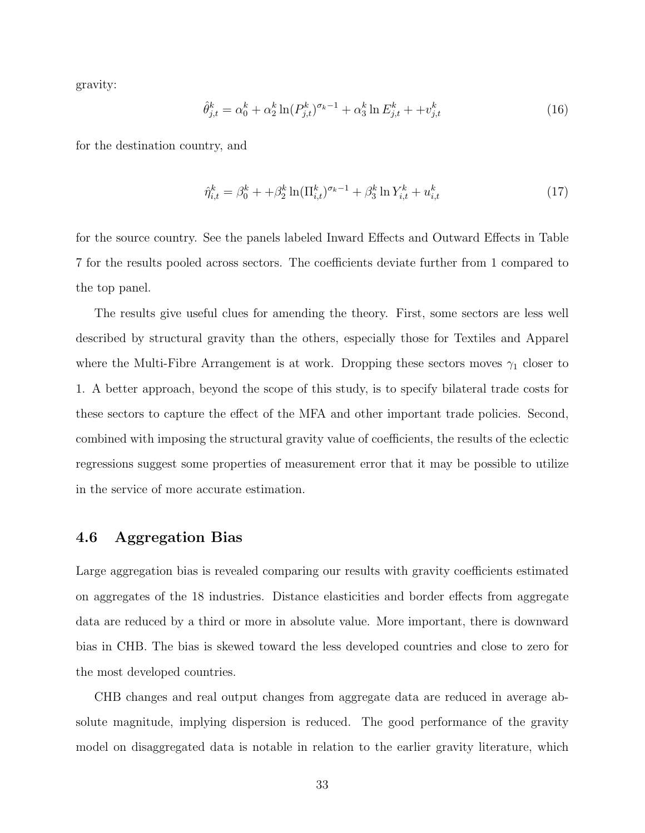gravity:

$$
\hat{\theta}_{j,t}^k = \alpha_0^k + \alpha_2^k \ln(P_{j,t}^k)^{\sigma_k - 1} + \alpha_3^k \ln E_{j,t}^k + \omega_{j,t}^k \tag{16}
$$

for the destination country, and

$$
\hat{\eta}_{i,t}^k = \beta_0^k + \beta_2^k \ln(\Pi_{i,t}^k)^{\sigma_k - 1} + \beta_3^k \ln Y_{i,t}^k + u_{i,t}^k \tag{17}
$$

for the source country. See the panels labeled Inward Effects and Outward Effects in Table 7 for the results pooled across sectors. The coefficients deviate further from 1 compared to the top panel.

The results give useful clues for amending the theory. First, some sectors are less well described by structural gravity than the others, especially those for Textiles and Apparel where the Multi-Fibre Arrangement is at work. Dropping these sectors moves  $\gamma_1$  closer to 1. A better approach, beyond the scope of this study, is to specify bilateral trade costs for these sectors to capture the effect of the MFA and other important trade policies. Second, combined with imposing the structural gravity value of coefficients, the results of the eclectic regressions suggest some properties of measurement error that it may be possible to utilize in the service of more accurate estimation.

### 4.6 Aggregation Bias

Large aggregation bias is revealed comparing our results with gravity coefficients estimated on aggregates of the 18 industries. Distance elasticities and border effects from aggregate data are reduced by a third or more in absolute value. More important, there is downward bias in CHB. The bias is skewed toward the less developed countries and close to zero for the most developed countries.

CHB changes and real output changes from aggregate data are reduced in average absolute magnitude, implying dispersion is reduced. The good performance of the gravity model on disaggregated data is notable in relation to the earlier gravity literature, which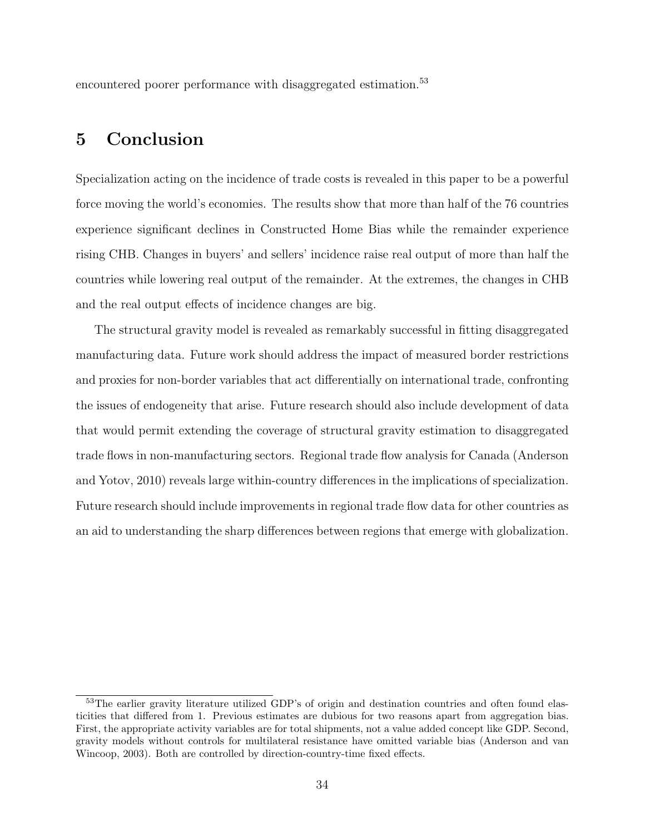encountered poorer performance with disaggregated estimation.<sup>53</sup>

# 5 Conclusion

Specialization acting on the incidence of trade costs is revealed in this paper to be a powerful force moving the world's economies. The results show that more than half of the 76 countries experience significant declines in Constructed Home Bias while the remainder experience rising CHB. Changes in buyers' and sellers' incidence raise real output of more than half the countries while lowering real output of the remainder. At the extremes, the changes in CHB and the real output effects of incidence changes are big.

The structural gravity model is revealed as remarkably successful in fitting disaggregated manufacturing data. Future work should address the impact of measured border restrictions and proxies for non-border variables that act differentially on international trade, confronting the issues of endogeneity that arise. Future research should also include development of data that would permit extending the coverage of structural gravity estimation to disaggregated trade flows in non-manufacturing sectors. Regional trade flow analysis for Canada (Anderson and Yotov, 2010) reveals large within-country differences in the implications of specialization. Future research should include improvements in regional trade flow data for other countries as an aid to understanding the sharp differences between regions that emerge with globalization.

<sup>&</sup>lt;sup>53</sup>The earlier gravity literature utilized GDP's of origin and destination countries and often found elasticities that differed from 1. Previous estimates are dubious for two reasons apart from aggregation bias. First, the appropriate activity variables are for total shipments, not a value added concept like GDP. Second, gravity models without controls for multilateral resistance have omitted variable bias (Anderson and van Wincoop, 2003). Both are controlled by direction-country-time fixed effects.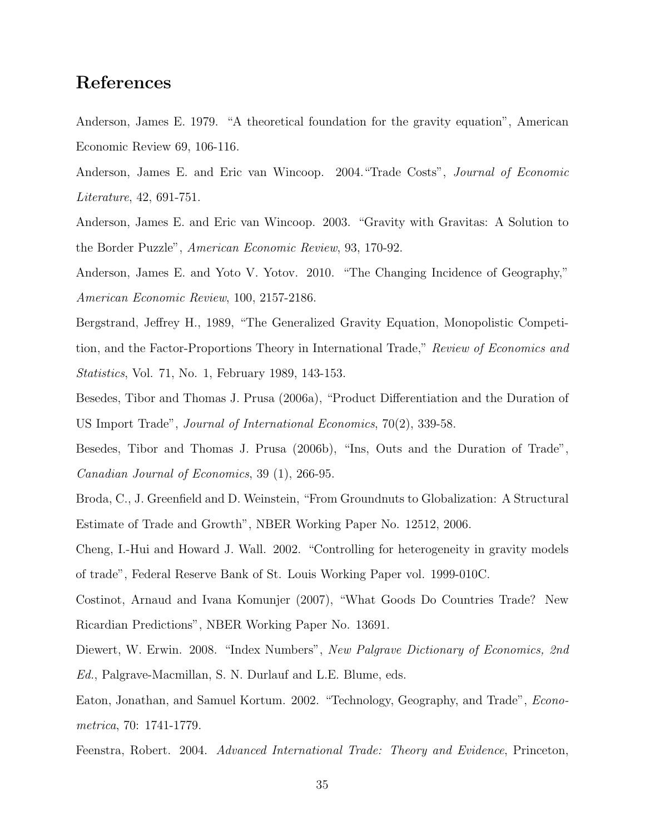# References

Anderson, James E. 1979. "A theoretical foundation for the gravity equation", American Economic Review 69, 106-116.

Anderson, James E. and Eric van Wincoop. 2004."Trade Costs", Journal of Economic Literature, 42, 691-751.

Anderson, James E. and Eric van Wincoop. 2003. "Gravity with Gravitas: A Solution to the Border Puzzle", American Economic Review, 93, 170-92.

Anderson, James E. and Yoto V. Yotov. 2010. "The Changing Incidence of Geography," American Economic Review, 100, 2157-2186.

Bergstrand, Jeffrey H., 1989, "The Generalized Gravity Equation, Monopolistic Competition, and the Factor-Proportions Theory in International Trade," Review of Economics and Statistics, Vol. 71, No. 1, February 1989, 143-153.

Besedes, Tibor and Thomas J. Prusa (2006a), "Product Differentiation and the Duration of US Import Trade", Journal of International Economics, 70(2), 339-58.

Besedes, Tibor and Thomas J. Prusa (2006b), "Ins, Outs and the Duration of Trade", Canadian Journal of Economics, 39 (1), 266-95.

Broda, C., J. Greenfield and D. Weinstein, "From Groundnuts to Globalization: A Structural Estimate of Trade and Growth", NBER Working Paper No. 12512, 2006.

Cheng, I.-Hui and Howard J. Wall. 2002. "Controlling for heterogeneity in gravity models of trade", Federal Reserve Bank of St. Louis Working Paper vol. 1999-010C.

Costinot, Arnaud and Ivana Komunjer (2007), "What Goods Do Countries Trade? New Ricardian Predictions", NBER Working Paper No. 13691.

Diewert, W. Erwin. 2008. "Index Numbers", New Palgrave Dictionary of Economics, 2nd Ed., Palgrave-Macmillan, S. N. Durlauf and L.E. Blume, eds.

Eaton, Jonathan, and Samuel Kortum. 2002. "Technology, Geography, and Trade", Econometrica, 70: 1741-1779.

Feenstra, Robert. 2004. Advanced International Trade: Theory and Evidence, Princeton,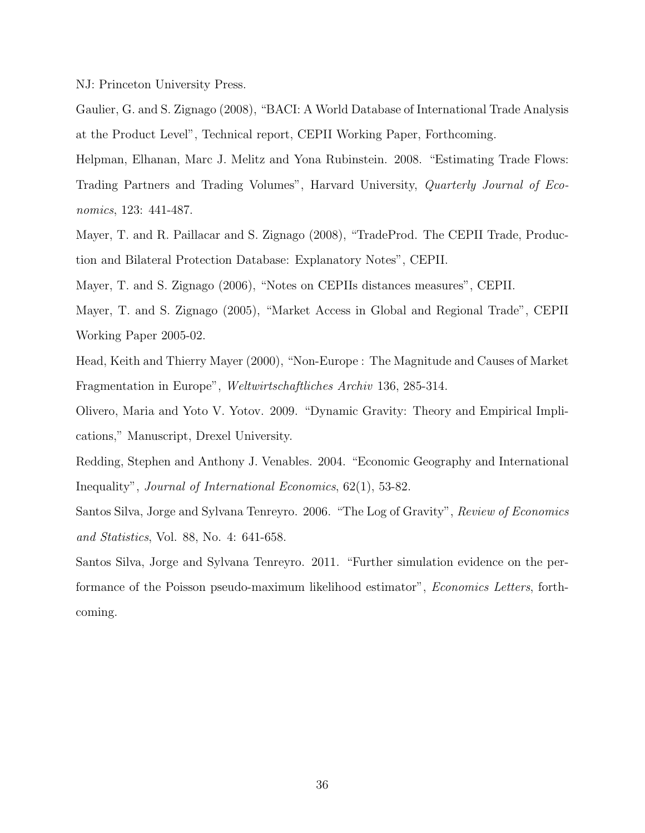NJ: Princeton University Press.

Gaulier, G. and S. Zignago (2008), "BACI: A World Database of International Trade Analysis at the Product Level", Technical report, CEPII Working Paper, Forthcoming.

Helpman, Elhanan, Marc J. Melitz and Yona Rubinstein. 2008. "Estimating Trade Flows: Trading Partners and Trading Volumes", Harvard University, Quarterly Journal of Economics, 123: 441-487.

Mayer, T. and R. Paillacar and S. Zignago (2008), "TradeProd. The CEPII Trade, Production and Bilateral Protection Database: Explanatory Notes", CEPII.

Mayer, T. and S. Zignago (2006), "Notes on CEPIIs distances measures", CEPII.

Mayer, T. and S. Zignago (2005), "Market Access in Global and Regional Trade", CEPII Working Paper 2005-02.

Head, Keith and Thierry Mayer (2000), "Non-Europe : The Magnitude and Causes of Market Fragmentation in Europe", Weltwirtschaftliches Archiv 136, 285-314.

Olivero, Maria and Yoto V. Yotov. 2009. "Dynamic Gravity: Theory and Empirical Implications," Manuscript, Drexel University.

Redding, Stephen and Anthony J. Venables. 2004. "Economic Geography and International Inequality", Journal of International Economics, 62(1), 53-82.

Santos Silva, Jorge and Sylvana Tenreyro. 2006. "The Log of Gravity", Review of Economics and Statistics, Vol. 88, No. 4: 641-658.

Santos Silva, Jorge and Sylvana Tenreyro. 2011. "Further simulation evidence on the performance of the Poisson pseudo-maximum likelihood estimator", Economics Letters, forthcoming.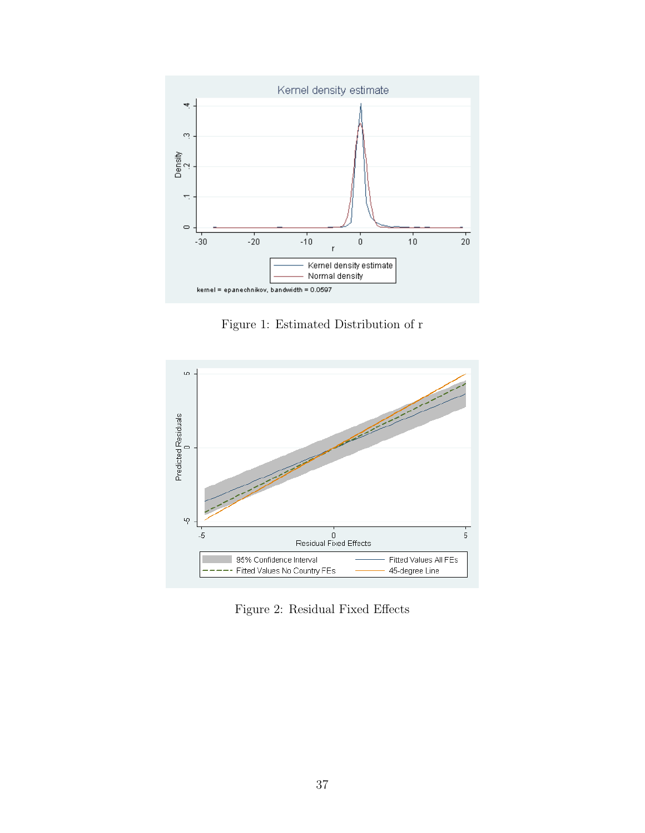

Figure 1: Estimated Distribution of r



Figure 2: Residual Fixed Effects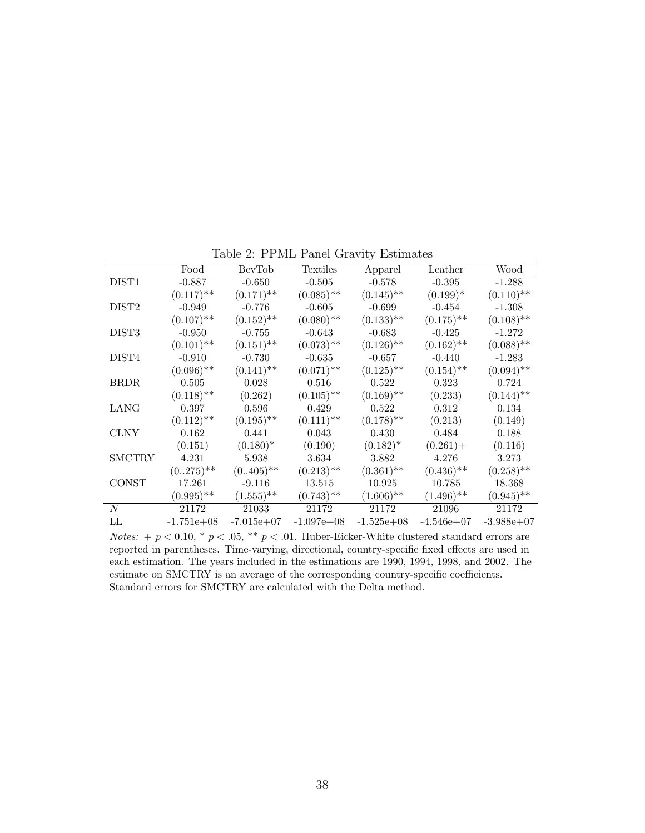|                   | Food         | BevTob         | Textiles                | Apparel                 | Leather                 | Wood         |
|-------------------|--------------|----------------|-------------------------|-------------------------|-------------------------|--------------|
| DIST <sub>1</sub> | $-0.887$     | $-0.650$       | $-0.505$                | $-0.578$                | $-0.395$                | $-1.288$     |
|                   | $(0.117)$ ** | $(0.171)$ **   | $(0.085)$ **            | $(0.145)$ **            | $(0.199)^*$             | $(0.110)$ ** |
| DIST <sub>2</sub> | $-0.949$     | $-0.776$       | $-0.605$                | $-0.699$                | $-0.454$                | $-1.308$     |
|                   | $(0.107)$ ** | $(0.152)$ **   | $(0.080)$ **            | $(0.133)$ **            | $(0.175)$ <sup>**</sup> | $(0.108)$ ** |
| DIST <sub>3</sub> | $-0.950$     | $-0.755$       | $-0.643$                | $-0.683$                | $-0.425$                | $-1.272$     |
|                   | $(0.101)$ ** | $(0.151)$ **   | $(0.073)$ **            | $(0.126)$ **            | $(0.162)$ **            | $(0.088)$ ** |
| DIST4             | $-0.910$     | $-0.730$       | $-0.635$                | $-0.657$                | $-0.440$                | $-1.283$     |
|                   | $(0.096)$ ** | $(0.141)$ **   | $(0.071)$ <sup>**</sup> | $(0.125)$ <sup>**</sup> | $(0.154)$ **            | $(0.094)$ ** |
| <b>BRDR</b>       | 0.505        | 0.028          | 0.516                   | 0.522                   | 0.323                   | 0.724        |
|                   | $(0.118)$ ** | (0.262)        | $(0.105)$ <sup>**</sup> | $(0.169)$ **            | (0.233)                 | $(0.144)$ ** |
| LANG              | 0.397        | 0.596          | 0.429                   | 0.522                   | 0.312                   | 0.134        |
|                   | $(0.112)$ ** | $(0.195)$ **   | $(0.111)$ <sup>**</sup> | $(0.178)$ <sup>**</sup> | (0.213)                 | (0.149)      |
| <b>CLNY</b>       | 0.162        | 0.441          | 0.043                   | 0.430                   | 0.484                   | 0.188        |
|                   | (0.151)      | $(0.180)^*$    | (0.190)                 | $(0.182)^*$             | $(0.261) +$             | (0.116)      |
| <b>SMCTRY</b>     | 4.231        | 5.938          | 3.634                   | 3.882                   | 4.276                   | 3.273        |
|                   | $(0.275)$ ** | $(0.405)$ **   | $(0.213)$ **            | $(0.361)$ **            | $(0.436)$ <sup>**</sup> | $(0.258)$ ** |
| <b>CONST</b>      | 17.261       | $-9.116$       | 13.515                  | 10.925                  | 10.785                  | 18.368       |
|                   | $(0.995)$ ** | $(1.555)^{**}$ | $(0.743)$ <sup>**</sup> | $(1.606)$ **            | $(1.496)$ <sup>**</sup> | $(0.945)$ ** |
| N                 | 21172        | 21033          | 21172                   | 21172                   | 21096                   | 21172        |
| LL                | $-1.751e+08$ | $-7.015e+07$   | $-1.097e+08$            | $-1.525e+08$            | $-4.546e+07$            | $-3.988e+07$ |

Table 2: PPML Panel Gravity Estimates

Notes: +  $p < 0.10$ , \*  $p < .05$ , \*\*  $p < .01$ . Huber-Eicker-White clustered standard errors are reported in parentheses. Time-varying, directional, country-specific fixed effects are used in each estimation. The years included in the estimations are 1990, 1994, 1998, and 2002. The estimate on SMCTRY is an average of the corresponding country-specific coefficients. Standard errors for SMCTRY are calculated with the Delta method.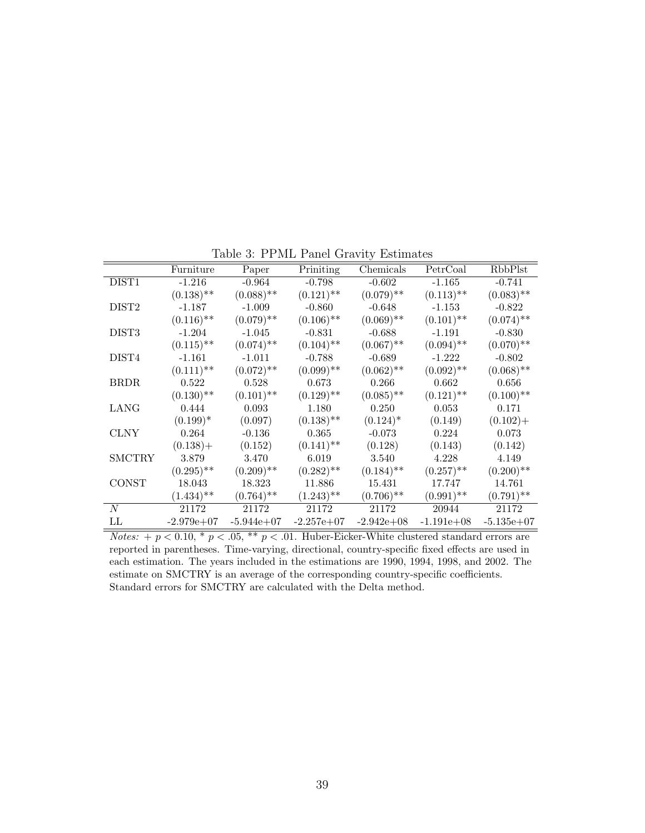|                   | Furniture               | Paper                   | Priniting               | Chemicals               | PetrCoal                | RbbPlst      |
|-------------------|-------------------------|-------------------------|-------------------------|-------------------------|-------------------------|--------------|
| DIST <sub>1</sub> | $-1.216$                | $-0.964$                | $-0.798$                | $-0.602$                | $-1.165$                | $-0.741$     |
|                   | $(0.138)$ **            | $(0.088)$ **            | $(0.121)$ **            | $(0.079)$ **            | $(0.113)$ <sup>**</sup> | $(0.083)$ ** |
| DIST <sub>2</sub> | $-1.187$                | $-1.009$                | $-0.860$                | $-0.648$                | $-1.153$                | $-0.822$     |
|                   | $(0.116)$ **            | $(0.079)$ **            | $(0.106)$ <sup>**</sup> | $(0.069)$ **            | $(0.101)$ **            | $(0.074)$ ** |
| DIST <sub>3</sub> | $-1.204$                | $-1.045$                | $-0.831$                | $-0.688$                | $-1.191$                | $-0.830$     |
|                   | $(0.115)$ **            | $(0.074)$ <sup>**</sup> | $(0.104)$ **            | $(0.067)$ **            | $(0.094)$ **            | $(0.070)$ ** |
| DIST4             | $-1.161$                | $-1.011$                | $-0.788$                | $-0.689$                | $-1.222$                | $-0.802$     |
|                   | $(0.111)$ <sup>**</sup> | $(0.072)$ **            | $(0.099)$ **            | $(0.062)$ **            | $(0.092)$ **            | $(0.068)$ ** |
| <b>BRDR</b>       | 0.522                   | 0.528                   | 0.673                   | 0.266                   | 0.662                   | 0.656        |
|                   | $(0.130)$ **            | $(0.101)$ **            | $(0.129)$ **            | $(0.085)$ **            | $(0.121)$ <sup>**</sup> | $(0.100)$ ** |
| LANG              | 0.444                   | 0.093                   | 1.180                   | 0.250                   | 0.053                   | 0.171        |
|                   | $(0.199)^*$             | (0.097)                 | $(0.138)$ <sup>**</sup> | $(0.124)^*$             | (0.149)                 | $(0.102) +$  |
| <b>CLNY</b>       | 0.264                   | $-0.136$                | 0.365                   | $-0.073$                | 0.224                   | 0.073        |
|                   | $(0.138) +$             | (0.152)                 | $(0.141)$ <sup>**</sup> | (0.128)                 | (0.143)                 | (0.142)      |
| <b>SMCTRY</b>     | 3.879                   | 3.470                   | 6.019                   | 3.540                   | 4.228                   | 4.149        |
|                   | $(0.295)$ **            | $(0.209)$ **            | $(0.282)$ **            | $(0.184)$ <sup>**</sup> | $(0.257)$ <sup>**</sup> | $(0.200)$ ** |
| <b>CONST</b>      | 18.043                  | 18.323                  | 11.886                  | 15.431                  | 17.747                  | 14.761       |
|                   | $(1.434)$ **            | $(0.764)$ <sup>**</sup> | $(1.243)$ **            | $(0.706)$ <sup>**</sup> | $(0.991)$ **            | $(0.791)$ ** |
| N                 | 21172                   | 21172                   | 21172                   | 21172                   | 20944                   | 21172        |
| LL                | $-2.979e+07$            | $-5.944e+07$            | $-2.257e+07$            | $-2.942e+08$            | $-1.191e+08$            | $-5.135e+07$ |

Table 3: PPML Panel Gravity Estimates

Notes: +  $p < 0.10$ , \*  $p < .05$ , \*\*  $p < .01$ . Huber-Eicker-White clustered standard errors are reported in parentheses. Time-varying, directional, country-specific fixed effects are used in each estimation. The years included in the estimations are 1990, 1994, 1998, and 2002. The estimate on SMCTRY is an average of the corresponding country-specific coefficients. Standard errors for SMCTRY are calculated with the Delta method.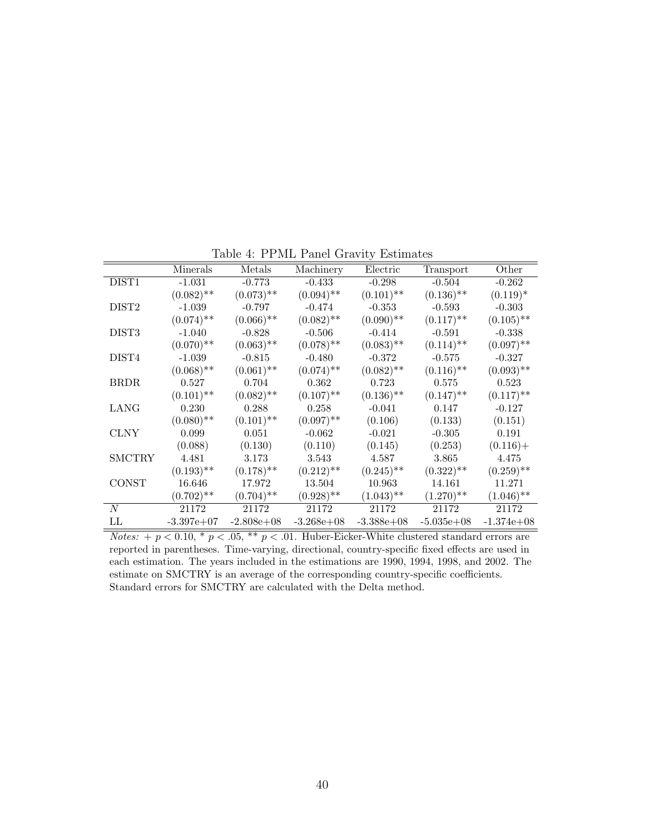|                   | Minerals     | Metals                  | Machinery               | Electric                | Transport               | Other        |
|-------------------|--------------|-------------------------|-------------------------|-------------------------|-------------------------|--------------|
| DIST <sub>1</sub> | $-1.031$     | $-0.773$                | $-0.433$                | $-0.298$                | $-0.504$                | $-0.262$     |
|                   | $(0.082)$ ** | $(0.073)$ **            | $(0.094)$ **            | $(0.101)$ **            | $(0.136)$ **            | $(0.119)^*$  |
| DIST <sub>2</sub> | $-1.039$     | $-0.797$                | $-0.474$                | $-0.353$                | $-0.593$                | $-0.303$     |
|                   | $(0.074)$ ** | $(0.066)$ **            | $(0.082)$ **            | $(0.090)$ **            | $(0.117)$ <sup>**</sup> | $(0.105)$ ** |
| DIST <sub>3</sub> | $-1.040$     | $-0.828$                | $-0.506$                | $-0.414$                | $-0.591$                | $-0.338$     |
|                   | $(0.070)$ ** | $(0.063)$ **            | $(0.078)$ <sup>**</sup> | $(0.083)$ **            | $(0.114)$ <sup>**</sup> | $(0.097)$ ** |
| DIST4             | $-1.039$     | $-0.815$                | $-0.480$                | $-0.372$                | $-0.575$                | $-0.327$     |
|                   | $(0.068)$ ** | $(0.061)$ **            | $(0.074)$ **            | $(0.082)$ **            | $(0.116)$ <sup>**</sup> | $(0.093)$ ** |
| <b>BRDR</b>       | 0.527        | 0.704                   | 0.362                   | 0.723                   | 0.575                   | 0.523        |
|                   | $(0.101)$ ** | $(0.082)$ **            | $(0.107)$ **            | $(0.136)$ **            | $(0.147)$ <sup>**</sup> | $(0.117)$ ** |
| LANG              | 0.230        | 0.288                   | 0.258                   | $-0.041$                | 0.147                   | $-0.127$     |
|                   | $(0.080)$ ** | $(0.101)$ **            | $(0.097)$ <sup>**</sup> | (0.106)                 | (0.133)                 | (0.151)      |
| <b>CLNY</b>       | 0.099        | 0.051                   | $-0.062$                | $-0.021$                | $-0.305$                | 0.191        |
|                   | (0.088)      | (0.130)                 | (0.110)                 | (0.145)                 | (0.253)                 | $(0.116) +$  |
| <b>SMCTRY</b>     | 4.481        | 3.173                   | 3.543                   | 4.587                   | 3.865                   | 4.475        |
|                   | $(0.193)$ ** | $(0.178)$ <sup>**</sup> | $(0.212)$ **            | $(0.245)$ <sup>**</sup> | $(0.322)$ **            | $(0.259)$ ** |
| <b>CONST</b>      | 16.646       | 17.972                  | 13.504                  | 10.963                  | 14.161                  | 11.271       |
|                   | $(0.702)$ ** | $(0.704)$ **            | $(0.928)$ **            | $(1.043)$ **            | $(1.270)$ <sup>**</sup> | $(1.046)$ ** |
| N                 | 21172        | 21172                   | 21172                   | 21172                   | 21172                   | 21172        |
| LL                | $-3.397e+07$ | $-2.808e+0.8$           | $-3.268e+08$            | $-3.388e+0.8$           | $-5.035e+08$            | $-1.374e+08$ |

Table 4: PPML Panel Gravity Estimates

Notes: +  $p < 0.10$ , \*  $p < .05$ , \*\*  $p < .01$ . Huber-Eicker-White clustered standard errors are reported in parentheses. Time-varying, directional, country-specific fixed effects are used in each estimation. The years included in the estimations are 1990, 1994, 1998, and 2002. The estimate on SMCTRY is an average of the corresponding country-specific coefficients. Standard errors for SMCTRY are calculated with the Delta method.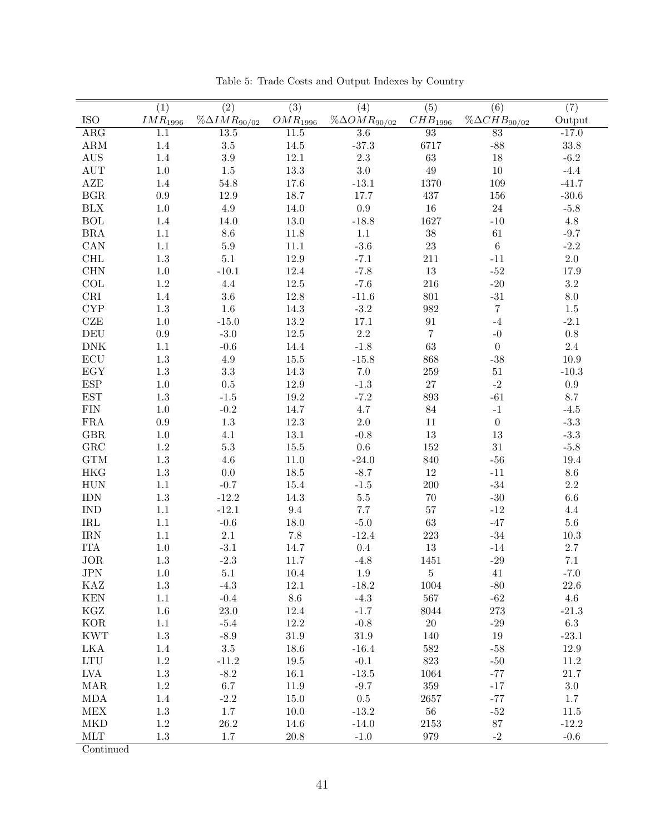|                                                             | $\overline{(1)}$    | $\overline{(2)}$        | $\overline{(3)}$  | (4)                    | $\overline{(5)}$    | $\overline{(6)}$        | $\overline{(7)}$ |
|-------------------------------------------------------------|---------------------|-------------------------|-------------------|------------------------|---------------------|-------------------------|------------------|
| <b>ISO</b>                                                  | IMR <sub>1996</sub> | $\% \Delta IMR_{90/02}$ | $OMR_{1996}$      | $\%\Delta OMR_{90/02}$ | CHB <sub>1996</sub> | $\% \Delta CHB_{90/02}$ | Output           |
| $\overline{\text{ARG}}$                                     | $\overline{1.1}$    | 13.5                    | $\overline{11.5}$ | $\overline{3.6}$       | $\overline{93}$     | $\overline{83}$         | $-17.0$          |
| $\mathbf{ARM}$                                              | $1.4\,$             | $3.5\,$                 | 14.5              | $-37.3$                | 6717                | $-88$                   | $33.8\,$         |
| AUS                                                         | $1.4\,$             | $3.9\,$                 | $12.1\,$          | $2.3\,$                | $63\,$              | 18                      | $-6.2$           |
| <b>AUT</b>                                                  | $1.0\,$             | $1.5\,$                 | 13.3              | 3.0                    | $49\,$              | $10\,$                  | $-4.4$           |
| ${\rm AZE}$                                                 | 1.4                 | 54.8                    | 17.6              | $-13.1$                | 1370                | 109                     | $-41.7$          |
| $_{\rm BGR}$                                                | $\rm 0.9$           | 12.9                    | 18.7              | 17.7                   | 437                 | 156                     | $-30.6$          |
| $\rm B L X$                                                 | $1.0\,$             | $4.9\,$                 | 14.0              | $\rm 0.9$              | $16\,$              | $24\,$                  | $-5.8$           |
| $\rm BOL$                                                   | 1.4                 | 14.0                    | $13.0\,$          | $-18.8$                | 1627                | $\mbox{-}10$            | $4.8\,$          |
| $\rm BRA$                                                   | $1.1\,$             | $8.6\,$                 | 11.8              | $1.1\,$                | $38\,$              | $61\,$                  | $-9.7$           |
| CAN                                                         | $1.1\,$             | $5.9\,$                 | $11.1\,$          | $-3.6$                 | $23\,$              | $\,6\,$                 | $-2.2$           |
| $\operatorname{CHL}$                                        | $1.3\,$             | $5.1\,$                 | 12.9              | $-7.1$                 | $211\,$             | $-11$                   | $2.0\,$          |
| <b>CHN</b>                                                  | $1.0\,$             | $-10.1$                 | 12.4              | $-7.8$                 | $13\,$              | $\textbf{-52}$          | 17.9             |
| $\ensuremath{\mathrm{COL}}$                                 | $1.2\,$             | $4.4\,$                 | 12.5              | $-7.6$                 | 216                 | $-20$                   | $\!3.2\!$        |
| $\mathop{\rm CRI}\nolimits$                                 | $1.4\,$             | $3.6\,$                 | 12.8              | $-11.6$                | 801                 | $\textbf{-31}$          | $\!\!\!\!\!8.0$  |
| $\ensuremath{\mathrm{CYP}}$                                 | $1.3\,$             | $1.6\,$                 | 14.3              | $-3.2$                 | 982                 | $\,7$                   | $1.5\,$          |
| <b>CZE</b>                                                  | $1.0\,$             | $-15.0$                 | 13.2              | 17.1                   | $\rm 91$            | $-4$                    | $-2.1$           |
| $\operatorname{DEU}$                                        | $\rm 0.9$           | $-3.0$                  | 12.5              | $2.2\,$                | $\overline{7}$      | $-0$                    | $0.8\,$          |
| ${\rm DNK}$                                                 | $1.1\,$             | $-0.6$                  | 14.4              | $-1.8$                 | $63\,$              | $\boldsymbol{0}$        | $2.4\,$          |
| $\operatorname{ECU}$                                        | $1.3\,$             | 4.9                     | $15.5\,$          | $-15.8$                | 868                 | $-38$                   | 10.9             |
| $\mathop{\hbox{\rm EGY}}$                                   | $1.3\,$             | $\!3.3$                 | 14.3              | $7.0\,$                | 259                 | $51\,$                  | $-10.3$          |
| $\ensuremath{\mathrm{ESP}}$                                 | $1.0\,$             | $0.5\,$                 | 12.9              | $-1.3$                 | $27\,$              | $\mbox{-}2$             | $\rm 0.9$        |
| EST                                                         | $1.3\,$             | $-1.5$                  | $19.2\,$          | $-7.2$                 | 893                 | $-61$                   | 8.7              |
| ${\rm FIN}$                                                 | $1.0\,$             | $-0.2$                  | 14.7              | 4.7                    | $84\,$              | $^{\rm -1}$             | $-4.5$           |
| ${\rm FRA}$                                                 | $\rm 0.9$           | $1.3\,$                 | 12.3              | $2.0\,$                | $11\,$              | $\boldsymbol{0}$        | $-3.3$           |
| $\rm{GBR}$                                                  | $1.0\,$             | 4.1                     | $13.1\,$          | $-0.8$                 | $13\,$              | $13\,$                  | $-3.3$           |
| ${\rm GRC}$                                                 | $1.2\,$             | $5.3\,$                 | 15.5              | $0.6\,$                | $152\,$             | $31\,$                  | $-5.8$           |
| $\operatorname{GTM}$                                        | $1.3\,$             | $4.6\,$                 | $11.0\,$          | $-24.0$                | 840                 | $\mbox{-}56$            | 19.4             |
| <b>HKG</b>                                                  | $1.3\,$             | $0.0\,$                 | 18.5              | $-8.7$                 | $12\,$              | $-11$                   | $8.6\,$          |
| <b>HUN</b>                                                  | $1.1\,$             | $-0.7$                  | 15.4              | $-1.5$                 | $200\,$             | $\textbf{-34}$          | $2.2\,$          |
| <b>IDN</b>                                                  | $1.3\,$             | $-12.2$                 | 14.3              | $5.5\,$                | $70\,$              | $\mbox{-}30$            | $6.6\,$          |
| <b>IND</b>                                                  | $1.1\,$             | $-12.1$                 | $\,9.4$           | 7.7                    | $57\,$              | $-12$                   | $4.4\,$          |
| $\operatorname{IRL}$                                        | $1.1\,$             | $-0.6$                  | 18.0              | $-5.0$                 | $63\,$              | $-47$                   | $5.6\,$          |
| <b>IRN</b>                                                  | $1.1\,$             | $2.1\,$                 | $7.8\,$           | $-12.4$                | $223\,$             | $-34$                   | $10.3\,$         |
| <b>ITA</b>                                                  | 1.0                 | $-3.1$                  | 14.7              | $0.4\,$                | $13\,$              | $-14$                   | $2.7\,$          |
| <b>JOR</b>                                                  | $1.3\,$             | $-2.3$                  | 11.7              | $-4.8$                 | 1451                | $\mbox{-} 29$           | $7.1\,$          |
| $\mathrm{JPN}$                                              | 1.0                 | 5.1                     | 10.4              | $1.9\,$                | $\overline{5}$      | 41                      | $-7.0$           |
| $\rm KAZ$                                                   | $1.3\,$             | $-4.3$                  | $12.1\,$          | $-18.2$                | 1004                | $-80$                   | $22.6\,$         |
| KEN                                                         | $1.1\,$             | $-0.4$                  | $8.6\,$           | $-4.3$                 | $567\,$             | $-62$                   | $4.6\,$          |
| KGZ                                                         | 1.6                 | $23.0\,$                | 12.4              | $-1.7$                 | 8044                | $273\,$                 | $-21.3$          |
| <b>KOR</b>                                                  | $1.1\,$             | $-5.4$                  | $12.2\,$          | $-0.8$                 | $20\,$              | $-29$                   | $6.3\,$          |
| <b>KWT</b>                                                  | $1.3\,$             | $-8.9$                  | $31.9\,$          | $31.9\,$               | 140                 | 19                      | $-23.1$          |
| LKA                                                         | 1.4                 | $3.5\,$                 | 18.6              | $-16.4$                | 582                 | $-58$                   | $12.9\,$         |
| $\ensuremath{\text{L}\text{T}}\xspace\ensuremath{\text{U}}$ | $1.2\,$             | $-11.2$                 | $19.5\,$          | $-0.1$                 | $823\,$             | $-50$                   | 11.2             |
| LVA                                                         | $1.3\,$             | $-8.2$                  | 16.1              | $-13.5$                | 1064                | $-77$                   | $21.7\,$         |
| $\rm{MAR}$                                                  | $1.2\,$             | $6.7\,$                 | $11.9\,$          | $-9.7$                 | $359\,$             | $-17$                   | $3.0\,$          |
| $\rm MDA$                                                   | 1.4                 | $\text{-}2.2$           | $15.0\,$          | $0.5\,$                | 2657                | $-77$                   | $1.7\,$          |
| MEX                                                         | 1.3                 | $1.7\,$                 | 10.0              | $-13.2$                | $56\,$              | $-52$                   | 11.5             |
| MKD                                                         | 1.2                 | $26.2\,$                | 14.6              | $-14.0$                | 2153                | 87                      | $-12.2$          |
| $\operatorname{MLT}$                                        | $1.3\,$             | $1.7\,$                 | $20.8\,$          | $-1.0$                 | 979                 | $-2$                    | $-0.6$           |

Table 5: Trade Costs and Output Indexes by Country

Continued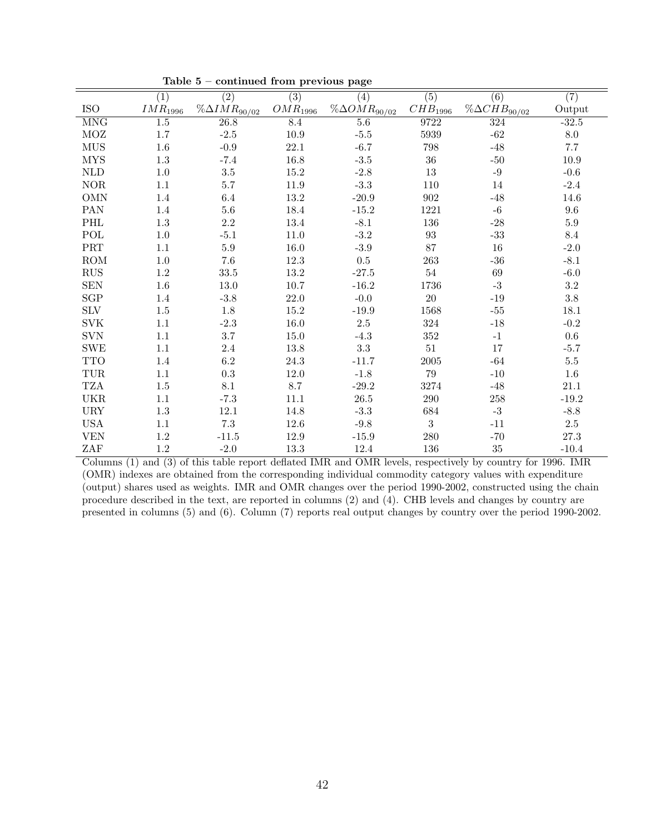|                             | $\overline{(1)}$       | $\overline{(2)}$       | $\overline{(3)}$       | (4)                    | $\overline{(5)}$    | $\overline{(6)}$        | $\overline{(7)}$ |
|-----------------------------|------------------------|------------------------|------------------------|------------------------|---------------------|-------------------------|------------------|
| <b>ISO</b>                  | $\mathcal{IMR}_{1996}$ | $\%\Delta IMR_{90/02}$ | $\mathcal{O}MR_{1996}$ | $\%\Delta OMR_{90/02}$ | ${\cal C}HB_{1996}$ | $\% \Delta CHB_{90/02}$ | Output           |
| <b>MNG</b>                  | 1.5                    | 26.8                   | 8.4                    | 5.6                    | 9722                | 324                     | $-32.5$          |
| MOZ                         | 1.7                    | $-2.5$                 | $10.9\,$               | $-5.5$                 | 5939                | $-62$                   | $8.0\,$          |
| <b>MUS</b>                  | 1.6                    | $-0.9$                 | 22.1                   | $-6.7$                 | 798                 | $-48$                   | $7.7\,$          |
| <b>MYS</b>                  | $1.3\,$                | $-7.4$                 | 16.8                   | $-3.5$                 | $36\,$              | $-50$                   | $10.9\,$         |
| $\mbox{NLD}$                | 1.0                    | $3.5\,$                | 15.2                   | $-2.8$                 | $13\,$              | $-9$                    | $-0.6$           |
| $\rm{NOR}$                  | 1.1                    | 5.7                    | 11.9                   | $-3.3$                 | 110                 | 14                      | $-2.4$           |
| <b>OMN</b>                  | 1.4                    | 6.4                    | $13.2\,$               | $-20.9$                | $\boldsymbol{902}$  | $-48$                   | $14.6\,$         |
| PAN                         | 1.4                    | $5.6\,$                | 18.4                   | $-15.2$                | 1221                | $-6$                    | $9.6\,$          |
| $\mathcal{PHL}$             | $1.3\,$                | $2.2\,$                | 13.4                   | $-8.1$                 | 136                 | $-28$                   | $5.9\,$          |
| $\operatorname{POL}$        | 1.0                    | $-5.1$                 | $11.0\,$               | $-3.2$                 | $\boldsymbol{93}$   | $\text{-}33$            | 8.4              |
| $\ensuremath{\mathsf{PRT}}$ | 1.1                    | $5.9\,$                | 16.0                   | $-3.9$                 | 87                  | $16\,$                  | $-2.0$           |
| ROM                         | 1.0                    | $7.6\,$                | 12.3                   | $0.5\,$                | $263\,$             | $-36$                   | $-8.1$           |
| RUS                         | $1.2\,$                | 33.5                   | $13.2\,$               | $-27.5$                | $54\,$              | 69                      | $-6.0$           |
| <b>SEN</b>                  | $1.6\,$                | 13.0                   | $10.7\,$               | $-16.2$                | 1736                | $\text{-}3$             | $3.2\,$          |
| SGP                         | 1.4                    | $-3.8$                 | 22.0                   | $-0.0$                 | $20\,$              | $-19$                   | $3.8\,$          |
| $\rm{SLV}$                  | 1.5                    | 1.8                    | 15.2                   | $-19.9$                | 1568                | $-55$                   | 18.1             |
| <b>SVK</b>                  | 1.1                    | $-2.3$                 | 16.0                   | $2.5\,$                | 324                 | $\mbox{-}18$            | $-0.2$           |
| <b>SVN</b>                  | 1.1                    | $3.7\,$                | $15.0\,$               | $-4.3$                 | $352\,$             | $-1$                    | $0.6\,$          |
| <b>SWE</b>                  | 1.1                    | 2.4                    | 13.8                   | $\!.3$                 | $51\,$              | 17                      | $-5.7$           |
| <b>TTO</b>                  | 1.4                    | $6.2\,$                | $24.3\,$               | $-11.7$                | $2005\,$            | $-64$                   | $5.5\,$          |
| TUR                         | 1.1                    | $\rm 0.3$              | $12.0\,$               | $-1.8$                 | 79                  | $-10$                   | $1.6\,$          |
| <b>TZA</b>                  | 1.5                    | 8.1                    | 8.7                    | $-29.2$                | 3274                | $-48$                   | $21.1\,$         |
| <b>UKR</b>                  | 1.1                    | $-7.3$                 | 11.1                   | $26.5\,$               | $290\,$             | $258\,$                 | $-19.2$          |
| <b>URY</b>                  | $1.3\,$                | $12.1\,$               | 14.8                   | $-3.3$                 | 684                 | $-3$                    | $-8.8$           |
| <b>USA</b>                  | 1.1                    | $7.3\,$                | 12.6                   | $-9.8$                 | 3                   | $-11$                   | $2.5\,$          |
| <b>VEN</b>                  | $1.2\,$                | $-11.5$                | 12.9                   | $-15.9$                | $280\,$             | $-70$                   | $27.3\,$         |
| ZAF                         | $1.2\,$                | $-2.0$                 | 13.3                   | $12.4\,$               | 136                 | $35\,$                  | $-10.4$          |

Table 5 – continued from previous page

Columns (1) and (3) of this table report deflated IMR and OMR levels, respectively by country for 1996. IMR (OMR) indexes are obtained from the corresponding individual commodity category values with expenditure (output) shares used as weights. IMR and OMR changes over the period 1990-2002, constructed using the chain procedure described in the text, are reported in columns (2) and (4). CHB levels and changes by country are presented in columns (5) and (6). Column (7) reports real output changes by country over the period 1990-2002.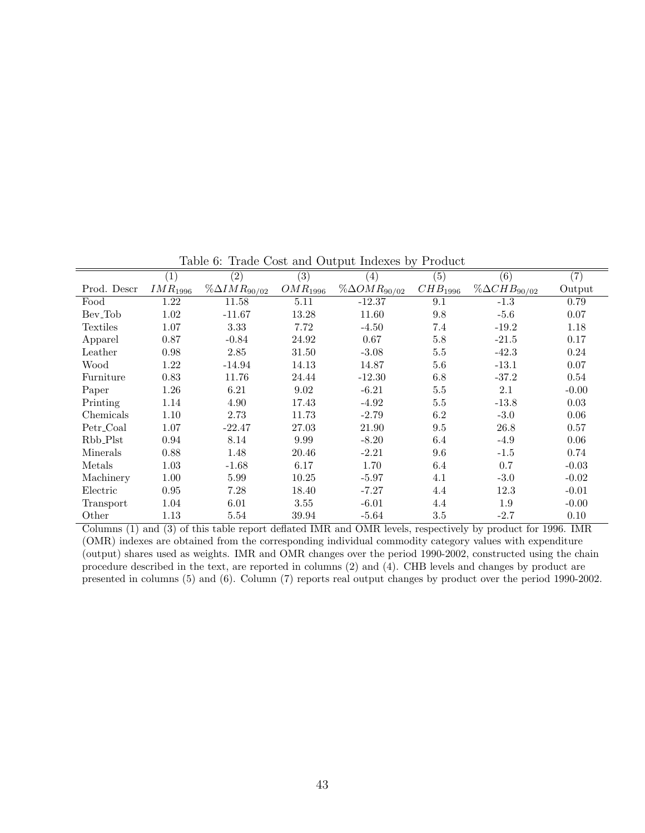|                     | (1)               | $\overline{(2)}$        | $\left( 3\right)$      | $\left( 4\right)$       | $\overline{(5)}$    | (6)                     | (7)     |
|---------------------|-------------------|-------------------------|------------------------|-------------------------|---------------------|-------------------------|---------|
| Prod. Descr         | $\it{IMR}_{1996}$ | $\% \Delta IMR_{90/02}$ | $\mathcal{O}MR_{1996}$ | $\% \Delta OMR_{90/02}$ | CHB <sub>1996</sub> | $\% \Delta CHB_{90/02}$ | Output  |
| Food                | 1.22              | 11.58                   | 5.11                   | $-12.37$                | 9.1                 | $-1.3$                  | 0.79    |
| Bev <sub>-Tob</sub> | 1.02              | $-11.67$                | 13.28                  | 11.60                   | 9.8                 | $-5.6$                  | 0.07    |
| Textiles            | 1.07              | 3.33                    | 7.72                   | $-4.50$                 | 7.4                 | $-19.2$                 | 1.18    |
| Apparel             | 0.87              | $-0.84$                 | 24.92                  | 0.67                    | 5.8                 | $-21.5$                 | 0.17    |
| Leather             | 0.98              | 2.85                    | 31.50                  | $-3.08$                 | 5.5                 | $-42.3$                 | 0.24    |
| Wood                | 1.22              | $-14.94$                | 14.13                  | 14.87                   | 5.6                 | $-13.1$                 | 0.07    |
| Furniture           | 0.83              | 11.76                   | 24.44                  | $-12.30$                | 6.8                 | $-37.2$                 | 0.54    |
| Paper               | 1.26              | 6.21                    | 9.02                   | $-6.21$                 | $5.5\,$             | 2.1                     | $-0.00$ |
| Printing            | 1.14              | 4.90                    | 17.43                  | $-4.92$                 | $5.5\,$             | $-13.8$                 | 0.03    |
| Chemicals           | 1.10              | 2.73                    | 11.73                  | $-2.79$                 | 6.2                 | $-3.0$                  | 0.06    |
| Petr_Coal           | 1.07              | $-22.47$                | 27.03                  | 21.90                   | 9.5                 | 26.8                    | 0.57    |
| Rbb_Plst            | 0.94              | 8.14                    | 9.99                   | $-8.20$                 | 6.4                 | $-4.9$                  | 0.06    |
| Minerals            | 0.88              | 1.48                    | 20.46                  | $-2.21$                 | 9.6                 | $-1.5$                  | 0.74    |
| Metals              | 1.03              | $-1.68$                 | 6.17                   | 1.70                    | 6.4                 | 0.7                     | $-0.03$ |
| Machinery           | 1.00              | 5.99                    | 10.25                  | $-5.97$                 | 4.1                 | $-3.0$                  | $-0.02$ |
| Electric            | 0.95              | 7.28                    | 18.40                  | $-7.27$                 | 4.4                 | 12.3                    | $-0.01$ |
| Transport           | 1.04              | 6.01                    | 3.55                   | $-6.01$                 | 4.4                 | 1.9                     | $-0.00$ |
| Other               | 1.13              | 5.54                    | 39.94                  | $-5.64$                 | 3.5                 | $-2.7$                  | 0.10    |

Table 6: Trade Cost and Output Indexes by Product

Columns (1) and (3) of this table report deflated IMR and OMR levels, respectively by product for 1996. IMR (OMR) indexes are obtained from the corresponding individual commodity category values with expenditure (output) shares used as weights. IMR and OMR changes over the period 1990-2002, constructed using the chain procedure described in the text, are reported in columns (2) and (4). CHB levels and changes by product are presented in columns (5) and (6). Column (7) reports real output changes by product over the period 1990-2002.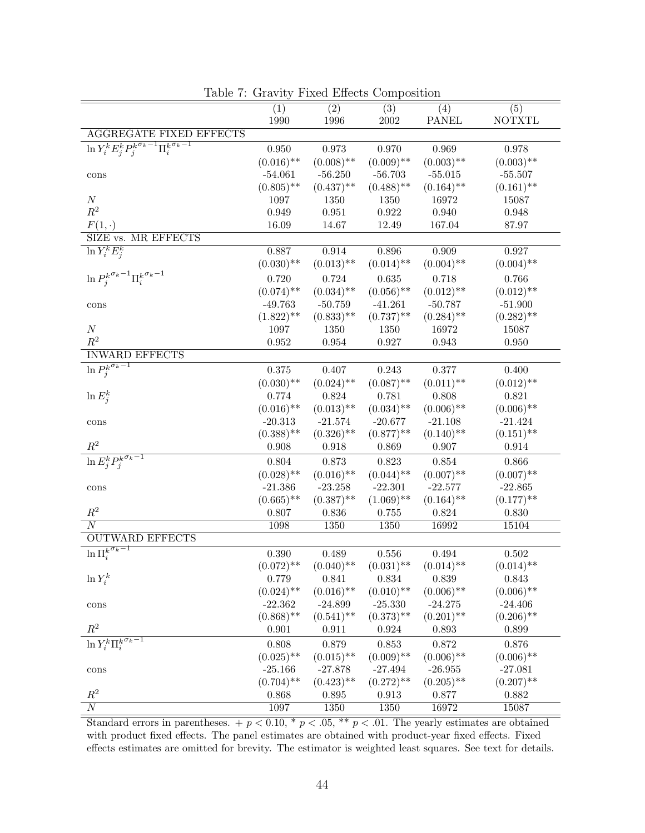|                                                                                     | $\overline{(1)}$          | $\overline{(2)}$          | $\overline{(3)}$ | (4)          | $\overline{(5)}$ |
|-------------------------------------------------------------------------------------|---------------------------|---------------------------|------------------|--------------|------------------|
|                                                                                     | 1990                      | 1996                      | $2002\,$         | <b>PANEL</b> | <b>NOTXTL</b>    |
| <b>AGGREGATE FIXED EFFECTS</b>                                                      |                           |                           |                  |              |                  |
| $\ln Y_{i}^{k}\overline{E_{j}^{k}P_{j}^{k}}^{\sigma_{k}-1}\Pi_{i}^{k}\sigma_{k}-1}$ | 0.950                     | 0.973                     | $0.970\,$        | 0.969        | 0.978            |
|                                                                                     | $(0.016)$ **              | $(0.008)$ **              | $(0.009)$ **     | $(0.003)$ ** | $(0.003)$ **     |
| $\operatorname{cons}$                                                               | $-54.061$                 | $-56.250$                 | $-56.703$        | $-55.015$    | $-55.507$        |
|                                                                                     | $(0.805)$ **              | $(0.437)$ **              | $(0.488)$ **     | $(0.164)$ ** | $(0.161)$ **     |
| $\cal N$                                                                            | 1097                      | 1350                      | 1350             | 16972        | 15087            |
| $R^2$                                                                               | 0.949                     | $\,0.951\,$               | $0.922\,$        | 0.940        | 0.948            |
| $F(1,\cdot)$                                                                        | 16.09                     | 14.67                     | 12.49            | 167.04       | 87.97            |
| SIZE vs. MR EFFECTS                                                                 |                           |                           |                  |              |                  |
| $\ln \overline{Y_i^k E_i^k}$                                                        | 0.887                     | 0.914                     | 0.896            | 0.909        | 0.927            |
|                                                                                     | $(0.030)$ **              | $(0.013)$ **              | $(0.014)$ **     | $(0.004)$ ** | $(0.004)$ **     |
| $\ln P_{j}^{k^{\sigma_k-1}} \Pi_{i}^{k^{\sigma_k-1}}$                               | 0.720                     | 0.724                     | $\,0.635\,$      | 0.718        | $0.766\,$        |
|                                                                                     | $(0.074)$ **              | $(0.034)$ **              | $(0.056)$ **     | $(0.012)$ ** | $(0.012)$ **     |
| cons                                                                                | $-49.763$                 | $-50.759$                 | $-41.261$        | $-50.787$    | $-51.900$        |
|                                                                                     | $(1.822)$ **              | $(0.833)$ **              | $(0.737)$ **     | $(0.284)$ ** | $(0.282)$ **     |
| $\cal N$                                                                            | 1097                      | 1350                      | 1350             | 16972        | 15087            |
| $\mathbb{R}^2$                                                                      | $\,0.952\,$               | 0.954                     | 0.927            | 0.943        | $0.950\,$        |
| <b>INWARD EFFECTS</b>                                                               |                           |                           |                  |              |                  |
| $\ln \overline{P_{j}^{k^{\sigma_k-1}}}$                                             | 0.375                     | 0.407                     | 0.243            | $0.377\,$    | 0.400            |
|                                                                                     | $(0.030)$ **              | $(0.024)$ **              | $(0.087)$ **     | $(0.011)$ ** | $(0.012)$ **     |
| $\ln E_i^k$                                                                         | 0.774                     | 0.824                     | 0.781            | 0.808        | 0.821            |
|                                                                                     | $(0.016)$ **              | $(0.013)$ **              | $(0.034)$ **     | $(0.006)$ ** | $(0.006)$ **     |
| cons                                                                                | $-20.313$                 | $-21.574$                 | $-20.677$        | $-21.108$    | $-21.424$        |
|                                                                                     | $(0.388)$ **              | $(0.326)$ **              | $(0.877)$ **     | $(0.140)$ ** | $(0.151)$ **     |
| $R^2$                                                                               | 0.908                     | 0.918                     | 0.869            | $0.907\,$    | 0.914            |
| $\ln \overline{E^k_j P^{k^{\sigma_k-1}}_j}$                                         | $0.804\,$                 | 0.873                     | $0.823\,$        | $0.854\,$    | $0.866\,$        |
|                                                                                     | $(0.028)$ **              | $(0.016)$ **              | $(0.044)$ **     | $(0.007)$ ** | $(0.007)$ **     |
| $\operatorname{cons}$                                                               | $-21.386$                 | $-23.258$                 | $-22.301$        | $-22.577$    | $-22.865$        |
|                                                                                     | $(0.665)$ **              | $(0.387)$ **              | $(1.069)$ **     | $(0.164)$ ** | $(0.177)$ **     |
| $\mathbb{R}^2$                                                                      | 0.807                     | 0.836                     | $0.755\,$        | 0.824        | $0.830\,$        |
| $\overline{N}$                                                                      | 1098                      | 1350                      | 1350             | 16992        | 15104            |
| <b>OUTWARD EFFECTS</b>                                                              |                           |                           |                  |              |                  |
| $\ln \overline{\Pi_i^{k^{\sigma_k-1}}}$                                             | 0.390                     | 0.489                     | 0.556            | 0.494        | $0.502\,$        |
|                                                                                     | $(0.072)$ **              | $(0.040)$ **              | $(0.031)$ **     | $(0.014)$ ** | $(0.014)$ **     |
| $\ln Y_i^k$                                                                         | 0.779                     | 0.841                     | 0.834            | 0.839        | 0.843            |
|                                                                                     | $(0.024)$ **              | $(0.016)$ **              | $(0.010)$ **     | $(0.006)$ ** | $(0.006)$ **     |
| $\operatorname{cons}$                                                               | $-22.362$                 | $-24.899$                 | $-25.330$        | $-24.275$    | $-24.406$        |
|                                                                                     | $(0.868)$ **              | $(0.541)$ **              | $(0.373)$ **     | $(0.201)$ ** | $(0.206)$ **     |
| $R^2$                                                                               | 0.901                     | 0.911                     | 0.924            | 0.893        | 0.899            |
| $\ln Y_i^k \Pi_i^{\overline{k^{\sigma_k}-1}}$                                       |                           |                           |                  |              |                  |
|                                                                                     | 0.808                     | 0.879                     | $\,0.853\,$      | 0.872        | 0.876            |
|                                                                                     | $(0.025)$ **              | $(0.015)$ **              | $(0.009)$ **     | $(0.006)$ ** | $(0.006)$ **     |
| cons                                                                                | $-25.166$<br>$(0.704)$ ** | $-27.878$<br>$(0.423)$ ** | $-27.494$        | $-26.955$    | $-27.081$        |
| $\mathbb{R}^2$                                                                      |                           |                           | $(0.272)$ **     | $(0.205)$ ** | $(0.207)$ **     |
| $\overline{N}$                                                                      | 0.868                     | 0.895                     | 0.913            | 0.877        | 0.882            |
|                                                                                     | 1097                      | 1350                      | 1350             | 16972        | 15087            |

Table 7: Gravity Fixed Effects Composition

Standard errors in parentheses.  $+p < 0.10$ ,  $\ast p < .05$ ,  $\ast \ast p < .01$ . The yearly estimates are obtained with product fixed effects. The panel estimates are obtained with product-year fixed effects. Fixed effects estimates are omitted for brevity. The estimator is weighted least squares. See text for details.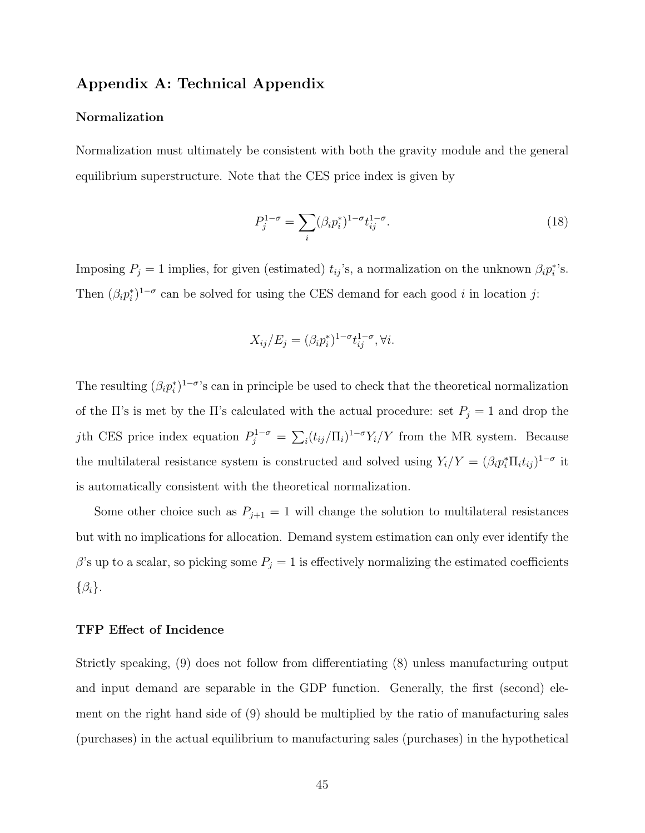### Appendix A: Technical Appendix

#### Normalization

Normalization must ultimately be consistent with both the gravity module and the general equilibrium superstructure. Note that the CES price index is given by

$$
P_j^{1-\sigma} = \sum_i (\beta_i p_i^*)^{1-\sigma} t_{ij}^{1-\sigma}.
$$
\n(18)

Imposing  $P_j = 1$  implies, for given (estimated)  $t_{ij}$ 's, a normalization on the unknown  $\beta_i p_i^*$ 's. Then  $(\beta_i p_i^*)^{1-\sigma}$  can be solved for using the CES demand for each good i in location j:

$$
X_{ij}/E_j = (\beta_i p_i^*)^{1-\sigma} t_{ij}^{1-\sigma}, \forall i.
$$

The resulting  $(\beta_i p_i^*)^{1-\sigma}$ 's can in principle be used to check that the theoretical normalization of the Π's is met by the Π's calculated with the actual procedure: set  $P_j = 1$  and drop the jth CES price index equation  $P_j^{1-\sigma} = \sum_i (t_{ij}/\Pi_i)^{1-\sigma} Y_i/Y$  from the MR system. Because the multilateral resistance system is constructed and solved using  $Y_i/Y = (\beta_i p_i^* \Pi_i t_{ij})^{1-\sigma}$  it is automatically consistent with the theoretical normalization.

Some other choice such as  $P_{j+1} = 1$  will change the solution to multilateral resistances but with no implications for allocation. Demand system estimation can only ever identify the  $\beta$ 's up to a scalar, so picking some  $P_j = 1$  is effectively normalizing the estimated coefficients  $\{\beta_i\}.$ 

#### TFP Effect of Incidence

Strictly speaking, (9) does not follow from differentiating (8) unless manufacturing output and input demand are separable in the GDP function. Generally, the first (second) element on the right hand side of (9) should be multiplied by the ratio of manufacturing sales (purchases) in the actual equilibrium to manufacturing sales (purchases) in the hypothetical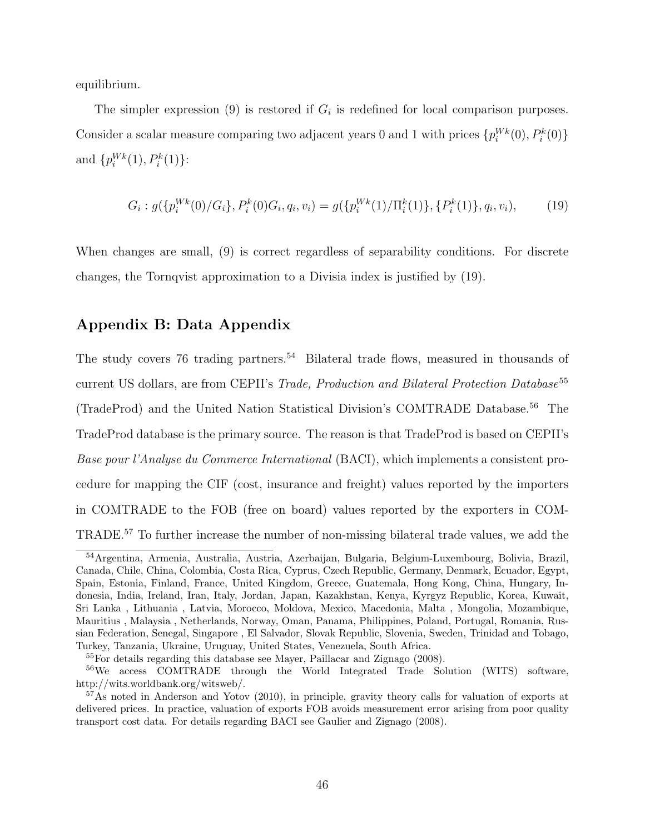equilibrium.

The simpler expression (9) is restored if  $G_i$  is redefined for local comparison purposes. Consider a scalar measure comparing two adjacent years 0 and 1 with prices  $\{p_i^{Wk}(0), P_i^k(0)\}\$ and  $\{p_i^{Wk}(1), P_i^{k}(1)\}$ :

$$
G_i: g(\{p_i^{Wk}(0)/G_i\}, P_i^k(0)G_i, q_i, v_i) = g(\{p_i^{Wk}(1)/\Pi_i^k(1)\}, \{P_i^k(1)\}, q_i, v_i),
$$
(19)

When changes are small, (9) is correct regardless of separability conditions. For discrete changes, the Tornqvist approximation to a Divisia index is justified by (19).

## Appendix B: Data Appendix

The study covers 76 trading partners.<sup>54</sup> Bilateral trade flows, measured in thousands of current US dollars, are from CEPII's Trade, Production and Bilateral Protection Database<sup>55</sup> (TradeProd) and the United Nation Statistical Division's COMTRADE Database.<sup>56</sup> The TradeProd database is the primary source. The reason is that TradeProd is based on CEPII's Base pour l'Analyse du Commerce International (BACI), which implements a consistent procedure for mapping the CIF (cost, insurance and freight) values reported by the importers in COMTRADE to the FOB (free on board) values reported by the exporters in COM-TRADE.<sup>57</sup> To further increase the number of non-missing bilateral trade values, we add the

<sup>54</sup>Argentina, Armenia, Australia, Austria, Azerbaijan, Bulgaria, Belgium-Luxembourg, Bolivia, Brazil, Canada, Chile, China, Colombia, Costa Rica, Cyprus, Czech Republic, Germany, Denmark, Ecuador, Egypt, Spain, Estonia, Finland, France, United Kingdom, Greece, Guatemala, Hong Kong, China, Hungary, Indonesia, India, Ireland, Iran, Italy, Jordan, Japan, Kazakhstan, Kenya, Kyrgyz Republic, Korea, Kuwait, Sri Lanka , Lithuania , Latvia, Morocco, Moldova, Mexico, Macedonia, Malta , Mongolia, Mozambique, Mauritius , Malaysia , Netherlands, Norway, Oman, Panama, Philippines, Poland, Portugal, Romania, Russian Federation, Senegal, Singapore , El Salvador, Slovak Republic, Slovenia, Sweden, Trinidad and Tobago, Turkey, Tanzania, Ukraine, Uruguay, United States, Venezuela, South Africa.

<sup>55</sup>For details regarding this database see Mayer, Paillacar and Zignago (2008).

<sup>56</sup>We access COMTRADE through the World Integrated Trade Solution (WITS) software, http://wits.worldbank.org/witsweb/.

<sup>57</sup>As noted in Anderson and Yotov (2010), in principle, gravity theory calls for valuation of exports at delivered prices. In practice, valuation of exports FOB avoids measurement error arising from poor quality transport cost data. For details regarding BACI see Gaulier and Zignago (2008).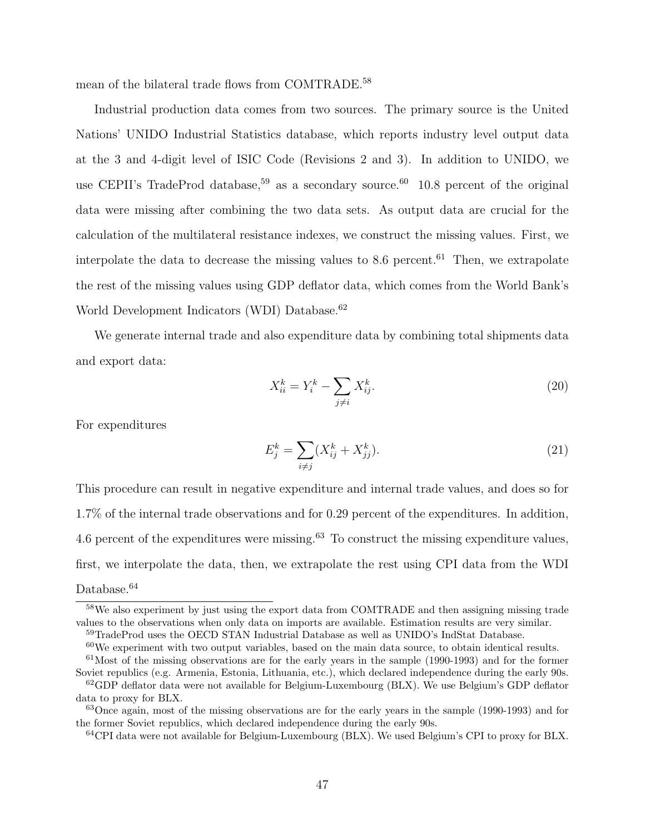mean of the bilateral trade flows from COMTRADE.<sup>58</sup>

Industrial production data comes from two sources. The primary source is the United Nations' UNIDO Industrial Statistics database, which reports industry level output data at the 3 and 4-digit level of ISIC Code (Revisions 2 and 3). In addition to UNIDO, we use CEPII's TradeProd database,<sup>59</sup> as a secondary source.<sup>60</sup> 10.8 percent of the original data were missing after combining the two data sets. As output data are crucial for the calculation of the multilateral resistance indexes, we construct the missing values. First, we interpolate the data to decrease the missing values to  $8.6$  percent.<sup>61</sup> Then, we extrapolate the rest of the missing values using GDP deflator data, which comes from the World Bank's World Development Indicators (WDI) Database.<sup>62</sup>

We generate internal trade and also expenditure data by combining total shipments data and export data:

$$
X_{ii}^k = Y_i^k - \sum_{j \neq i} X_{ij}^k.
$$
 (20)

For expenditures

$$
E_j^k = \sum_{i \neq j} (X_{ij}^k + X_{jj}^k). \tag{21}
$$

This procedure can result in negative expenditure and internal trade values, and does so for 1.7% of the internal trade observations and for 0.29 percent of the expenditures. In addition, 4.6 percent of the expenditures were missing.<sup>63</sup> To construct the missing expenditure values, first, we interpolate the data, then, we extrapolate the rest using CPI data from the WDI Database.<sup>64</sup>

 $60$ We experiment with two output variables, based on the main data source, to obtain identical results.  $61$ Most of the missing observations are for the early years in the sample (1990-1993) and for the former Soviet republics (e.g. Armenia, Estonia, Lithuania, etc.), which declared independence during the early 90s.

<sup>58</sup>We also experiment by just using the export data from COMTRADE and then assigning missing trade values to the observations when only data on imports are available. Estimation results are very similar. <sup>59</sup>TradeProd uses the OECD STAN Industrial Database as well as UNIDO's IndStat Database.

 $62$  GDP deflator data were not available for Belgium-Luxembourg (BLX). We use Belgium's GDP deflator data to proxy for BLX.

<sup>63</sup>Once again, most of the missing observations are for the early years in the sample (1990-1993) and for the former Soviet republics, which declared independence during the early 90s.

<sup>64</sup>CPI data were not available for Belgium-Luxembourg (BLX). We used Belgium's CPI to proxy for BLX.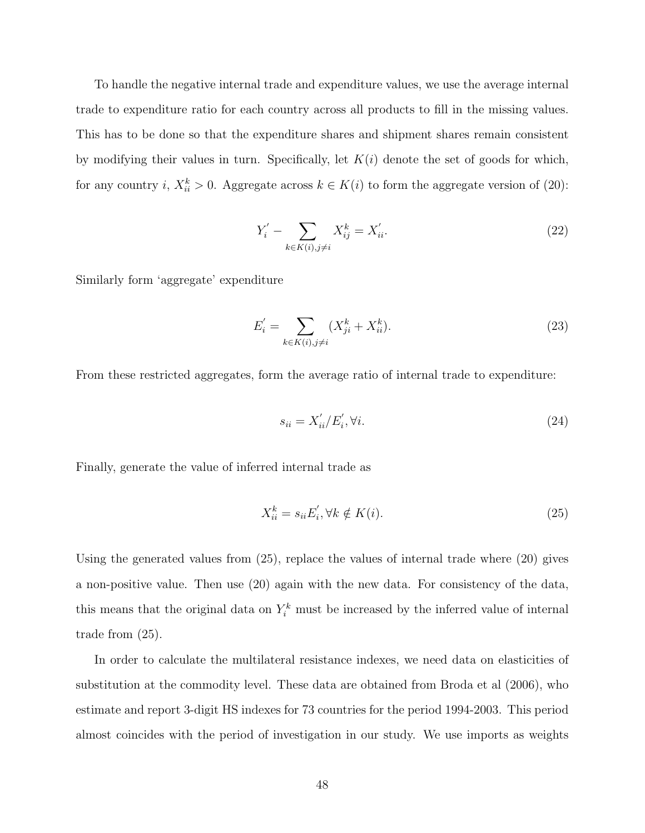To handle the negative internal trade and expenditure values, we use the average internal trade to expenditure ratio for each country across all products to fill in the missing values. This has to be done so that the expenditure shares and shipment shares remain consistent by modifying their values in turn. Specifically, let  $K(i)$  denote the set of goods for which, for any country i,  $X_{ii}^k > 0$ . Aggregate across  $k \in K(i)$  to form the aggregate version of (20):

$$
Y_i' - \sum_{k \in K(i), j \neq i} X_{ij}^k = X_{ii}'.\tag{22}
$$

Similarly form 'aggregate' expenditure

$$
E'_{i} = \sum_{k \in K(i), j \neq i} (X_{ji}^{k} + X_{ii}^{k}).
$$
\n(23)

From these restricted aggregates, form the average ratio of internal trade to expenditure:

$$
s_{ii} = X'_{ii}/E'_i, \forall i. \tag{24}
$$

Finally, generate the value of inferred internal trade as

$$
X_{ii}^k = s_{ii} E_i', \forall k \notin K(i). \tag{25}
$$

Using the generated values from (25), replace the values of internal trade where (20) gives a non-positive value. Then use (20) again with the new data. For consistency of the data, this means that the original data on  $Y_i^k$  must be increased by the inferred value of internal trade from (25).

In order to calculate the multilateral resistance indexes, we need data on elasticities of substitution at the commodity level. These data are obtained from Broda et al (2006), who estimate and report 3-digit HS indexes for 73 countries for the period 1994-2003. This period almost coincides with the period of investigation in our study. We use imports as weights